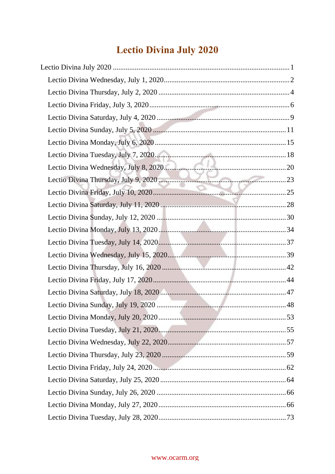# **Lectio Divina July 2020**

<span id="page-0-0"></span>

#### www.ocarm.org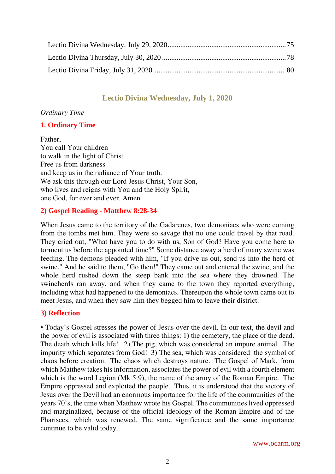## **Lectio Divina Wednesday, July 1, 2020**

#### <span id="page-1-0"></span>*Ordinary Time*

## **1. Ordinary Time**

Father, You call Your children to walk in the light of Christ. Free us from darkness and keep us in the radiance of Your truth. We ask this through our Lord Jesus Christ, Your Son, who lives and reigns with You and the Holy Spirit, one God, for ever and ever. Amen.

## **2) Gospel Reading - Matthew 8:28-34**

When Jesus came to the territory of the Gadarenes, two demoniacs who were coming from the tombs met him. They were so savage that no one could travel by that road. They cried out, "What have you to do with us, Son of God? Have you come here to torment us before the appointed time?" Some distance away a herd of many swine was feeding. The demons pleaded with him, "If you drive us out, send us into the herd of swine." And he said to them, "Go then!" They came out and entered the swine, and the whole herd rushed down the steep bank into the sea where they drowned. The swineherds ran away, and when they came to the town they reported everything, including what had happened to the demoniacs. Thereupon the whole town came out to meet Jesus, and when they saw him they begged him to leave their district.

## **3) Reflection**

• Today's Gospel stresses the power of Jesus over the devil. In our text, the devil and the power of evil is associated with three things: 1) the cemetery, the place of the dead. The death which kills life! 2) The pig, which was considered an impure animal. The impurity which separates from God! 3) The sea, which was considered the symbol of chaos before creation. The chaos which destroys nature. The Gospel of Mark, from which Matthew takes his information, associates the power of evil with a fourth element which is the word Legion (Mk 5:9), the name of the army of the Roman Empire. The Empire oppressed and exploited the people. Thus, it is understood that the victory of Jesus over the Devil had an enormous importance for the life of the communities of the years 70's, the time when Matthew wrote his Gospel. The communities lived oppressed and marginalized, because of the official ideology of the Roman Empire and of the Pharisees, which was renewed. The same significance and the same importance continue to be valid today.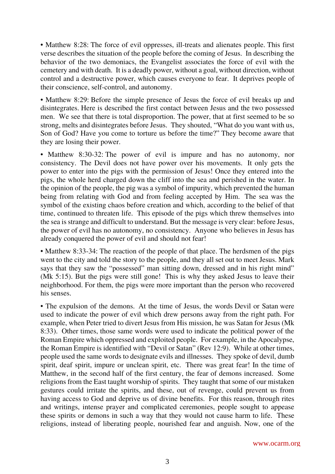• Matthew 8:28: The force of evil oppresses, ill-treats and alienates people. This first verse describes the situation of the people before the coming of Jesus. In describing the behavior of the two demoniacs, the Evangelist associates the force of evil with the cemetery and with death. It is a deadly power, without a goal, without direction, without control and a destructive power, which causes everyone to fear. It deprives people of their conscience, self-control, and autonomy.

• Matthew 8:29: Before the simple presence of Jesus the force of evil breaks up and disintegrates. Here is described the first contact between Jesus and the two possessed men. We see that there is total disproportion. The power, that at first seemed to be so strong, melts and disintegrates before Jesus. They shouted, "What do you want with us, Son of God? Have you come to torture us before the time?" They become aware that they are losing their power.

• Matthew 8:30-32: The power of evil is impure and has no autonomy, nor consistency. The Devil does not have power over his movements. It only gets the power to enter into the pigs with the permission of Jesus! Once they entered into the pigs, the whole herd charged down the cliff into the sea and perished in the water. In the opinion of the people, the pig was a symbol of impurity, which prevented the human being from relating with God and from feeling accepted by Him. The sea was the symbol of the existing chaos before creation and which, according to the belief of that time, continued to threaten life. This episode of the pigs which threw themselves into the sea is strange and difficult to understand. But the message is very clear: before Jesus, the power of evil has no autonomy, no consistency. Anyone who believes in Jesus has already conquered the power of evil and should not fear!

• Matthew 8:33-34: The reaction of the people of that place. The herdsmen of the pigs went to the city and told the story to the people, and they all set out to meet Jesus. Mark says that they saw the "possessed" man sitting down, dressed and in his right mind" (Mk 5:15). But the pigs were still gone! This is why they asked Jesus to leave their neighborhood. For them, the pigs were more important than the person who recovered his senses.

• The expulsion of the demons. At the time of Jesus, the words Devil or Satan were used to indicate the power of evil which drew persons away from the right path. For example, when Peter tried to divert Jesus from His mission, he was Satan for Jesus (Mk 8:33). Other times, those same words were used to indicate the political power of the Roman Empire which oppressed and exploited people. For example, in the Apocalypse, the Roman Empire is identified with "Devil or Satan" (Rev 12:9). While at other times, people used the same words to designate evils and illnesses. They spoke of devil, dumb spirit, deaf spirit, impure or unclean spirit, etc. There was great fear! In the time of Matthew, in the second half of the first century, the fear of demons increased. Some religions from the East taught worship of spirits. They taught that some of our mistaken gestures could irritate the spirits, and these, out of revenge, could prevent us from having access to God and deprive us of divine benefits. For this reason, through rites and writings, intense prayer and complicated ceremonies, people sought to appease these spirits or demons in such a way that they would not cause harm to life. These religions, instead of liberating people, nourished fear and anguish. Now, one of the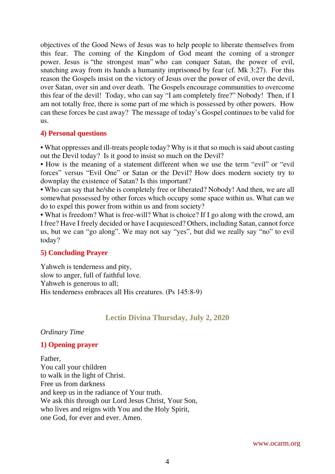objectives of the Good News of Jesus was to help people to liberate themselves from this fear. The coming of the Kingdom of God meant the coming of a stronger power. Jesus is "the strongest man" who can conquer Satan, the power of evil, snatching away from its hands a humanity imprisoned by fear (cf. Mk 3:27). For this reason the Gospels insist on the victory of Jesus over the power of evil, over the devil, over Satan, over sin and over death. The Gospels encourage communities to overcome this fear of the devil! Today, who can say "I am completely free?" Nobody! Then, if I am not totally free, there is some part of me which is possessed by other powers. How can these forces be cast away? The message of today's Gospel continues to be valid for us.

#### **4) Personal questions**

• What oppresses and ill-treats people today? Why is it that so much is said about casting out the Devil today? Is it good to insist so much on the Devil?

• How is the meaning of a statement different when we use the term "evil" or "evil forces" versus "Evil One" or Satan or the Devil? How does modern society try to downplay the existence of Satan? Is this important?

• Who can say that he/she is completely free or liberated? Nobody! And then, we are all somewhat possessed by other forces which occupy some space within us. What can we do to expel this power from within us and from society?

• What is freedom? What is free-will? What is choice? If I go along with the crowd, am I free? Have I freely decided or have I acquiesced? Others, including Satan, cannot force us, but we can "go along". We may not say "yes", but did we really say "no" to evil today?

## **5) Concluding Prayer**

Yahweh is tenderness and pity, slow to anger, full of faithful love. Yahweh is generous to all; His tenderness embraces all His creatures. (Ps 145:8-9)

## **Lectio Divina Thursday, July 2, 2020**

#### <span id="page-3-0"></span>*Ordinary Time*

#### **1) Opening prayer**

Father, You call your children to walk in the light of Christ. Free us from darkness and keep us in the radiance of Your truth. We ask this through our Lord Jesus Christ, Your Son, who lives and reigns with You and the Holy Spirit, one God, for ever and ever. Amen.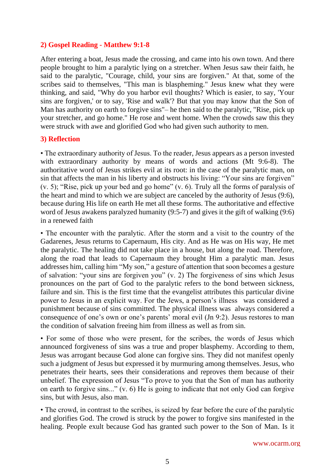## **2) Gospel Reading - Matthew 9:1-8**

After entering a boat, Jesus made the crossing, and came into his own town. And there people brought to him a paralytic lying on a stretcher. When Jesus saw their faith, he said to the paralytic, "Courage, child, your sins are forgiven." At that, some of the scribes said to themselves, "This man is blaspheming." Jesus knew what they were thinking, and said, "Why do you harbor evil thoughts? Which is easier, to say, 'Your sins are forgiven,' or to say, 'Rise and walk'? But that you may know that the Son of Man has authority on earth to forgive sins"– he then said to the paralytic, "Rise, pick up your stretcher, and go home." He rose and went home. When the crowds saw this they were struck with awe and glorified God who had given such authority to men.

#### **3) Reflection**

• The extraordinary authority of Jesus. To the reader, Jesus appears as a person invested with extraordinary authority by means of words and actions (Mt 9:6-8). The authoritative word of Jesus strikes evil at its root: in the case of the paralytic man, on sin that affects the man in his liberty and obstructs his living: "Your sins are forgiven" (v. 5); "Rise, pick up your bed and go home" (v. 6). Truly all the forms of paralysis of the heart and mind to which we are subject are canceled by the authority of Jesus (9:6), because during His life on earth He met all these forms. The authoritative and effective word of Jesus awakens paralyzed humanity (9:5-7) and gives it the gift of walking (9:6) in a renewed faith

• The encounter with the paralytic. After the storm and a visit to the country of the Gadarenes, Jesus returns to Capernaum, His city. And as He was on His way, He met the paralytic. The healing did not take place in a house, but along the road. Therefore, along the road that leads to Capernaum they brought Him a paralytic man. Jesus addresses him, calling him "My son," a gesture of attention that soon becomes a gesture of salvation: "your sins are forgiven you" (v. 2) The forgiveness of sins which Jesus pronounces on the part of God to the paralytic refers to the bond between sickness, failure and sin. This is the first time that the evangelist attributes this particular divine power to Jesus in an explicit way. For the Jews, a person's illness was considered a punishment because of sins committed. The physical illness was always considered a consequence of one's own or one's parents' moral evil (Jn 9:2). Jesus restores to man the condition of salvation freeing him from illness as well as from sin.

• For some of those who were present, for the scribes, the words of Jesus which announced forgiveness of sins was a true and proper blasphemy. According to them, Jesus was arrogant because God alone can forgive sins. They did not manifest openly such a judgment of Jesus but expressed it by murmuring among themselves. Jesus, who penetrates their hearts, sees their considerations and reproves them because of their unbelief. The expression of Jesus "To prove to you that the Son of man has authority on earth to forgive sins..." (v. 6) He is going to indicate that not only God can forgive sins, but with Jesus, also man.

• The crowd, in contrast to the scribes, is seized by fear before the cure of the paralytic and glorifies God. The crowd is struck by the power to forgive sins manifested in the healing. People exult because God has granted such power to the Son of Man. Is it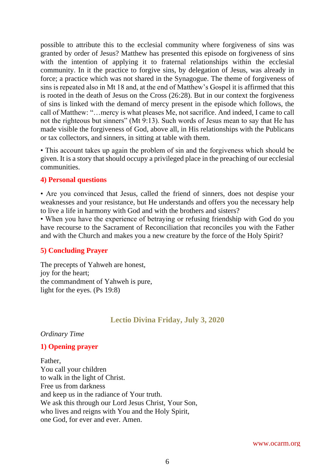possible to attribute this to the ecclesial community where forgiveness of sins was granted by order of Jesus? Matthew has presented this episode on forgiveness of sins with the intention of applying it to fraternal relationships within the ecclesial community. In it the practice to forgive sins, by delegation of Jesus, was already in force; a practice which was not shared in the Synagogue. The theme of forgiveness of sins is repeated also in Mt 18 and, at the end of Matthew's Gospel it is affirmed that this is rooted in the death of Jesus on the Cross (26:28). But in our context the forgiveness of sins is linked with the demand of mercy present in the episode which follows, the call of Matthew: "…mercy is what pleases Me, not sacrifice. And indeed, I came to call not the righteous but sinners" (Mt 9:13). Such words of Jesus mean to say that He has made visible the forgiveness of God, above all, in His relationships with the Publicans or tax collectors, and sinners, in sitting at table with them.

• This account takes up again the problem of sin and the forgiveness which should be given. It is a story that should occupy a privileged place in the preaching of our ecclesial communities.

#### **4) Personal questions**

• Are you convinced that Jesus, called the friend of sinners, does not despise your weaknesses and your resistance, but He understands and offers you the necessary help to live a life in harmony with God and with the brothers and sisters?

• When you have the experience of betraying or refusing friendship with God do you have recourse to the Sacrament of Reconciliation that reconciles you with the Father and with the Church and makes you a new creature by the force of the Holy Spirit?

#### **5) Concluding Prayer**

The precepts of Yahweh are honest, joy for the heart; the commandment of Yahweh is pure, light for the eyes. (Ps 19:8)

#### **Lectio Divina Friday, July 3, 2020**

<span id="page-5-0"></span>*Ordinary Time*

#### **1) Opening prayer**

Father, You call your children to walk in the light of Christ. Free us from darkness and keep us in the radiance of Your truth. We ask this through our Lord Jesus Christ, Your Son, who lives and reigns with You and the Holy Spirit, one God, for ever and ever. Amen.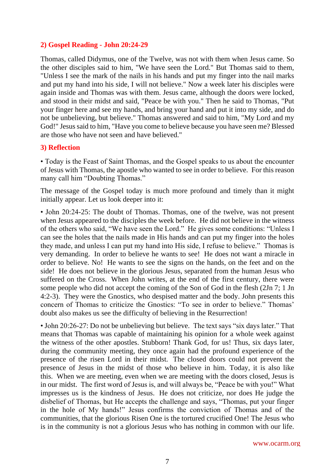## **2) Gospel Reading - John 20:24-29**

Thomas, called Didymus, one of the Twelve, was not with them when Jesus came. So the other disciples said to him, "We have seen the Lord." But Thomas said to them, "Unless I see the mark of the nails in his hands and put my finger into the nail marks and put my hand into his side, I will not believe." Now a week later his disciples were again inside and Thomas was with them. Jesus came, although the doors were locked, and stood in their midst and said, "Peace be with you." Then he said to Thomas, "Put your finger here and see my hands, and bring your hand and put it into my side, and do not be unbelieving, but believe." Thomas answered and said to him, "My Lord and my God!" Jesus said to him, "Have you come to believe because you have seen me? Blessed are those who have not seen and have believed."

## **3) Reflection**

• Today is the Feast of Saint Thomas, and the Gospel speaks to us about the encounter of Jesus with Thomas, the apostle who wanted to see in order to believe. For this reason many call him "Doubting Thomas."

The message of the Gospel today is much more profound and timely than it might initially appear. Let us look deeper into it:

• John 20:24-25: The doubt of Thomas. Thomas, one of the twelve, was not present when Jesus appeared to the disciples the week before. He did not believe in the witness of the others who said, "We have seen the Lord." He gives some conditions: "Unless I can see the holes that the nails made in His hands and can put my finger into the holes they made, and unless I can put my hand into His side, I refuse to believe." Thomas is very demanding. In order to believe he wants to see! He does not want a miracle in order to believe. No! He wants to see the signs on the hands, on the feet and on the side! He does not believe in the glorious Jesus, separated from the human Jesus who suffered on the Cross. When John writes, at the end of the first century, there were some people who did not accept the coming of the Son of God in the flesh (2Jn 7; 1 Jn 4:2-3). They were the Gnostics, who despised matter and the body. John presents this concern of Thomas to criticize the Gnostics: "To see in order to believe." Thomas' doubt also makes us see the difficulty of believing in the Resurrection!

• John 20:26-27: Do not be unbelieving but believe. The text says "six days later." That means that Thomas was capable of maintaining his opinion for a whole week against the witness of the other apostles. Stubborn! Thank God, for us! Thus, six days later, during the community meeting, they once again had the profound experience of the presence of the risen Lord in their midst. The closed doors could not prevent the presence of Jesus in the midst of those who believe in him. Today, it is also like this. When we are meeting, even when we are meeting with the doors closed, Jesus is in our midst. The first word of Jesus is, and will always be, "Peace be with you!" What impresses us is the kindness of Jesus. He does not criticize, nor does He judge the disbelief of Thomas, but He accepts the challenge and says, "Thomas, put your finger in the hole of My hands!" Jesus confirms the conviction of Thomas and of the communities, that the glorious Risen One is the tortured crucified One! The Jesus who is in the community is not a glorious Jesus who has nothing in common with our life.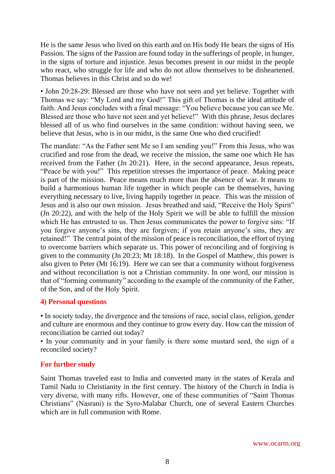He is the same Jesus who lived on this earth and on His body He bears the signs of His Passion. The signs of the Passion are found today in the sufferings of people, in hunger, in the signs of torture and injustice. Jesus becomes present in our midst in the people who react, who struggle for life and who do not allow themselves to be disheartened. Thomas believes in this Christ and so do we!

• John 20:28-29: Blessed are those who have not seen and yet believe. Together with Thomas we say: "My Lord and my God!" This gift of Thomas is the ideal attitude of faith. And Jesus concludes with a final message: "You believe because you can see Me. Blessed are those who have not seen and yet believe!" With this phrase, Jesus declares blessed all of us who find ourselves in the same condition: without having seen, we believe that Jesus, who is in our midst, is the same One who died crucified!

The mandate: "As the Father sent Me so I am sending you!" From this Jesus, who was crucified and rose from the dead, we receive the mission, the same one which He has received from the Father (Jn 20:21). Here, in the second appearance, Jesus repeats, "Peace be with you!" This repetition stresses the importance of peace. Making peace is part of the mission. Peace means much more than the absence of war. It means to build a harmonious human life together in which people can be themselves, having everything necessary to live, living happily together in peace. This was the mission of Jesus and is also our own mission. Jesus breathed and said, "Receive the Holy Spirit" (Jn 20:22), and with the help of the Holy Spirit we will be able to fulfill the mission which He has entrusted to us. Then Jesus communicates the power to forgive sins: "If you forgive anyone's sins, they are forgiven; if you retain anyone's sins, they are retained!" The central point of the mission of peace is reconciliation, the effort of trying to overcome barriers which separate us. This power of reconciling and of forgiving is given to the community (Jn 20:23; Mt 18:18). In the Gospel of Matthew, this power is also given to Peter (Mt 16:19). Here we can see that a community without forgiveness and without reconciliation is not a Christian community. In one word, our mission is that of "forming community" according to the example of the community of the Father, of the Son, and of the Holy Spirit.

## **4) Personal questions**

• In society today, the divergence and the tensions of race, social class, religion, gender and culture are enormous and they continue to grow every day. How can the mission of reconciliation be carried out today?

• In your community and in your family is there some mustard seed, the sign of a reconciled society?

## **For further study**

Saint Thomas traveled east to India and converted many in the states of Kerala and Tamil Nadu to Christianity in the first century. The history of the Church in India is very diverse, with many rifts. However, one of these communities of "Saint Thomas Christians" (Nasrani) is the Syro-Malabar Church, one of several Eastern Churches which are in full communion with Rome.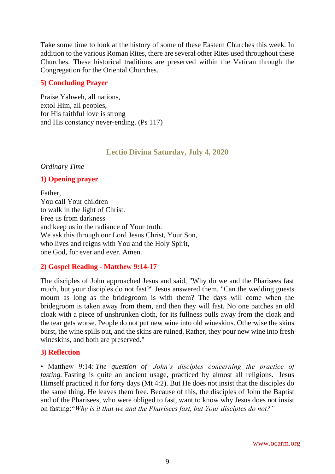Take some time to look at the history of some of these Eastern Churches this week. In addition to the various Roman Rites, there are several other Rites used throughout these Churches. These historical traditions are preserved within the Vatican through the Congregation for the Oriental Churches.

#### **5) Concluding Prayer**

Praise Yahweh, all nations, extol Him, all peoples, for His faithful love is strong and His constancy never-ending. (Ps 117)

## **Lectio Divina Saturday, July 4, 2020**

## <span id="page-8-0"></span>*Ordinary Time*

## **1) Opening prayer**

Father, You call Your children to walk in the light of Christ. Free us from darkness and keep us in the radiance of Your truth. We ask this through our Lord Jesus Christ, Your Son, who lives and reigns with You and the Holy Spirit, one God, for ever and ever. Amen.

## **2) Gospel Reading - Matthew 9:14-17**

The disciples of John approached Jesus and said, "Why do we and the Pharisees fast much, but your disciples do not fast?" Jesus answered them, "Can the wedding guests mourn as long as the bridegroom is with them? The days will come when the bridegroom is taken away from them, and then they will fast. No one patches an old cloak with a piece of unshrunken cloth, for its fullness pulls away from the cloak and the tear gets worse. People do not put new wine into old wineskins. Otherwise the skins burst, the wine spills out, and the skins are ruined. Rather, they pour new wine into fresh wineskins, and both are preserved."

## **3) Reflection**

• Matthew 9:14: *The question of John's disciples concerning the practice of fasting.* Fasting is quite an ancient usage, practiced by almost all religions. Jesus Himself practiced it for forty days (Mt 4:2). But He does not insist that the disciples do the same thing. He leaves them free. Because of this, the disciples of John the Baptist and of the Pharisees, who were obliged to fast, want to know why Jesus does not insist on fasting:"*Why is it that we and the Pharisees fast, but Your disciples do not?"*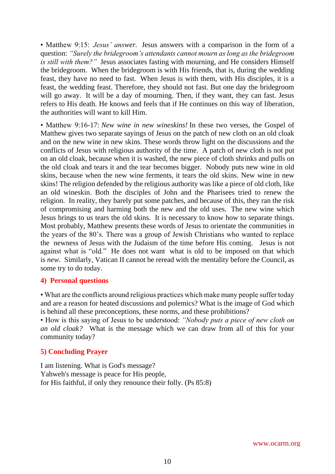• Matthew 9:15: *Jesus' answer.* Jesus answers with a comparison in the form of a question: *"Surely the bridegroom's attendants cannot mourn as long as the bridegroom is still with them?"* Jesus associates fasting with mourning, and He considers Himself the bridegroom. When the bridegroom is with His friends, that is, during the wedding feast, they have no need to fast. When Jesus is with them, with His disciples, it is a feast, the wedding feast. Therefore, they should not fast. But one day the bridegroom will go away. It will be a day of mourning. Then, if they want, they can fast. Jesus refers to His death. He knows and feels that if He continues on this way of liberation, the authorities will want to kill Him.

• Matthew 9:16-17: *New wine in new wineskins!* In these two verses, the Gospel of Matthew gives two separate sayings of Jesus on the patch of new cloth on an old cloak and on the new wine in new skins. These words throw light on the discussions and the conflicts of Jesus with religious authority of the time. A patch of new cloth is not put on an old cloak, because when it is washed, the new piece of cloth shrinks and pulls on the old cloak and tears it and the tear becomes bigger. Nobody puts new wine in old skins, because when the new wine ferments, it tears the old skins. New wine in new skins! The religion defended by the religious authority was like a piece of old cloth, like an old wineskin. Both the disciples of John and the Pharisees tried to renew the religion. In reality, they barely put some patches, and because of this, they ran the risk of compromising and harming both the new and the old uses. The new wine which Jesus brings to us tears the old skins. It is necessary to know how to separate things. Most probably, Matthew presents these words of Jesus to orientate the communities in the years of the 80's. There was a group of Jewish Christians who wanted to replace the newness of Jesus with the Judaism of the time before His coming. Jesus is not against what is "old." He does not want what is old to be imposed on that which is *new*. Similarly, Vatican II cannot be reread with the mentality before the Council, as some try to do today.

#### **4) Personal questions**

• What are the conflicts around religious practices which make many people suffer today and are a reason for heated discussions and polemics? What is the image of God which is behind all these preconceptions, these norms, and these prohibitions?

• How is this saying of Jesus to be understood: *"Nobody puts a piece of new cloth on an old cloak?* What is the message which we can draw from all of this for your community today?

## **5) Concluding Prayer**

I am listening. What is God's message? Yahweh's message is peace for His people, for His faithful, if only they renounce their folly. (Ps 85:8)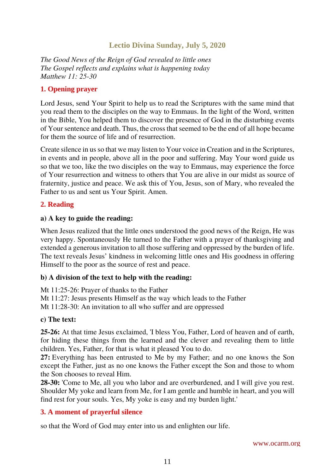# **Lectio Divina Sunday, July 5, 2020**

<span id="page-10-0"></span>*The Good News of the Reign of God revealed to little ones The Gospel reflects and explains what is happening today Matthew 11: 25-30*

## **1. Opening prayer**

Lord Jesus, send Your Spirit to help us to read the Scriptures with the same mind that you read them to the disciples on the way to Emmaus. In the light of the Word, written in the Bible, You helped them to discover the presence of God in the disturbing events of Your sentence and death. Thus, the cross that seemed to be the end of all hope became for them the source of life and of resurrection.

Create silence in us so that we may listen to Your voice in Creation and in the Scriptures, in events and in people, above all in the poor and suffering. May Your word guide us so that we too, like the two disciples on the way to Emmaus, may experience the force of Your resurrection and witness to others that You are alive in our midst as source of fraternity, justice and peace. We ask this of You, Jesus, son of Mary, who revealed the Father to us and sent us Your Spirit. Amen.

## **2. Reading**

#### **a) A key to guide the reading:**

When Jesus realized that the little ones understood the good news of the Reign, He was very happy. Spontaneously He turned to the Father with a prayer of thanksgiving and extended a generous invitation to all those suffering and oppressed by the burden of life. The text reveals Jesus' kindness in welcoming little ones and His goodness in offering Himself to the poor as the source of rest and peace.

#### **b) A division of the text to help with the reading:**

Mt 11:25-26: Prayer of thanks to the Father Mt 11:27: Jesus presents Himself as the way which leads to the Father Mt 11:28-30: An invitation to all who suffer and are oppressed

#### **c) The text:**

**25-26:** At that time Jesus exclaimed, 'I bless You, Father, Lord of heaven and of earth, for hiding these things from the learned and the clever and revealing them to little children. Yes, Father, for that is what it pleased You to do.

**27:** Everything has been entrusted to Me by my Father; and no one knows the Son except the Father, just as no one knows the Father except the Son and those to whom the Son chooses to reveal Him.

**28-30:** 'Come to Me, all you who labor and are overburdened, and I will give you rest. Shoulder My yoke and learn from Me, for I am gentle and humble in heart, and you will find rest for your souls. Yes, My yoke is easy and my burden light.'

## **3. A moment of prayerful silence**

so that the Word of God may enter into us and enlighten our life.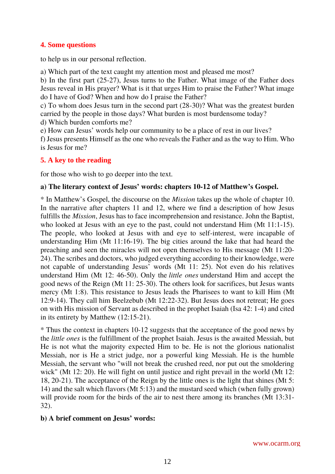## **4. Some questions**

to help us in our personal reflection.

a) Which part of the text caught my attention most and pleased me most?

b) In the first part (25-27), Jesus turns to the Father. What image of the Father does Jesus reveal in His prayer? What is it that urges Him to praise the Father? What image do I have of God? When and how do I praise the Father?

c) To whom does Jesus turn in the second part (28-30)? What was the greatest burden carried by the people in those days? What burden is most burdensome today?

d) Which burden comforts me?

e) How can Jesus' words help our community to be a place of rest in our lives?

f) Jesus presents Himself as the one who reveals the Father and as the way to Him. Who is Jesus for me?

## **5. A key to the reading**

for those who wish to go deeper into the text.

## **a) The literary context of Jesus' words: chapters 10-12 of Matthew's Gospel.**

\* In Matthew's Gospel, the discourse on the *Mission* takes up the whole of chapter 10. In the narrative after chapters 11 and 12, where we find a description of how Jesus fulfills the *Mission*, Jesus has to face incomprehension and resistance. John the Baptist, who looked at Jesus with an eye to the past, could not understand Him (Mt 11:1-15). The people, who looked at Jesus with and eye to self-interest, were incapable of understanding Him (Mt 11:16-19). The big cities around the lake that had heard the preaching and seen the miracles will not open themselves to His message (Mt 11:20- 24). The scribes and doctors, who judged everything according to their knowledge, were not capable of understanding Jesus' words (Mt 11: 25). Not even do his relatives understand Him (Mt 12: 46-50). Only the *little ones* understand Him and accept the good news of the Reign (Mt 11: 25-30). The others look for sacrifices, but Jesus wants mercy (Mt 1:8). This resistance to Jesus leads the Pharisees to want to kill Him (Mt 12:9-14). They call him Beelzebub (Mt 12:22-32). But Jesus does not retreat; He goes on with His mission of Servant as described in the prophet Isaiah (Isa 42: 1-4) and cited in its entirety by Matthew (12:15-21).

\* Thus the context in chapters 10-12 suggests that the acceptance of the good news by the *little ones* is the fulfillment of the prophet Isaiah. Jesus is the awaited Messiah, but He is not what the majority expected Him to be. He is not the glorious nationalist Messiah, nor is He a strict judge, nor a powerful king Messiah. He is the humble Messiah, the servant who "will not break the crushed reed, nor put out the smoldering wick" (Mt 12: 20). He will fight on until justice and right prevail in the world (Mt 12: 18, 20-21). The acceptance of the Reign by the little ones is the light that shines (Mt 5: 14) and the salt which flavors (Mt 5:13) and the mustard seed which (when fully grown) will provide room for the birds of the air to nest there among its branches (Mt 13:31-32).

## **b) A brief comment on Jesus' words:**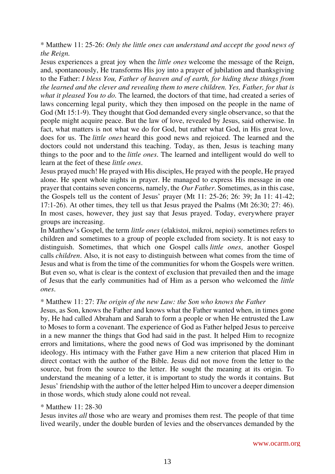\* Matthew 11: 25-26: *Only the little ones can understand and accept the good news of the Reign.*

Jesus experiences a great joy when the *little ones* welcome the message of the Reign, and, spontaneously, He transforms His joy into a prayer of jubilation and thanksgiving to the Father: *I bless You, Father of heaven and of earth, for hiding these things from the learned and the clever and revealing them to mere children. Yes, Father, for that is what it pleased You to do.* The learned, the doctors of that time, had created a series of laws concerning legal purity, which they then imposed on the people in the name of God (Mt 15:1-9). They thought that God demanded every single observance, so that the people might acquire peace. But the law of love, revealed by Jesus, said otherwise. In fact, what matters is not what we do for God, but rather what God, in His great love, does for us. The *little ones* heard this good news and rejoiced. The learned and the doctors could not understand this teaching. Today, as then, Jesus is teaching many things to the poor and to the *little ones*. The learned and intelligent would do well to learn at the feet of these *little ones*.

Jesus prayed much! He prayed with His disciples, He prayed with the people, He prayed alone. He spent whole nights in prayer. He managed to express His message in one prayer that contains seven concerns, namely, the *Our Father*. Sometimes, as in this case, the Gospels tell us the content of Jesus' prayer (Mt 11: 25-26; 26: 39; Jn 11: 41-42; 17:1-26). At other times, they tell us that Jesus prayed the Psalms (Mt 26:30; 27: 46). In most cases, however, they just say that Jesus prayed. Today, everywhere prayer groups are increasing.

In Matthew's Gospel, the term *little ones* (elakistoi, mikroi, nepioi) sometimes refers to children and sometimes to a group of people excluded from society. It is not easy to distinguish. Sometimes, that which one Gospel calls *little ones*, another Gospel calls *children*. Also, it is not easy to distinguish between what comes from the time of Jesus and what is from the time of the communities for whom the Gospels were written. But even so, what is clear is the context of exclusion that prevailed then and the image of Jesus that the early communities had of Him as a person who welcomed the *little ones*.

#### \* Matthew 11: 27: *The origin of the new Law: the Son who knows the Father*

Jesus, as Son, knows the Father and knows what the Father wanted when, in times gone by, He had called Abraham and Sarah to form a people or when He entrusted the Law to Moses to form a covenant. The experience of God as Father helped Jesus to perceive in a new manner the things that God had said in the past. It helped Him to recognize errors and limitations, where the good news of God was imprisoned by the dominant ideology. His intimacy with the Father gave Him a new criterion that placed Him in direct contact with the author of the Bible. Jesus did not move from the letter to the source, but from the source to the letter. He sought the meaning at its origin. To understand the meaning of a letter, it is important to study the words it contains. But Jesus' friendship with the author of the letter helped Him to uncover a deeper dimension in those words, which study alone could not reveal.

#### \* Matthew 11: 28-30

Jesus invites *all* those who are weary and promises them rest. The people of that time lived wearily, under the double burden of levies and the observances demanded by the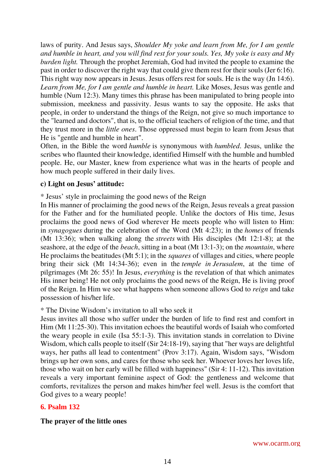laws of purity. And Jesus says, *Shoulder My yoke and learn from Me, for I am gentle and humble in heart, and you will find rest for your souls. Yes, My yoke is easy and My burden light.* Through the prophet Jeremiah, God had invited the people to examine the past in order to discover the right way that could give them rest for their souls (Jer 6:16). This right way now appears in Jesus. Jesus offers rest for souls. He is the way (Jn 14:6). *Learn from Me, for I am gentle and humble in heart.* Like Moses, Jesus was gentle and humble (Num 12:3). Many times this phrase has been manipulated to bring people into submission, meekness and passivity. Jesus wants to say the opposite. He asks that people, in order to understand the things of the Reign, not give so much importance to the "learned and doctors", that is, to the official teachers of religion of the time, and that they trust more in the *little ones*. Those oppressed must begin to learn from Jesus that He is "gentle and humble in heart".

Often, in the Bible the word *humble* is synonymous with *humbled*. Jesus, unlike the scribes who flaunted their knowledge, identified Himself with the humble and humbled people. He, our Master, knew from experience what was in the hearts of people and how much people suffered in their daily lives.

## **c) Light on Jesus' attitude:**

\* Jesus' style in proclaiming the good news of the Reign

In His manner of proclaiming the good news of the Reign, Jesus reveals a great passion for the Father and for the humiliated people. Unlike the doctors of His time, Jesus proclaims the good news of God wherever He meets people who will listen to Him: in *synagogues* during the celebration of the Word (Mt 4:23); in the *homes* of friends (Mt 13:36); when walking along the *streets* with His disciples (Mt 12:1-8); at the seashore, at the edge of the *beach*, sitting in a boat (Mt 13:1-3); on the *mountain*, where He proclaims the beatitudes (Mt 5:1); in the *squares* of villages and cities, where people bring their sick (Mt 14:34-36); even in the *temple in Jerusalem*, at the time of pilgrimages (Mt 26: 55)! In Jesus, *everything* is the revelation of that which animates His inner being! He not only proclaims the good news of the Reign, He is living proof of the Reign. In Him we see what happens when someone allows God to *reign* and take possession of his/her life.

\* The Divine Wisdom's invitation to all who seek it

Jesus invites all those who suffer under the burden of life to find rest and comfort in Him (Mt 11:25-30). This invitation echoes the beautiful words of Isaiah who comforted the weary people in exile (Isa 55:1-3). This invitation stands in correlation to Divine Wisdom, which calls people to itself (Sir 24:18-19), saying that "her ways are delightful ways, her paths all lead to contentment" (Prov 3:17). Again, Wisdom says, "Wisdom brings up her own sons, and cares for those who seek her. Whoever loves her loves life, those who wait on her early will be filled with happiness" (Sir 4: 11-12). This invitation reveals a very important feminine aspect of God: the gentleness and welcome that comforts, revitalizes the person and makes him/her feel well. Jesus is the comfort that God gives to a weary people!

## **6. Psalm 132**

#### **The prayer of the little ones**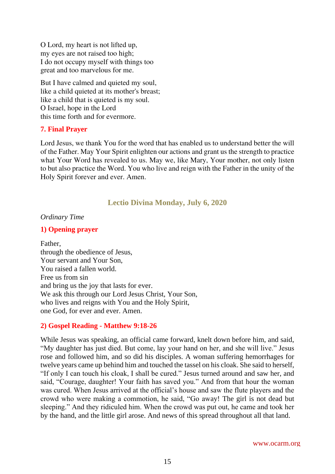O Lord, my heart is not lifted up, my eyes are not raised too high; I do not occupy myself with things too great and too marvelous for me.

But I have calmed and quieted my soul, like a child quieted at its mother's breast; like a child that is quieted is my soul. O Israel, hope in the Lord this time forth and for evermore.

#### **7. Final Prayer**

Lord Jesus, we thank You for the word that has enabled us to understand better the will of the Father. May Your Spirit enlighten our actions and grant us the strength to practice what Your Word has revealed to us. May we, like Mary, Your mother, not only listen to but also practice the Word. You who live and reign with the Father in the unity of the Holy Spirit forever and ever. Amen.

#### **Lectio Divina Monday, July 6, 2020**

#### <span id="page-14-0"></span>*Ordinary Time*

#### **1) Opening prayer**

Father, through the obedience of Jesus, Your servant and Your Son, You raised a fallen world. Free us from sin and bring us the joy that lasts for ever. We ask this through our Lord Jesus Christ, Your Son, who lives and reigns with You and the Holy Spirit, one God, for ever and ever. Amen.

#### **2) Gospel Reading - Matthew 9:18-26**

While Jesus was speaking, an official came forward, knelt down before him, and said, "My daughter has just died. But come, lay your hand on her, and she will live." Jesus rose and followed him, and so did his disciples. A woman suffering hemorrhages for twelve years came up behind him and touched the tassel on his cloak. She said to herself, "If only I can touch his cloak, I shall be cured." Jesus turned around and saw her, and said, "Courage, daughter! Your faith has saved you." And from that hour the woman was cured. When Jesus arrived at the official's house and saw the flute players and the crowd who were making a commotion, he said, "Go away! The girl is not dead but sleeping." And they ridiculed him. When the crowd was put out, he came and took her by the hand, and the little girl arose. And news of this spread throughout all that land.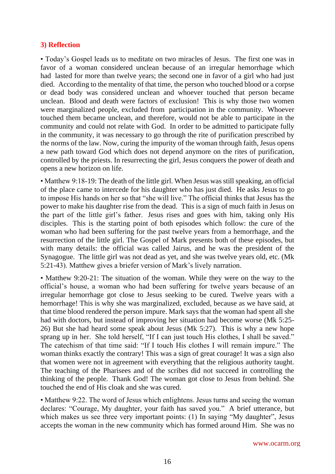#### **3) Reflection**

• Today's Gospel leads us to meditate on two miracles of Jesus. The first one was in favor of a woman considered unclean because of an irregular hemorrhage which had lasted for more than twelve years; the second one in favor of a girl who had just died. According to the mentality of that time, the person who touched blood or a corpse or dead body was considered unclean and whoever touched that person became unclean. Blood and death were factors of exclusion! This is why those two women were marginalized people, excluded from participation in the community. Whoever touched them became unclean, and therefore, would not be able to participate in the community and could not relate with God. In order to be admitted to participate fully in the community, it was necessary to go through the rite of purification prescribed by the norms of the law. Now, curing the impurity of the woman through faith, Jesus opens a new path toward God which does not depend anymore on the rites of purification, controlled by the priests. In resurrecting the girl, Jesus conquers the power of death and opens a new horizon on life.

• Matthew 9:18-19: The death of the little girl. When Jesus was still speaking, an official of the place came to intercede for his daughter who has just died. He asks Jesus to go to impose His hands on her so that "she will live." The official thinks that Jesus has the power to make his daughter rise from the dead. This is a sign of much faith in Jesus on the part of the little girl's father. Jesus rises and goes with him, taking only His disciples. This is the starting point of both episodes which follow: the cure of the woman who had been suffering for the past twelve years from a hemorrhage, and the resurrection of the little girl. The Gospel of Mark presents both of these episodes, but with many details: the official was called Jairus, and he was the president of the Synagogue. The little girl was not dead as yet, and she was twelve years old, etc. (Mk 5:21-43). Matthew gives a briefer version of Mark's lively narration.

• Matthew 9:20-21: The situation of the woman. While they were on the way to the official's house, a woman who had been suffering for twelve years because of an irregular hemorrhage got close to Jesus seeking to be cured. Twelve years with a hemorrhage! This is why she was marginalized, excluded, because as we have said, at that time blood rendered the person impure. Mark says that the woman had spent all she had with doctors, but instead of improving her situation had become worse (Mk 5:25- 26) But she had heard some speak about Jesus (Mk 5:27). This is why a new hope sprang up in her. She told herself, "If I can just touch His clothes, I shall be saved." The catechism of that time said: "If I touch His clothes I will remain impure." The woman thinks exactly the contrary! This was a sign of great courage! It was a sign also that women were not in agreement with everything that the religious authority taught. The teaching of the Pharisees and of the scribes did not succeed in controlling the thinking of the people. Thank God! The woman got close to Jesus from behind. She touched the end of His cloak and she was cured.

• Matthew 9:22. The word of Jesus which enlightens. Jesus turns and seeing the woman declares: "Courage, My daughter, your faith has saved you." A brief utterance, but which makes us see three very important points: (1) In saying "My daughter", Jesus accepts the woman in the new community which has formed around Him. She was no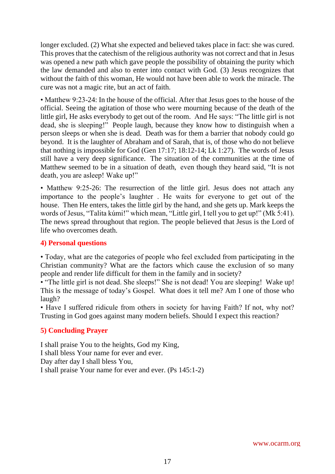longer excluded. (2) What she expected and believed takes place in fact: she was cured. This proves that the catechism of the religious authority was not correct and that in Jesus was opened a new path which gave people the possibility of obtaining the purity which the law demanded and also to enter into contact with God. (3) Jesus recognizes that without the faith of this woman, He would not have been able to work the miracle. The cure was not a magic rite, but an act of faith.

• Matthew 9:23-24: In the house of the official. After that Jesus goes to the house of the official. Seeing the agitation of those who were mourning because of the death of the little girl, He asks everybody to get out of the room. And He says: "The little girl is not dead, she is sleeping!" People laugh, because they know how to distinguish when a person sleeps or when she is dead. Death was for them a barrier that nobody could go beyond. It is the laughter of Abraham and of Sarah, that is, of those who do not believe that nothing is impossible for God (Gen 17:17; 18:12-14; Lk 1:27). The words of Jesus still have a very deep significance. The situation of the communities at the time of Matthew seemed to be in a situation of death, even though they heard said, "It is not death, you are asleep! Wake up!"

• Matthew 9:25-26: The resurrection of the little girl. Jesus does not attach any importance to the people's laughter . He waits for everyone to get out of the house. Then He enters, takes the little girl by the hand, and she gets up. Mark keeps the words of Jesus, "Talita kúmi!" which mean, "Little girl, I tell you to get up!" (Mk 5:41). The news spread throughout that region. The people believed that Jesus is the Lord of life who overcomes death.

## **4) Personal questions**

• Today, what are the categories of people who feel excluded from participating in the Christian community? What are the factors which cause the exclusion of so many people and render life difficult for them in the family and in society?

• "The little girl is not dead. She sleeps!" She is not dead! You are sleeping! Wake up! This is the message of today's Gospel. What does it tell me? Am I one of those who laugh?

• Have I suffered ridicule from others in society for having Faith? If not, why not? Trusting in God goes against many modern beliefs. Should I expect this reaction?

# **5) Concluding Prayer**

I shall praise You to the heights, God my King, I shall bless Your name for ever and ever. Day after day I shall bless You, I shall praise Your name for ever and ever. (Ps 145:1-2)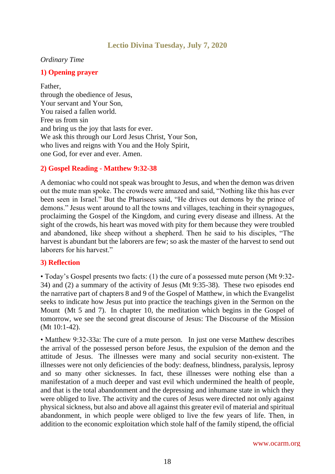# **Lectio Divina Tuesday, July 7, 2020**

#### <span id="page-17-0"></span>*Ordinary Time*

#### **1) Opening prayer**

Father, through the obedience of Jesus, Your servant and Your Son, You raised a fallen world. Free us from sin and bring us the joy that lasts for ever. We ask this through our Lord Jesus Christ, Your Son, who lives and reigns with You and the Holy Spirit, one God, for ever and ever. Amen.

#### **2) Gospel Reading - Matthew 9:32-38**

A demoniac who could not speak was brought to Jesus, and when the demon was driven out the mute man spoke. The crowds were amazed and said, "Nothing like this has ever been seen in Israel." But the Pharisees said, "He drives out demons by the prince of demons." Jesus went around to all the towns and villages, teaching in their synagogues, proclaiming the Gospel of the Kingdom, and curing every disease and illness. At the sight of the crowds, his heart was moved with pity for them because they were troubled and abandoned, like sheep without a shepherd. Then he said to his disciples, "The harvest is abundant but the laborers are few; so ask the master of the harvest to send out laborers for his harvest."

#### **3) Reflection**

• Today's Gospel presents two facts: (1) the cure of a possessed mute person (Mt 9:32- 34) and (2) a summary of the activity of Jesus (Mt 9:35-38). These two episodes end the narrative part of chapters 8 and 9 of the Gospel of Matthew, in which the Evangelist seeks to indicate how Jesus put into practice the teachings given in the Sermon on the Mount (Mt 5 and 7). In chapter 10, the meditation which begins in the Gospel of tomorrow, we see the second great discourse of Jesus: The Discourse of the Mission (Mt 10:1-42).

• Matthew 9:32-33a: The cure of a mute person. In just one verse Matthew describes the arrival of the possessed person before Jesus, the expulsion of the demon and the attitude of Jesus. The illnesses were many and social security non-existent. The illnesses were not only deficiencies of the body: deafness, blindness, paralysis, leprosy and so many other sicknesses. In fact, these illnesses were nothing else than a manifestation of a much deeper and vast evil which undermined the health of people, and that is the total abandonment and the depressing and inhumane state in which they were obliged to live. The activity and the cures of Jesus were directed not only against physical sickness, but also and above all against this greater evil of material and spiritual abandonment, in which people were obliged to live the few years of life. Then, in addition to the economic exploitation which stole half of the family stipend, the official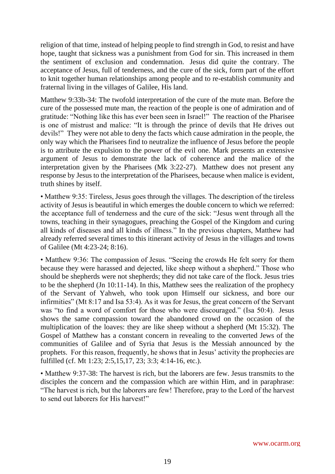religion of that time, instead of helping people to find strength in God, to resist and have hope, taught that sickness was a punishment from God for sin. This increased in them the sentiment of exclusion and condemnation. Jesus did quite the contrary. The acceptance of Jesus, full of tenderness, and the cure of the sick, form part of the effort to knit together human relationships among people and to re-establish community and fraternal living in the villages of Galilee, His land.

Matthew 9:33b-34: The twofold interpretation of the cure of the mute man. Before the cure of the possessed mute man, the reaction of the people is one of admiration and of gratitude: "Nothing like this has ever been seen in Israel!" The reaction of the Pharisee is one of mistrust and malice: "It is through the prince of devils that He drives out devils!" They were not able to deny the facts which cause admiration in the people, the only way which the Pharisees find to neutralize the influence of Jesus before the people is to attribute the expulsion to the power of the evil one. Mark presents an extensive argument of Jesus to demonstrate the lack of coherence and the malice of the interpretation given by the Pharisees (Mk 3:22-27). Matthew does not present any response by Jesus to the interpretation of the Pharisees, because when malice is evident, truth shines by itself.

• Matthew 9:35: Tireless, Jesus goes through the villages. The description of the tireless activity of Jesus is beautiful in which emerges the double concern to which we referred: the acceptance full of tenderness and the cure of the sick: "Jesus went through all the towns, teaching in their synagogues, preaching the Gospel of the Kingdom and curing all kinds of diseases and all kinds of illness." In the previous chapters, Matthew had already referred several times to this itinerant activity of Jesus in the villages and towns of Galilee (Mt 4:23-24; 8:16).

• Matthew 9:36: The compassion of Jesus. "Seeing the crowds He felt sorry for them because they were harassed and dejected, like sheep without a shepherd." Those who should be shepherds were not shepherds; they did not take care of the flock. Jesus tries to be the shepherd (Jn 10:11-14). In this, Matthew sees the realization of the prophecy of the Servant of Yahweh, who took upon Himself our sickness, and bore our infirmities" (Mt 8:17 and Isa 53:4). As it was for Jesus, the great concern of the Servant was "to find a word of comfort for those who were discouraged." (Isa 50:4). Jesus shows the same compassion toward the abandoned crowd on the occasion of the multiplication of the loaves: they are like sheep without a shepherd (Mt 15:32). The Gospel of Matthew has a constant concern in revealing to the converted Jews of the communities of Galilee and of Syria that Jesus is the Messiah announced by the prophets. For this reason, frequently, he shows that in Jesus' activity the prophecies are fulfilled (cf. Mt 1:23; 2:5,15,17, 23; 3:3; 4:14-16, etc.).

• Matthew 9:37-38: The harvest is rich, but the laborers are few. Jesus transmits to the disciples the concern and the compassion which are within Him, and in paraphrase: "The harvest is rich, but the laborers are few! Therefore, pray to the Lord of the harvest to send out laborers for His harvest!"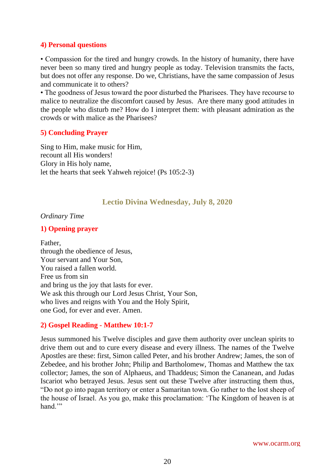#### **4) Personal questions**

• Compassion for the tired and hungry crowds. In the history of humanity, there have never been so many tired and hungry people as today. Television transmits the facts, but does not offer any response. Do we, Christians, have the same compassion of Jesus and communicate it to others?

• The goodness of Jesus toward the poor disturbed the Pharisees. They have recourse to malice to neutralize the discomfort caused by Jesus. Are there many good attitudes in the people who disturb me? How do I interpret them: with pleasant admiration as the crowds or with malice as the Pharisees?

## **5) Concluding Prayer**

Sing to Him, make music for Him, recount all His wonders! Glory in His holy name, let the hearts that seek Yahweh rejoice! (Ps 105:2-3)

## **Lectio Divina Wednesday, July 8, 2020**

<span id="page-19-0"></span>*Ordinary Time*

## **1) Opening prayer**

Father, through the obedience of Jesus, Your servant and Your Son, You raised a fallen world. Free us from sin and bring us the joy that lasts for ever. We ask this through our Lord Jesus Christ, Your Son, who lives and reigns with You and the Holy Spirit, one God, for ever and ever. Amen.

## **2) Gospel Reading - Matthew 10:1-7**

Jesus summoned his Twelve disciples and gave them authority over unclean spirits to drive them out and to cure every disease and every illness. The names of the Twelve Apostles are these: first, Simon called Peter, and his brother Andrew; James, the son of Zebedee, and his brother John; Philip and Bartholomew, Thomas and Matthew the tax collector; James, the son of Alphaeus, and Thaddeus; Simon the Cananean, and Judas Iscariot who betrayed Jesus. Jesus sent out these Twelve after instructing them thus, "Do not go into pagan territory or enter a Samaritan town. Go rather to the lost sheep of the house of Israel. As you go, make this proclamation: 'The Kingdom of heaven is at hand."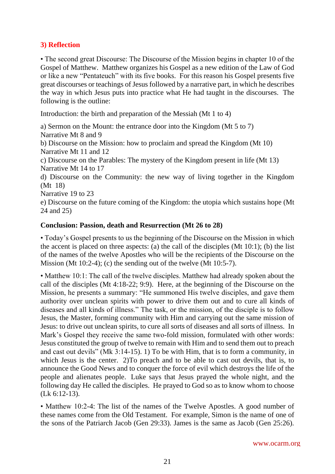# **3) Reflection**

• The second great Discourse: The Discourse of the Mission begins in chapter 10 of the Gospel of Matthew. Matthew organizes his Gospel as a new edition of the Law of God or like a new "Pentateuch" with its five books. For this reason his Gospel presents five great discourses or teachings of Jesus followed by a narrative part, in which he describes the way in which Jesus puts into practice what He had taught in the discourses. The following is the outline:

Introduction: the birth and preparation of the Messiah (Mt 1 to 4)

a) Sermon on the Mount: the entrance door into the Kingdom (Mt 5 to 7) Narrative Mt 8 and 9 b) Discourse on the Mission: how to proclaim and spread the Kingdom (Mt 10) Narrative Mt 11 and 12 c) Discourse on the Parables: The mystery of the Kingdom present in life (Mt 13) Narrative Mt 14 to 17

d) Discourse on the Community: the new way of living together in the Kingdom (Mt 18)

Narrative 19 to 23

e) Discourse on the future coming of the Kingdom: the utopia which sustains hope (Mt 24 and 25)

## **Conclusion: Passion, death and Resurrection (Mt 26 to 28)**

• Today's Gospel presents to us the beginning of the Discourse on the Mission in which the accent is placed on three aspects: (a) the call of the disciples  $(Mt 10:1)$ ; (b) the list of the names of the twelve Apostles who will be the recipients of the Discourse on the Mission (Mt 10:2-4); (c) the sending out of the twelve (Mt 10:5-7).

• Matthew 10:1: The call of the twelve disciples. Matthew had already spoken about the call of the disciples (Mt 4:18-22; 9:9). Here, at the beginning of the Discourse on the Mission, he presents a summary: "He summoned His twelve disciples, and gave them authority over unclean spirits with power to drive them out and to cure all kinds of diseases and all kinds of illness." The task, or the mission, of the disciple is to follow Jesus, the Master, forming community with Him and carrying out the same mission of Jesus: to drive out unclean spirits, to cure all sorts of diseases and all sorts of illness. In Mark's Gospel they receive the same two-fold mission, formulated with other words: Jesus constituted the group of twelve to remain with Him and to send them out to preach and cast out devils" (Mk 3:14-15). 1) To be with Him, that is to form a community, in which Jesus is the center. 2)To preach and to be able to cast out devils, that is, to announce the Good News and to conquer the force of evil which destroys the life of the people and alienates people. Luke says that Jesus prayed the whole night, and the following day He called the disciples. He prayed to God so as to know whom to choose (Lk 6:12-13).

• Matthew 10:2-4: The list of the names of the Twelve Apostles. A good number of these names come from the Old Testament. For example, Simon is the name of one of the sons of the Patriarch Jacob (Gen 29:33). James is the same as Jacob (Gen 25:26).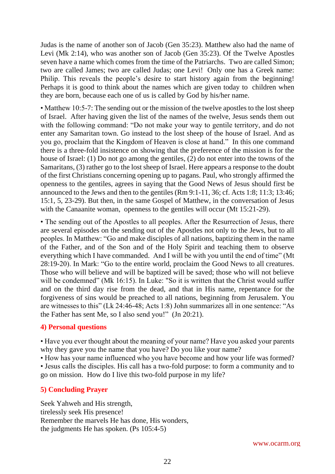Judas is the name of another son of Jacob (Gen 35:23). Matthew also had the name of Levi (Mk 2:14), who was another son of Jacob (Gen 35:23). Of the Twelve Apostles seven have a name which comes from the time of the Patriarchs. Two are called Simon; two are called James; two are called Judas; one Levi! Only one has a Greek name: Philip. This reveals the people's desire to start history again from the beginning! Perhaps it is good to think about the names which are given today to children when they are born, because each one of us is called by God by his/her name.

• Matthew 10:5-7: The sending out or the mission of the twelve apostles to the lost sheep of Israel. After having given the list of the names of the twelve, Jesus sends them out with the following command: "Do not make your way to gentile territory, and do not enter any Samaritan town. Go instead to the lost sheep of the house of Israel. And as you go, proclaim that the Kingdom of Heaven is close at hand." In this one command there is a three-fold insistence on showing that the preference of the mission is for the house of Israel: (1) Do not go among the gentiles, (2) do not enter into the towns of the Samaritans, (3) rather go to the lost sheep of Israel. Here appears a response to the doubt of the first Christians concerning opening up to pagans. Paul, who strongly affirmed the openness to the gentiles, agrees in saying that the Good News of Jesus should first be announced to the Jews and then to the gentiles (Rm 9:1-11, 36; cf. Acts 1:8; 11:3; 13:46; 15:1, 5, 23-29). But then, in the same Gospel of Matthew, in the conversation of Jesus with the Canaanite woman, openness to the gentiles will occur (Mt 15:21-29).

• The sending out of the Apostles to all peoples. After the Resurrection of Jesus, there are several episodes on the sending out of the Apostles not only to the Jews, but to all peoples. In Matthew: "Go and make disciples of all nations, baptizing them in the name of the Father, and of the Son and of the Holy Spirit and teaching them to observe everything which I have commanded. And I will be with you until the end of time" (Mt 28:19-20). In Mark: "Go to the entire world, proclaim the Good News to all creatures. Those who will believe and will be baptized will be saved; those who will not believe will be condemned" (Mk 16:15). In Luke: "So it is written that the Christ would suffer and on the third day rise from the dead, and that in His name, repentance for the forgiveness of sins would be preached to all nations, beginning from Jerusalem. You are witnesses to this" (Lk 24:46-48; Acts 1:8) John summarizes all in one sentence: "As the Father has sent Me, so I also send you!" (Jn 20:21).

## **4) Personal questions**

• Have you ever thought about the meaning of your name? Have you asked your parents why they gave you the name that you have? Do you like your name?

• How has your name influenced who you have become and how your life was formed? • Jesus calls the disciples. His call has a two-fold purpose: to form a community and to go on mission. How do I live this two-fold purpose in my life?

## **5) Concluding Prayer**

Seek Yahweh and His strength, tirelessly seek His presence! Remember the marvels He has done, His wonders, the judgments He has spoken. (Ps 105:4-5)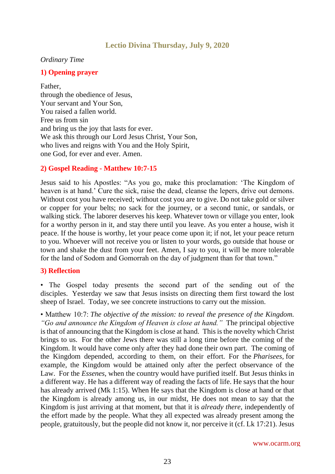## **Lectio Divina Thursday, July 9, 2020**

#### <span id="page-22-0"></span>*Ordinary Time*

#### **1) Opening prayer**

Father, through the obedience of Jesus, Your servant and Your Son, You raised a fallen world. Free us from sin and bring us the joy that lasts for ever. We ask this through our Lord Jesus Christ, Your Son, who lives and reigns with You and the Holy Spirit, one God, for ever and ever. Amen.

#### **2) Gospel Reading - Matthew 10:7-15**

Jesus said to his Apostles: "As you go, make this proclamation: 'The Kingdom of heaven is at hand.' Cure the sick, raise the dead, cleanse the lepers, drive out demons. Without cost you have received; without cost you are to give. Do not take gold or silver or copper for your belts; no sack for the journey, or a second tunic, or sandals, or walking stick. The laborer deserves his keep. Whatever town or village you enter, look for a worthy person in it, and stay there until you leave. As you enter a house, wish it peace. If the house is worthy, let your peace come upon it; if not, let your peace return to you. Whoever will not receive you or listen to your words, go outside that house or town and shake the dust from your feet. Amen, I say to you, it will be more tolerable for the land of Sodom and Gomorrah on the day of judgment than for that town."

#### **3) Reflection**

• The Gospel today presents the second part of the sending out of the disciples. Yesterday we saw that Jesus insists on directing them first toward the lost sheep of Israel. Today, we see concrete instructions to carry out the mission.

• Matthew 10:7: *The objective of the mission: to reveal the presence of the Kingdom. "Go and announce the Kingdom of Heaven is close at hand."* The principal objective is that of announcing that the Kingdom is close at hand. This is the novelty which Christ brings to us. For the other Jews there was still a long time before the coming of the Kingdom. It would have come only after they had done their own part. The coming of the Kingdom depended, according to them, on their effort. For the *Pharisees,* for example, the Kingdom would be attained only after the perfect observance of the Law. For the *Essenes*, when the country would have purified itself. But Jesus thinks in a different way. He has a different way of reading the facts of life. He says that the hour has already arrived (Mk 1:15). When He says that the Kingdom is close at hand or that the Kingdom is already among us, in our midst, He does not mean to say that the Kingdom is just arriving at that moment, but that it is *already there*, independently of the effort made by the people. What they all expected was already present among the people, gratuitously, but the people did not know it, nor perceive it (cf. Lk 17:21). Jesus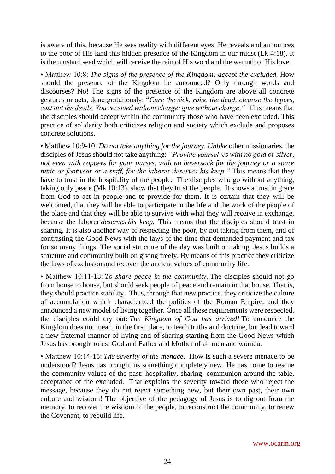is aware of this, because He sees reality with different eyes. He reveals and announces to the poor of His land this hidden presence of the Kingdom in our midst (Lk 4:18). It is the mustard seed which will receive the rain of His word and the warmth of His love.

• Matthew 10:8: *The signs of the presence of the Kingdom: accept the excluded.* How should the presence of the Kingdom be announced? Only through words and discourses? No! The signs of the presence of the Kingdom are above all concrete gestures or acts, done gratuitously: "*Cure the sick, raise the dead, cleanse the lepers, cast out the devils. You received without charge; give without charge."* This means that the disciples should accept within the community those who have been excluded. This practice of solidarity both criticizes religion and society which exclude and proposes concrete solutions.

• Matthew 10:9-10: *Do not take anything for the journey. Unlike* other missionaries, the disciples of Jesus should not take anything: *"Provide yourselves with no gold or silver, not even with coppers for your purses, with no haversack for the journey or a spare tunic or footwear or a staff, for the laborer deserves his keep."* This means that they have to trust in the hospitality of the people. The disciples who go without anything, taking only peace (Mk 10:13), show that they trust the people. It shows a trust in grace from God to act in people and to provide for them. It is certain that they will be welcomed, that they will be able to participate in the life and the work of the people of the place and that they will be able to survive with what they will receive in exchange, because the laborer *deserves his keep.* This means that the disciples should trust in sharing. It is also another way of respecting the poor, by not taking from them, and of contrasting the Good News with the laws of the time that demanded payment and tax for so many things. The social structure of the day was built on taking. Jesus builds a structure and community built on giving freely. By means of this practice they criticize the laws of exclusion and recover the ancient values of community life.

• Matthew 10:11-13: *To share peace in the community*. The disciples should not go from house to house, but should seek people of peace and remain in that house. That is, they should practice stability. Thus, through that new practice, they criticize the culture of accumulation which characterized the politics of the Roman Empire, and they announced a new model of living together. Once all these requirements were respected, the disciples could cry out: *The Kingdom of God has arrived!* To announce the Kingdom does not mean, in the first place, to teach truths and doctrine, but lead toward a new fraternal manner of living and of sharing starting from the Good News which Jesus has brought to us: God and Father and Mother of all men and women.

• Matthew 10:14-15: *The severity of the menace*. How is such a severe menace to be understood? Jesus has brought us something completely new. He has come to rescue the community values of the past: hospitality, sharing, communion around the table, acceptance of the excluded. That explains the severity toward those who reject the message, because they do not reject something new, but their own past, their own culture and wisdom! The objective of the pedagogy of Jesus is to dig out from the memory, to recover the wisdom of the people, to reconstruct the community, to renew the Covenant, to rebuild life.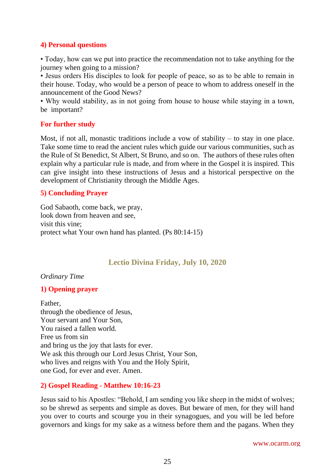## **4) Personal questions**

• Today, how can we put into practice the recommendation not to take anything for the journey when going to a mission?

• Jesus orders His disciples to look for people of peace, so as to be able to remain in their house. Today, who would be a person of peace to whom to address oneself in the announcement of the Good News?

• Why would stability, as in not going from house to house while staying in a town, be important?

## **For further study**

Most, if not all, monastic traditions include a vow of stability  $-$  to stay in one place. Take some time to read the ancient rules which guide our various communities, such as the Rule of St Benedict, St Albert, St Bruno, and so on. The authors of these rules often explain why a particular rule is made, and from where in the Gospel it is inspired. This can give insight into these instructions of Jesus and a historical perspective on the development of Christianity through the Middle Ages.

# **5) Concluding Prayer**

God Sabaoth, come back, we pray, look down from heaven and see, visit this vine; protect what Your own hand has planted. (Ps 80:14-15)

# **Lectio Divina Friday, July 10, 2020**

#### <span id="page-24-0"></span>*Ordinary Time*

## **1) Opening prayer**

Father, through the obedience of Jesus, Your servant and Your Son, You raised a fallen world. Free us from sin and bring us the joy that lasts for ever. We ask this through our Lord Jesus Christ, Your Son, who lives and reigns with You and the Holy Spirit, one God, for ever and ever. Amen.

## **2) Gospel Reading - Matthew 10:16-23**

Jesus said to his Apostles: "Behold, I am sending you like sheep in the midst of wolves; so be shrewd as serpents and simple as doves. But beware of men, for they will hand you over to courts and scourge you in their synagogues, and you will be led before governors and kings for my sake as a witness before them and the pagans. When they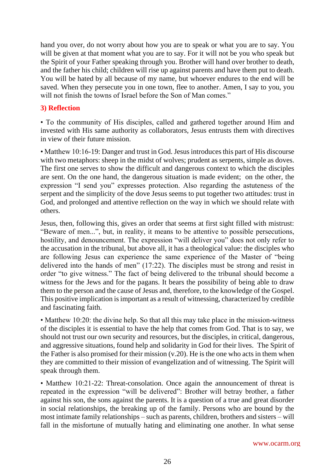hand you over, do not worry about how you are to speak or what you are to say. You will be given at that moment what you are to say. For it will not be you who speak but the Spirit of your Father speaking through you. Brother will hand over brother to death, and the father his child; children will rise up against parents and have them put to death. You will be hated by all because of my name, but whoever endures to the end will be saved. When they persecute you in one town, flee to another. Amen, I say to you, you will not finish the towns of Israel before the Son of Man comes."

## **3) Reflection**

• To the community of His disciples, called and gathered together around Him and invested with His same authority as collaborators, Jesus entrusts them with directives in view of their future mission.

• Matthew 10:16-19: Danger and trust in God. Jesus introduces this part of His discourse with two metaphors: sheep in the midst of wolves; prudent as serpents, simple as doves. The first one serves to show the difficult and dangerous context to which the disciples are sent. On the one hand, the dangerous situation is made evident; on the other, the expression "I send you" expresses protection. Also regarding the astuteness of the serpent and the simplicity of the dove Jesus seems to put together two attitudes: trust in God, and prolonged and attentive reflection on the way in which we should relate with others.

Jesus, then, following this, gives an order that seems at first sight filled with mistrust: "Beware of men...", but, in reality, it means to be attentive to possible persecutions, hostility, and denouncement. The expression "will deliver you" does not only refer to the accusation in the tribunal, but above all, it has a theological value: the disciples who are following Jesus can experience the same experience of the Master of "being delivered into the hands of men" (17:22). The disciples must be strong and resist in order "to give witness." The fact of being delivered to the tribunal should become a witness for the Jews and for the pagans. It bears the possibility of being able to draw them to the person and the cause of Jesus and, therefore, to the knowledge of the Gospel. This positive implication is important as a result of witnessing, characterized by credible and fascinating faith.

• Matthew 10:20: the divine help. So that all this may take place in the mission-witness of the disciples it is essential to have the help that comes from God. That is to say, we should not trust our own security and resources, but the disciples, in critical, dangerous, and aggressive situations, found help and solidarity in God for their lives. The Spirit of the Father is also promised for their mission (v.20). He is the one who acts in them when they are committed to their mission of evangelization and of witnessing. The Spirit will speak through them.

• Matthew 10:21-22: Threat-consolation. Once again the announcement of threat is repeated in the expression "will be delivered": Brother will betray brother, a father against his son, the sons against the parents. It is a question of a true and great disorder in social relationships, the breaking up of the family. Persons who are bound by the most intimate family relationships – such as parents, children, brothers and sisters – will fall in the misfortune of mutually hating and eliminating one another. In what sense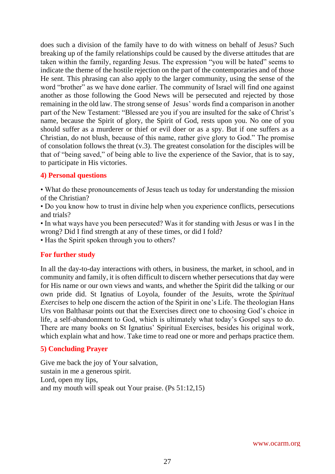does such a division of the family have to do with witness on behalf of Jesus? Such breaking up of the family relationships could be caused by the diverse attitudes that are taken within the family, regarding Jesus. The expression "you will be hated" seems to indicate the theme of the hostile rejection on the part of the contemporaries and of those He sent. This phrasing can also apply to the larger community, using the sense of the word "brother" as we have done earlier. The community of Israel will find one against another as those following the Good News will be persecuted and rejected by those remaining in the old law. The strong sense of Jesus' words find a comparison in another part of the New Testament: "Blessed are you if you are insulted for the sake of Christ's name, because the Spirit of glory, the Spirit of God, rests upon you. No one of you should suffer as a murderer or thief or evil doer or as a spy. But if one suffers as a Christian, do not blush, because of this name, rather give glory to God." The promise of consolation follows the threat (v.3). The greatest consolation for the disciples will be that of "being saved," of being able to live the experience of the Savior, that is to say, to participate in His victories.

## **4) Personal questions**

• What do these pronouncements of Jesus teach us today for understanding the mission of the Christian?

• Do you know how to trust in divine help when you experience conflicts, persecutions and trials?

• In what ways have you been persecuted? Was it for standing with Jesus or was I in the wrong? Did I find strength at any of these times, or did I fold?

• Has the Spirit spoken through you to others?

## **For further study**

In all the day-to-day interactions with others, in business, the market, in school, and in community and family, it is often difficult to discern whether persecutions that day were for His name or our own views and wants, and whether the Spirit did the talking or our own pride did. St Ignatius of Loyola, founder of the Jesuits, wrote the *Spiritual Exercises* to help one discern the action of the Spirit in one's Life. The theologian Hans Urs von Balthasar points out that the Exercises direct one to choosing God's choice in life, a self-abandonment to God, which is ultimately what today's Gospel says to do. There are many books on St Ignatius' Spiritual Exercises, besides his original work, which explain what and how. Take time to read one or more and perhaps practice them.

## **5) Concluding Prayer**

Give me back the joy of Your salvation, sustain in me a generous spirit. Lord, open my lips, and my mouth will speak out Your praise. (Ps 51:12,15)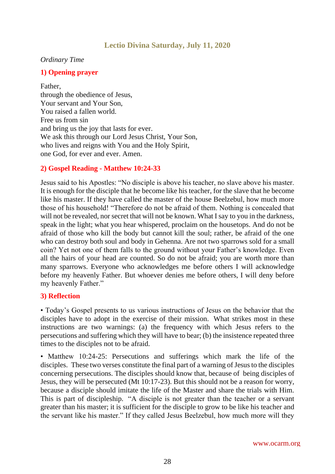# **Lectio Divina Saturday, July 11, 2020**

#### <span id="page-27-0"></span>*Ordinary Time*

#### **1) Opening prayer**

Father, through the obedience of Jesus, Your servant and Your Son, You raised a fallen world. Free us from sin and bring us the joy that lasts for ever. We ask this through our Lord Jesus Christ, Your Son, who lives and reigns with You and the Holy Spirit, one God, for ever and ever. Amen.

#### **2) Gospel Reading - Matthew 10:24-33**

Jesus said to his Apostles: "No disciple is above his teacher, no slave above his master. It is enough for the disciple that he become like his teacher, for the slave that he become like his master. If they have called the master of the house Beelzebul, how much more those of his household! "Therefore do not be afraid of them. Nothing is concealed that will not be revealed, nor secret that will not be known. What I say to you in the darkness, speak in the light; what you hear whispered, proclaim on the housetops. And do not be afraid of those who kill the body but cannot kill the soul; rather, be afraid of the one who can destroy both soul and body in Gehenna. Are not two sparrows sold for a small coin? Yet not one of them falls to the ground without your Father's knowledge. Even all the hairs of your head are counted. So do not be afraid; you are worth more than many sparrows. Everyone who acknowledges me before others I will acknowledge before my heavenly Father. But whoever denies me before others, I will deny before my heavenly Father."

## **3) Reflection**

• Today's Gospel presents to us various instructions of Jesus on the behavior that the disciples have to adopt in the exercise of their mission. What strikes most in these instructions are two warnings: (a) the frequency with which Jesus refers to the persecutions and suffering which they will have to bear; (b) the insistence repeated three times to the disciples not to be afraid.

• Matthew 10:24-25: Persecutions and sufferings which mark the life of the disciples. These two verses constitute the final part of a warning of Jesus to the disciples concerning persecutions. The disciples should know that, because of being disciples of Jesus, they will be persecuted (Mt 10:17-23). But this should not be a reason for worry, because a disciple should imitate the life of the Master and share the trials with Him. This is part of discipleship. "A disciple is not greater than the teacher or a servant greater than his master; it is sufficient for the disciple to grow to be like his teacher and the servant like his master." If they called Jesus Beelzebul, how much more will they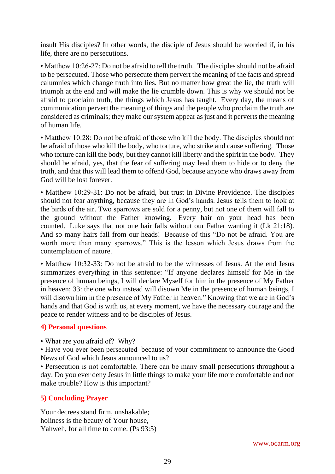insult His disciples? In other words, the disciple of Jesus should be worried if, in his life, there are no persecutions.

• Matthew 10:26-27: Do not be afraid to tell the truth. The disciples should not be afraid to be persecuted. Those who persecute them pervert the meaning of the facts and spread calumnies which change truth into lies. But no matter how great the lie, the truth will triumph at the end and will make the lie crumble down. This is why we should not be afraid to proclaim truth, the things which Jesus has taught. Every day, the means of communication pervert the meaning of things and the people who proclaim the truth are considered as criminals; they make our system appear as just and it perverts the meaning of human life.

• Matthew 10:28: Do not be afraid of those who kill the body. The disciples should not be afraid of those who kill the body, who torture, who strike and cause suffering. Those who torture can kill the body, but they cannot kill liberty and the spirit in the body. They should be afraid, yes, that the fear of suffering may lead them to hide or to deny the truth, and that this will lead them to offend God, because anyone who draws away from God will be lost forever.

• Matthew 10:29-31: Do not be afraid, but trust in Divine Providence. The disciples should not fear anything, because they are in God's hands. Jesus tells them to look at the birds of the air. Two sparrows are sold for a penny, but not one of them will fall to the ground without the Father knowing. Every hair on your head has been counted. Luke says that not one hair falls without our Father wanting it (Lk 21:18). And so many hairs fall from our heads! Because of this "Do not be afraid. You are worth more than many sparrows." This is the lesson which Jesus draws from the contemplation of nature.

• Matthew 10:32-33: Do not be afraid to be the witnesses of Jesus. At the end Jesus summarizes everything in this sentence: "If anyone declares himself for Me in the presence of human beings, I will declare Myself for him in the presence of My Father in heaven; 33: the one who instead will disown Me in the presence of human beings, I will disown him in the presence of My Father in heaven." Knowing that we are in God's hands and that God is with us, at every moment, we have the necessary courage and the peace to render witness and to be disciples of Jesus.

## **4) Personal questions**

• What are you afraid of? Why?

• Have you ever been persecuted because of your commitment to announce the Good News of God which Jesus announced to us?

• Persecution is not comfortable. There can be many small persecutions throughout a day. Do you ever deny Jesus in little things to make your life more comfortable and not make trouble? How is this important?

# **5) Concluding Prayer**

Your decrees stand firm, unshakable; holiness is the beauty of Your house, Yahweh, for all time to come. (Ps 93:5)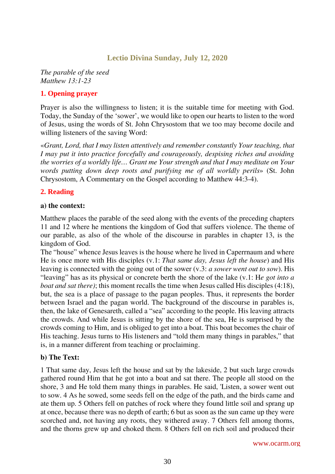# **Lectio Divina Sunday, July 12, 2020**

<span id="page-29-0"></span>*The parable of the seed Matthew 13:1-23*

## **1. Opening prayer**

Prayer is also the willingness to listen; it is the suitable time for meeting with God. Today, the Sunday of the 'sower', we would like to open our hearts to listen to the word of Jesus, using the words of St. John Chrysostom that we too may become docile and willing listeners of the saving Word:

«*Grant, Lord, that I may listen attentively and remember constantly Your teaching, that I may put it into practice forcefully and courageously, despising riches and avoiding the worries of a worldly life… Grant me Your strength and that I may meditate on Your words putting down deep roots and purifying me of all worldly perils*» (St. John Chrysostom, A Commentary on the Gospel according to Matthew 44:3-4).

# **2. Reading**

## **a) the context:**

Matthew places the parable of the seed along with the events of the preceding chapters 11 and 12 where he mentions the kingdom of God that suffers violence. The theme of our parable, as also of the whole of the discourse in parables in chapter 13, is the kingdom of God.

The "house" whence Jesus leaves is the house where he lived in Caperrnaum and where He is once more with His disciples (v.1: *That same day, Jesus left the house*) and His leaving is connected with the going out of the sower (v.3: *a sower went out to sow*). His "leaving" has as its physical or concrete berth the shore of the lake (v.1: H*e got into a boat and sat there)*; this moment recalls the time when Jesus called His disciples (4:18), but, the sea is a place of passage to the pagan peoples. Thus, it represents the border between Israel and the pagan world. The background of the discourse in parables is, then, the lake of Genesareth, called a "sea" according to the people. His leaving attracts the crowds. And while Jesus is sitting by the shore of the sea, He is surprised by the crowds coming to Him, and is obliged to get into a boat. This boat becomes the chair of His teaching. Jesus turns to His listeners and "told them many things in parables," that is, in a manner different from teaching or proclaiming.

# **b) The Text:**

1 That same day, Jesus left the house and sat by the lakeside, 2 but such large crowds gathered round Him that he got into a boat and sat there. The people all stood on the shore, 3 and He told them many things in parables. He said, 'Listen, a sower went out to sow. 4 As he sowed, some seeds fell on the edge of the path, and the birds came and ate them up. 5 Others fell on patches of rock where they found little soil and sprang up at once, because there was no depth of earth; 6 but as soon as the sun came up they were scorched and, not having any roots, they withered away. 7 Others fell among thorns, and the thorns grew up and choked them. 8 Others fell on rich soil and produced their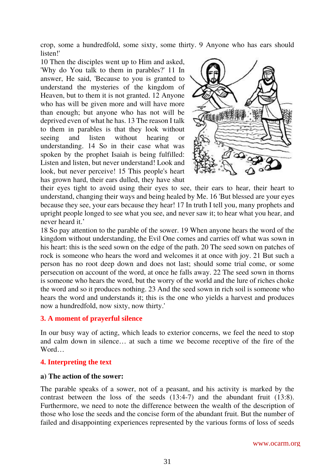crop, some a hundredfold, some sixty, some thirty. 9 Anyone who has ears should listen!'

10 Then the disciples went up to Him and asked, 'Why do You talk to them in parables?' 11 In answer, He said, 'Because to you is granted to understand the mysteries of the kingdom of Heaven, but to them it is not granted. 12 Anyone who has will be given more and will have more than enough; but anyone who has not will be deprived even of what he has. 13 The reason I talk to them in parables is that they look without seeing and listen without hearing or understanding. 14 So in their case what was spoken by the prophet Isaiah is being fulfilled: Listen and listen, but never understand! Look and look, but never perceive! 15 This people's heart has grown hard, their ears dulled, they have shut



their eyes tight to avoid using their eyes to see, their ears to hear, their heart to understand, changing their ways and being healed by Me. 16 'But blessed are your eyes because they see, your ears because they hear! 17 In truth I tell you, many prophets and upright people longed to see what you see, and never saw it; to hear what you hear, and never heard it.'

18 So pay attention to the parable of the sower. 19 When anyone hears the word of the kingdom without understanding, the Evil One comes and carries off what was sown in his heart: this is the seed sown on the edge of the path. 20 The seed sown on patches of rock is someone who hears the word and welcomes it at once with joy. 21 But such a person has no root deep down and does not last; should some trial come, or some persecution on account of the word, at once he falls away. 22 The seed sown in thorns is someone who hears the word, but the worry of the world and the lure of riches choke the word and so it produces nothing. 23 And the seed sown in rich soil is someone who hears the word and understands it; this is the one who yields a harvest and produces now a hundredfold, now sixty, now thirty.'

#### **3. A moment of prayerful silence**

In our busy way of acting, which leads to exterior concerns, we feel the need to stop and calm down in silence… at such a time we become receptive of the fire of the Word…

#### **4. Interpreting the text**

#### **a) The action of the sower:**

The parable speaks of a sower, not of a peasant, and his activity is marked by the contrast between the loss of the seeds (13:4-7) and the abundant fruit (13:8). Furthermore, we need to note the difference between the wealth of the description of those who lose the seeds and the concise form of the abundant fruit. But the number of failed and disappointing experiences represented by the various forms of loss of seeds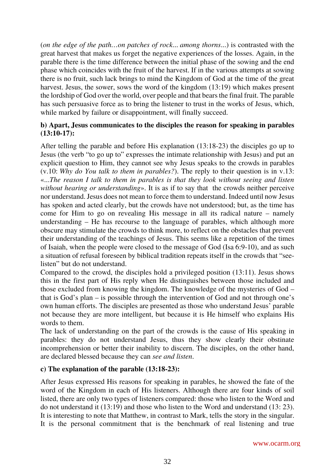(*on the edge of the path…on patches of rock*... *among thorns*...) is contrasted with the great harvest that makes us forget the negative experiences of the losses. Again, in the parable there is the time difference between the initial phase of the sowing and the end phase which coincides with the fruit of the harvest. If in the various attempts at sowing there is no fruit, such lack brings to mind the Kingdom of God at the time of the great harvest. Jesus, the sower, sows the word of the kingdom (13:19) which makes present the lordship of God over the world, over people and that bears the final fruit. The parable has such persuasive force as to bring the listener to trust in the works of Jesus, which, while marked by failure or disappointment, will finally succeed.

## **b) Apart, Jesus communicates to the disciples the reason for speaking in parables (13:10-17):**

After telling the parable and before His explanation (13:18-23) the disciples go up to Jesus (the verb "to go up to" expresses the intimate relationship with Jesus) and put an explicit question to Him, they cannot see why Jesus speaks to the crowds in parables (v.10: *Why do You talk to them in parables?*). The reply to their question is in v.13: «...*The reason I talk to them in parables is that they look without seeing and listen without hearing or understanding*». It is as if to say that the crowds neither perceive nor understand. Jesus does not mean to force them to understand. Indeed until now Jesus has spoken and acted clearly, but the crowds have not understood; but, as the time has come for Him to go on revealing His message in all its radical nature – namely understanding – He has recourse to the language of parables, which although more obscure may stimulate the crowds to think more, to reflect on the obstacles that prevent their understanding of the teachings of Jesus. This seems like a repetition of the times of Isaiah, when the people were closed to the message of God (Isa 6:9-10), and as such a situation of refusal foreseen by biblical tradition repeats itself in the crowds that "seelisten" but do not understand.

Compared to the crowd, the disciples hold a privileged position (13:11). Jesus shows this in the first part of His reply when He distinguishes between those included and those excluded from knowing the kingdom. The knowledge of the mysteries of God – that is God's plan – is possible through the intervention of God and not through one's own human efforts. The disciples are presented as those who understand Jesus' parable not because they are more intelligent, but because it is He himself who explains His words to them.

The lack of understanding on the part of the crowds is the cause of His speaking in parables: they do not understand Jesus, thus they show clearly their obstinate incomprehension or better their inability to discern. The disciples, on the other hand, are declared blessed because they can *see and listen*.

## **c) The explanation of the parable (13:18-23):**

After Jesus expressed His reasons for speaking in parables, he showed the fate of the word of the Kingdom in each of His listeners. Although there are four kinds of soil listed, there are only two types of listeners compared: those who listen to the Word and do not understand it (13:19) and those who listen to the Word and understand (13: 23). It is interesting to note that Matthew, in contrast to Mark, tells the story in the singular. It is the personal commitment that is the benchmark of real listening and true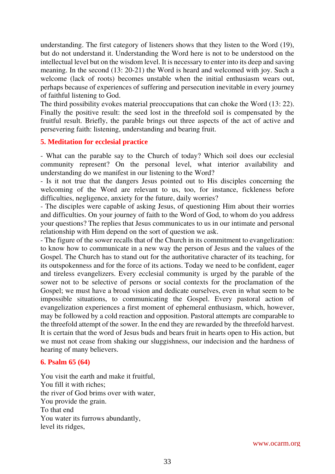understanding. The first category of listeners shows that they listen to the Word (19), but do not understand it. Understanding the Word here is not to be understood on the intellectual level but on the wisdom level. It is necessary to enter into its deep and saving meaning. In the second (13: 20-21) the Word is heard and welcomed with joy. Such a welcome (lack of roots) becomes unstable when the initial enthusiasm wears out, perhaps because of experiences of suffering and persecution inevitable in every journey of faithful listening to God.

The third possibility evokes material preoccupations that can choke the Word (13: 22). Finally the positive result: the seed lost in the threefold soil is compensated by the fruitful result. Briefly, the parable brings out three aspects of the act of active and persevering faith: listening, understanding and bearing fruit.

#### **5. Meditation for ecclesial practice**

- What can the parable say to the Church of today? Which soil does our ecclesial community represent? On the personal level, what interior availability and understanding do we manifest in our listening to the Word?

- Is it not true that the dangers Jesus pointed out to His disciples concerning the welcoming of the Word are relevant to us, too, for instance, fickleness before difficulties, negligence, anxiety for the future, daily worries?

- The disciples were capable of asking Jesus, of questioning Him about their worries and difficulties. On your journey of faith to the Word of God, to whom do you address your questions? The replies that Jesus communicates to us in our intimate and personal relationship with Him depend on the sort of question we ask.

- The figure of the sower recalls that of the Church in its commitment to evangelization: to know how to communicate in a new way the person of Jesus and the values of the Gospel. The Church has to stand out for the authoritative character of its teaching, for its outspokenness and for the force of its actions. Today we need to be confident, eager and tireless evangelizers. Every ecclesial community is urged by the parable of the sower not to be selective of persons or social contexts for the proclamation of the Gospel; we must have a broad vision and dedicate ourselves, even in what seem to be impossible situations, to communicating the Gospel. Every pastoral action of evangelization experiences a first moment of ephemeral enthusiasm, which, however, may be followed by a cold reaction and opposition. Pastoral attempts are comparable to the threefold attempt of the sower. In the end they are rewarded by the threefold harvest. It is certain that the word of Jesus buds and bears fruit in hearts open to His action, but we must not cease from shaking our sluggishness, our indecision and the hardness of hearing of many believers.

#### **6. Psalm 65 (64)**

You visit the earth and make it fruitful, You fill it with riches; the river of God brims over with water, You provide the grain. To that end You water its furrows abundantly, level its ridges,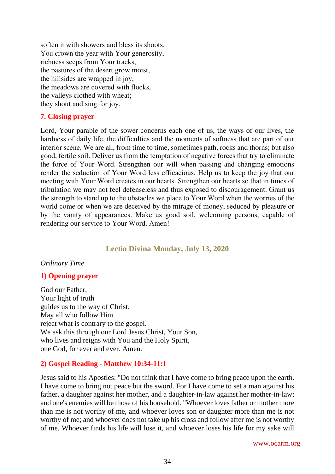soften it with showers and bless its shoots. You crown the year with Your generosity, richness seeps from Your tracks, the pastures of the desert grow moist, the hillsides are wrapped in joy, the meadows are covered with flocks, the valleys clothed with wheat; they shout and sing for joy.

#### **7. Closing prayer**

Lord, Your parable of the sower concerns each one of us, the ways of our lives, the hardness of daily life, the difficulties and the moments of softness that are part of our interior scene. We are all, from time to time, sometimes path, rocks and thorns; but also good, fertile soil. Deliver us from the temptation of negative forces that try to eliminate the force of Your Word. Strengthen our will when passing and changing emotions render the seduction of Your Word less efficacious. Help us to keep the joy that our meeting with Your Word creates in our hearts. Strengthen our hearts so that in times of tribulation we may not feel defenseless and thus exposed to discouragement. Grant us the strength to stand up to the obstacles we place to Your Word when the worries of the world come or when we are deceived by the mirage of money, seduced by pleasure or by the vanity of appearances. Make us good soil, welcoming persons, capable of rendering our service to Your Word. Amen!

#### **Lectio Divina Monday, July 13, 2020**

#### <span id="page-33-0"></span>*Ordinary Time*

#### **1) Opening prayer**

God our Father, Your light of truth guides us to the way of Christ. May all who follow Him reject what is contrary to the gospel. We ask this through our Lord Jesus Christ, Your Son, who lives and reigns with You and the Holy Spirit, one God, for ever and ever. Amen.

#### **2) Gospel Reading - Matthew 10:34-11:1**

Jesus said to his Apostles: "Do not think that I have come to bring peace upon the earth. I have come to bring not peace but the sword. For I have come to set a man against his father, a daughter against her mother, and a daughter-in-law against her mother-in-law; and one's enemies will be those of his household. "Whoever loves father or mother more than me is not worthy of me, and whoever loves son or daughter more than me is not worthy of me; and whoever does not take up his cross and follow after me is not worthy of me. Whoever finds his life will lose it, and whoever loses his life for my sake will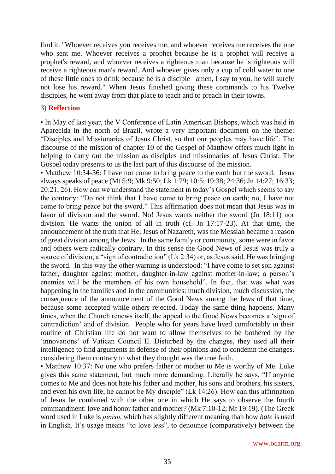find it. "Whoever receives you receives me, and whoever receives me receives the one who sent me. Whoever receives a prophet because he is a prophet will receive a prophet's reward, and whoever receives a righteous man because he is righteous will receive a righteous man's reward. And whoever gives only a cup of cold water to one of these little ones to drink because he is a disciple– amen, I say to you, he will surely not lose his reward." When Jesus finished giving these commands to his Twelve disciples, he went away from that place to teach and to preach in their towns.

## **3) Reflection**

• In May of last year, the V Conference of Latin American Bishops, which was held in Aparecida in the north of Brazil, wrote a very important document on the theme: "Disciples and Missionaries of Jesus Christ, so that our peoples may have life". The discourse of the mission of chapter 10 of the Gospel of Matthew offers much light in helping to carry out the mission as disciples and missionaries of Jesus Christ. The Gospel today presents to us the last part of this discourse of the mission.

• Matthew 10:34-36: I have not come to bring peace to the earth but the sword. Jesus always speaks of peace (Mt 5:9; Mk 9:50; Lk 1:79; 10:5; 19:38; 24:36; Jn 14:27; 16:33; 20:21, 26). How can we understand the statement in today's Gospel which seems to say the contrary: "Do not think that I have come to bring peace on earth; no, I have not come to bring peace but the sword." This affirmation does not mean that Jesus was in favor of division and the sword. No! Jesus wants neither the sword (Jn 18:11) nor division. He wants the union of all in truth (cf. Jn 17:17-23). At that time, the announcement of the truth that He, Jesus of Nazareth, was the Messiah became a reason of great division among the Jews. In the same family or community, some were in favor and others were radically contrary. In this sense the Good News of Jesus was truly a source of division, a "sign of contradiction" (Lk 2:34) or, as Jesus said, He was bringing the sword. In this way the other warning is understood: "I have come to set son against father, daughter against mother, daughter-in-law against mother-in-law; a person's enemies will be the members of his own household". In fact, that was what was happening in the families and in the communities: much division, much discussion, the consequence of the announcement of the Good News among the Jews of that time, because some accepted while others rejected. Today the same thing happens. Many times, when the Church renews itself, the appeal to the Good News becomes a 'sign of contradiction' and of division. People who for years have lived comfortably in their routine of Christian life do not want to allow themselves to be bothered by the 'innovations' of Vatican Council II. Disturbed by the changes, they used all their intelligence to find arguments in defense of their opinions and to condemn the changes, considering them contrary to what they thought was the true faith.

• Matthew 10:37: No one who prefers father or mother to Me is worthy of Me. Luke gives this same statement, but much more demanding. Literally he says, "If anyone comes to Me and does not hate his father and mother, his sons and brothers, his sisters, and even his own life, he cannot be My disciple" (Lk 14:26). How can this affirmation of Jesus be combined with the other one in which He says to observe the fourth commandment: love and honor father and mother? (Mk 7:10-12; Mt 19:19). (The Greek word used in Luke is *μισέω*, which has slightly different meaning than how *hate* is used in English. It's usage means "to love less", to denounce (comparatively) between the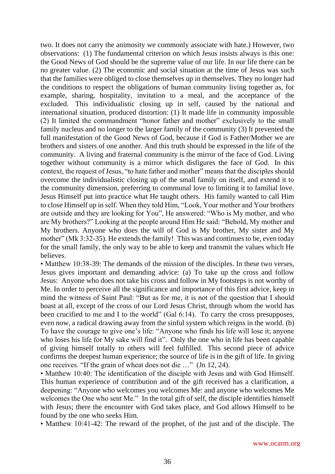two. It does not carry the animosity we commonly associate with hate.) However, two observations: (1) The fundamental criterion on which Jesus insists always is this one: the Good News of God should be the supreme value of our life. In our life there can be no greater value. (2) The economic and social situation at the time of Jesus was such that the families were obliged to close themselves up in themselves. They no longer had the conditions to respect the obligations of human community living together as, for example, sharing, hospitality, invitation to a meal, and the acceptance of the excluded. This individualistic closing up in self, caused by the national and international situation, produced distortion: (1) It made life in community impossible (2) It limited the commandment "honor father and mother" exclusively to the small family nucleus and no longer to the larger family of the community (3) It prevented the full manifestation of the Good News of God, because if God is Father/Mother we are brothers and sisters of one another. And this truth should be expressed in the life of the community. A living and fraternal community is the mirror of the face of God. Living together without community is a mirror which disfigures the face of God. In this context, the request of Jesus, "to hate father and mother" means that the disciples should overcome the individualistic closing up of the small family on itself, and extend it to the community dimension, preferring to communal love to limiting it to familial love. Jesus Himself put into practice what He taught others. His family wanted to call Him to close Himself up in self. When they told Him, "Look, Your mother and Your brothers are outside and they are looking for You", He answered: "Who is My mother, and who are My brothers?" Looking at the people around Him He said: "Behold, My mother and My brothers. Anyone who does the will of God is My brother, My sister and My mother" (Mk 3:32-35). He extends the family! This was and continues to be, even today for the small family, the only way to be able to keep and transmit the values which He believes.

• Matthew 10:38-39: The demands of the mission of the disciples. In these two verses, Jesus gives important and demanding advice: (a) To take up the cross and follow Jesus: Anyone who does not take his cross and follow in My footsteps is not worthy of Me. In order to perceive all the significance and importance of this first advice, keep in mind the witness of Saint Paul: "But as for me, it is not of the question that I should boast at all, except of the cross of our Lord Jesus Christ, through whom the world has been crucified to me and I to the world" (Gal 6:14). To carry the cross presupposes, even now, a radical drawing away from the sinful system which reigns in the world. (b) To have the courage to give one's life: "Anyone who finds his life will lose it; anyone who loses his life for My sake will find it". Only the one who in life has been capable of giving himself totally to others will feel fulfilled. This second piece of advice confirms the deepest human experience; the source of life is in the gift of life. In giving one receives. "If the grain of wheat does not die …" (Jn 12, 24).

• Matthew 10:40: The identification of the disciple with Jesus and with God Himself. This human experience of contribution and of the gift received has a clarification, a deepening: "Anyone who welcomes you welcomes Me: and anyone who welcomes Me welcomes the One who sent Me." In the total gift of self, the disciple identifies himself with Jesus; there the encounter with God takes place, and God allows Himself to be found by the one who seeks Him.

• Matthew 10:41-42: The reward of the prophet, of the just and of the disciple. The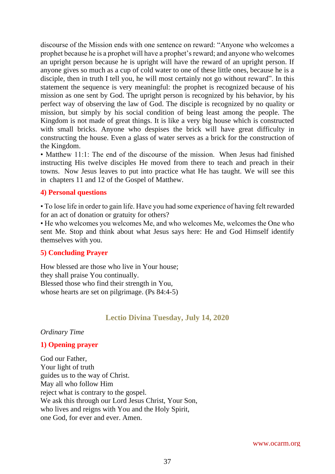discourse of the Mission ends with one sentence on reward: "Anyone who welcomes a prophet because he is a prophet will have a prophet's reward; and anyone who welcomes an upright person because he is upright will have the reward of an upright person. If anyone gives so much as a cup of cold water to one of these little ones, because he is a disciple, then in truth I tell you, he will most certainly not go without reward". In this statement the sequence is very meaningful: the prophet is recognized because of his mission as one sent by God. The upright person is recognized by his behavior, by his perfect way of observing the law of God. The disciple is recognized by no quality or mission, but simply by his social condition of being least among the people. The Kingdom is not made of great things. It is like a very big house which is constructed with small bricks. Anyone who despises the brick will have great difficulty in constructing the house. Even a glass of water serves as a brick for the construction of the Kingdom.

• Matthew 11:1: The end of the discourse of the mission. When Jesus had finished instructing His twelve disciples He moved from there to teach and preach in their towns. Now Jesus leaves to put into practice what He has taught. We will see this in chapters 11 and 12 of the Gospel of Matthew.

#### **4) Personal questions**

• To lose life in order to gain life. Have you had some experience of having felt rewarded for an act of donation or gratuity for others?

• He who welcomes you welcomes Me, and who welcomes Me, welcomes the One who sent Me. Stop and think about what Jesus says here: He and God Himself identify themselves with you.

#### **5) Concluding Prayer**

How blessed are those who live in Your house; they shall praise You continually. Blessed those who find their strength in You, whose hearts are set on pilgrimage. (Ps 84:4-5)

## **Lectio Divina Tuesday, July 14, 2020**

*Ordinary Time*

## **1) Opening prayer**

God our Father, Your light of truth guides us to the way of Christ. May all who follow Him reject what is contrary to the gospel. We ask this through our Lord Jesus Christ, Your Son, who lives and reigns with You and the Holy Spirit, one God, for ever and ever. Amen.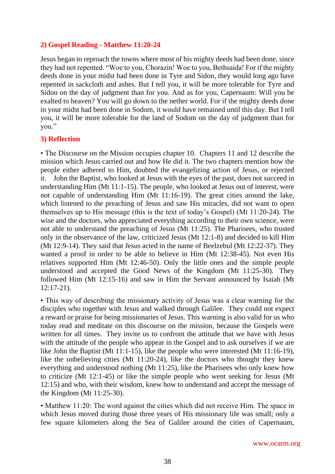## **2) Gospel Reading - Matthew 11:20-24**

Jesus began to reproach the towns where most of his mighty deeds had been done, since they had not repented. "Woe to you, Chorazin! Woe to you, Bethsaida! For if the mighty deeds done in your midst had been done in Tyre and Sidon, they would long ago have repented in sackcloth and ashes. But I tell you, it will be more tolerable for Tyre and Sidon on the day of judgment than for you. And as for you, Capernaum: Will you be exalted to heaven? You will go down to the nether world. For if the mighty deeds done in your midst had been done in Sodom, it would have remained until this day. But I tell you, it will be more tolerable for the land of Sodom on the day of judgment than for you."

#### **3) Reflection**

• The Discourse on the Mission occupies chapter 10. Chapters 11 and 12 describe the mission which Jesus carried out and how He did it. The two chapters mention how the people either adhered to Him, doubted the evangelizing action of Jesus, or rejected it. John the Baptist, who looked at Jesus with the eyes of the past, does not succeed in understanding Him (Mt 11:1-15). The people, who looked at Jesus out of interest, were not capable of understanding Him (Mt 11:16-19). The great cities around the lake, which listened to the preaching of Jesus and saw His miracles, did not want to open themselves up to His message (this is the text of today's Gospel) (Mt 11:20-24). The wise and the doctors, who appreciated everything according to their own science, were not able to understand the preaching of Jesus (Mt 11:25). The Pharisees, who trusted only in the observance of the law, criticized Jesus (Mt 12:1-8) and decided to kill Him (Mt 12:9-14). They said that Jesus acted in the name of Beelzebul (Mt 12:22-37). They wanted a proof in order to be able to believe in Him (Mt 12:38-45). Not even His relatives supported Him (Mt 12:46-50). Only the little ones and the simple people understood and accepted the Good News of the Kingdom (Mt 11:25-30). They followed Him (Mt 12:15-16) and saw in Him the Servant announced by Isaiah (Mt 12:17-21).

• This way of describing the missionary activity of Jesus was a clear warning for the disciples who together with Jesus and walked through Galilee. They could not expect a reward or praise for being missionaries of Jesus. This warning is also valid for us who today read and meditate on this discourse on the mission, because the Gospels were written for all times. They invite us to confront the attitude that we have with Jesus with the attitude of the people who appear in the Gospel and to ask ourselves if we are like John the Baptist (Mt 11:1-15), like the people who were interested (Mt 11:16-19), like the unbelieving cities (Mt 11:20-24), like the doctors who thought they knew everything and understood nothing (Mt 11:25), like the Pharisees who only knew how to criticize (Mt 12:1-45) or like the simple people who went seeking for Jesus (Mt 12:15) and who, with their wisdom, knew how to understand and accept the message of the Kingdom (Mt 11:25-30).

• Matthew 11:20: The word against the cities which did not receive Him. The space in which Jesus moved during those three years of His missionary life was small; only a few square kilometers along the Sea of Galilee around the cities of Capernaum,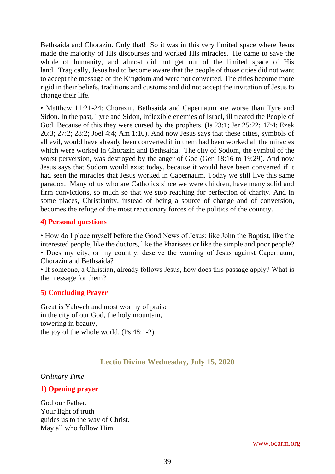Bethsaida and Chorazin. Only that! So it was in this very limited space where Jesus made the majority of His discourses and worked His miracles. He came to save the whole of humanity, and almost did not get out of the limited space of His land. Tragically, Jesus had to become aware that the people of those cities did not want to accept the message of the Kingdom and were not converted. The cities become more rigid in their beliefs, traditions and customs and did not accept the invitation of Jesus to change their life.

• Matthew 11:21-24: Chorazin, Bethsaida and Capernaum are worse than Tyre and Sidon. In the past, Tyre and Sidon, inflexible enemies of Israel, ill treated the People of God. Because of this they were cursed by the prophets. (Is 23:1; Jer 25:22; 47:4; Ezek 26:3; 27:2; 28:2; Joel 4:4; Am 1:10). And now Jesus says that these cities, symbols of all evil, would have already been converted if in them had been worked all the miracles which were worked in Chorazin and Bethsaida. The city of Sodom, the symbol of the worst perversion, was destroyed by the anger of God (Gen 18:16 to 19:29). And now Jesus says that Sodom would exist today, because it would have been converted if it had seen the miracles that Jesus worked in Capernaum. Today we still live this same paradox. Many of us who are Catholics since we were children, have many solid and firm convictions, so much so that we stop reaching for perfection of charity. And in some places, Christianity, instead of being a source of change and of conversion, becomes the refuge of the most reactionary forces of the politics of the country.

## **4) Personal questions**

• How do I place myself before the Good News of Jesus: like John the Baptist, like the interested people, like the doctors, like the Pharisees or like the simple and poor people? • Does my city, or my country, deserve the warning of Jesus against Capernaum, Chorazin and Bethsaida?

• If someone, a Christian, already follows Jesus, how does this passage apply? What is the message for them?

## **5) Concluding Prayer**

Great is Yahweh and most worthy of praise in the city of our God, the holy mountain, towering in beauty, the joy of the whole world. (Ps 48:1-2)

# **Lectio Divina Wednesday, July 15, 2020**

*Ordinary Time*

## **1) Opening prayer**

God our Father, Your light of truth guides us to the way of Christ. May all who follow Him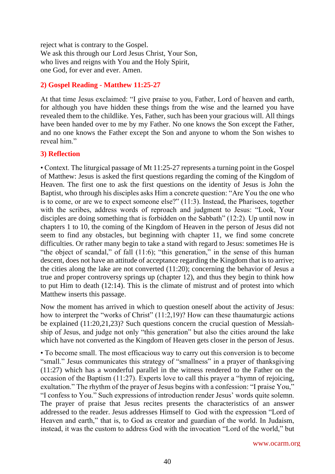reject what is contrary to the Gospel. We ask this through our Lord Jesus Christ, Your Son, who lives and reigns with You and the Holy Spirit, one God, for ever and ever. Amen.

# **2) Gospel Reading - Matthew 11:25-27**

At that time Jesus exclaimed: "I give praise to you, Father, Lord of heaven and earth, for although you have hidden these things from the wise and the learned you have revealed them to the childlike. Yes, Father, such has been your gracious will. All things have been handed over to me by my Father. No one knows the Son except the Father, and no one knows the Father except the Son and anyone to whom the Son wishes to reveal him."

#### **3) Reflection**

• Context. The liturgical passage of Mt 11:25-27 represents a turning point in the Gospel of Matthew: Jesus is asked the first questions regarding the coming of the Kingdom of Heaven. The first one to ask the first questions on the identity of Jesus is John the Baptist, who through his disciples asks Him a concrete question: "Are You the one who is to come, or are we to expect someone else?" (11:3). Instead, the Pharisees, together with the scribes, address words of reproach and judgment to Jesus: "Look, Your disciples are doing something that is forbidden on the Sabbath" (12:2). Up until now in chapters 1 to 10, the coming of the Kingdom of Heaven in the person of Jesus did not seem to find any obstacles, but beginning with chapter 11, we find some concrete difficulties. Or rather many begin to take a stand with regard to Jesus: sometimes He is "the object of scandal," of fall (11:6); "this generation," in the sense of this human descent, does not have an attitude of acceptance regarding the Kingdom that is to arrive; the cities along the lake are not converted (11:20); concerning the behavior of Jesus a true and proper controversy springs up (chapter 12), and thus they begin to think how to put Him to death (12:14). This is the climate of mistrust and of protest into which Matthew inserts this passage.

Now the moment has arrived in which to question oneself about the activity of Jesus: how to interpret the "works of Christ" (11:2,19)? How can these thaumaturgic actions be explained (11:20,21,23)? Such questions concern the crucial question of Messiahship of Jesus, and judge not only "this generation" but also the cities around the lake which have not converted as the Kingdom of Heaven gets closer in the person of Jesus.

• To become small. The most efficacious way to carry out this conversion is to become "small." Jesus communicates this strategy of "smallness" in a prayer of thanksgiving (11:27) which has a wonderful parallel in the witness rendered to the Father on the occasion of the Baptism (11:27). Experts love to call this prayer a "hymn of rejoicing, exultation." The rhythm of the prayer of Jesus begins with a confession: "I praise You," "I confess to You." Such expressions of introduction render Jesus' words quite solemn. The prayer of praise that Jesus recites presents the characteristics of an answer addressed to the reader. Jesus addresses Himself to God with the expression "Lord of Heaven and earth," that is, to God as creator and guardian of the world. In Judaism, instead, it was the custom to address God with the invocation "Lord of the world," but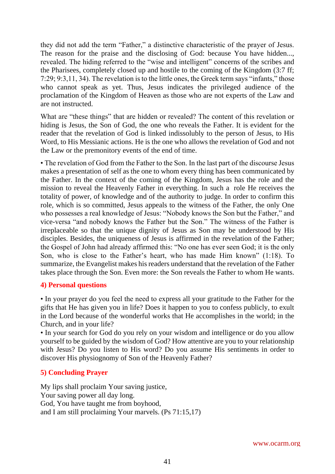they did not add the term "Father," a distinctive characteristic of the prayer of Jesus. The reason for the praise and the disclosing of God: because You have hidden..., revealed. The hiding referred to the "wise and intelligent" concerns of the scribes and the Pharisees, completely closed up and hostile to the coming of the Kingdom (3:7 ff; 7:29; 9:3,11, 34). The revelation is to the little ones, the Greek term says "infants," those who cannot speak as yet. Thus, Jesus indicates the privileged audience of the proclamation of the Kingdom of Heaven as those who are not experts of the Law and are not instructed.

What are "these things" that are hidden or revealed? The content of this revelation or hiding is Jesus, the Son of God, the one who reveals the Father. It is evident for the reader that the revelation of God is linked indissolubly to the person of Jesus, to His Word, to His Messianic actions. He is the one who allows the revelation of God and not the Law or the premonitory events of the end of time.

• The revelation of God from the Father to the Son. In the last part of the discourse Jesus makes a presentation of self as the one to whom every thing has been communicated by the Father. In the context of the coming of the Kingdom, Jesus has the role and the mission to reveal the Heavenly Father in everything. In such a role He receives the totality of power, of knowledge and of the authority to judge. In order to confirm this role, which is so committed, Jesus appeals to the witness of the Father, the only One who possesses a real knowledge of Jesus: "Nobody knows the Son but the Father," and vice-versa "and nobody knows the Father but the Son." The witness of the Father is irreplaceable so that the unique dignity of Jesus as Son may be understood by His disciples. Besides, the uniqueness of Jesus is affirmed in the revelation of the Father; the Gospel of John had already affirmed this: "No one has ever seen God; it is the only Son, who is close to the Father's heart, who has made Him known" (1:18). To summarize, the Evangelist makes his readers understand that the revelation of the Father takes place through the Son. Even more: the Son reveals the Father to whom He wants.

## **4) Personal questions**

• In your prayer do you feel the need to express all your gratitude to the Father for the gifts that He has given you in life? Does it happen to you to confess publicly, to exult in the Lord because of the wonderful works that He accomplishes in the world; in the Church, and in your life?

• In your search for God do you rely on your wisdom and intelligence or do you allow yourself to be guided by the wisdom of God? How attentive are you to your relationship with Jesus? Do you listen to His word? Do you assume His sentiments in order to discover His physiognomy of Son of the Heavenly Father?

## **5) Concluding Prayer**

My lips shall proclaim Your saving justice, Your saving power all day long. God, You have taught me from boyhood, and I am still proclaiming Your marvels. (Ps 71:15,17)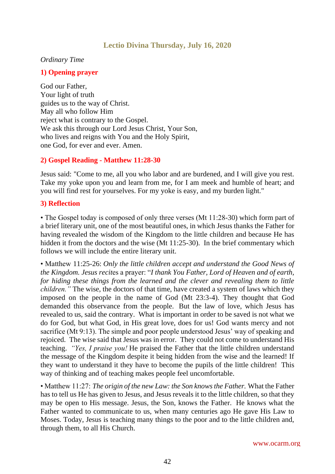# **Lectio Divina Thursday, July 16, 2020**

*Ordinary Time*

## **1) Opening prayer**

God our Father, Your light of truth guides us to the way of Christ. May all who follow Him reject what is contrary to the Gospel. We ask this through our Lord Jesus Christ, Your Son, who lives and reigns with You and the Holy Spirit, one God, for ever and ever. Amen.

## **2) Gospel Reading - Matthew 11:28-30**

Jesus said: "Come to me, all you who labor and are burdened, and I will give you rest. Take my yoke upon you and learn from me, for I am meek and humble of heart; and you will find rest for yourselves. For my yoke is easy, and my burden light."

## **3) Reflection**

• The Gospel today is composed of only three verses (Mt 11:28-30) which form part of a brief literary unit, one of the most beautiful ones, in which Jesus thanks the Father for having revealed the wisdom of the Kingdom to the little children and because He has hidden it from the doctors and the wise (Mt 11:25-30). In the brief commentary which follows we will include the entire literary unit.

• Matthew 11:25-26: *Only the little children accept and understand the Good News of the Kingdom. Jesus recit*es a prayer: "*I thank You Father, Lord of Heaven and of earth, for hiding these things from the learned and the clever and revealing them to little children."* The wise, the doctors of that time, have created a system of laws which they imposed on the people in the name of God (Mt 23:3-4). They thought that God demanded this observance from the people. But the law of love, which Jesus has revealed to us, said the contrary. What is important in order to be saved is not what we do for God, but what God, in His great love, does for us! God wants mercy and not sacrifice (Mt 9:13). The simple and poor people understood Jesus' way of speaking and rejoiced. The wise said that Jesus was in error. They could not come to understand His teaching. *"Yes, I praise you!* He praised the Father that the little children understand the message of the Kingdom despite it being hidden from the wise and the learned! If they want to understand it they have to become the pupils of the little children! This way of thinking and of teaching makes people feel uncomfortable.

• Matthew 11:27: *The origin of the new Law: the Son knows the Father.* What the Father has to tell us He has given to Jesus, and Jesus reveals it to the little children, so that they may be open to His message. Jesus, the Son, knows the Father. He knows what the Father wanted to communicate to us, when many centuries ago He gave His Law to Moses. Today, Jesus is teaching many things to the poor and to the little children and, through them, to all His Church.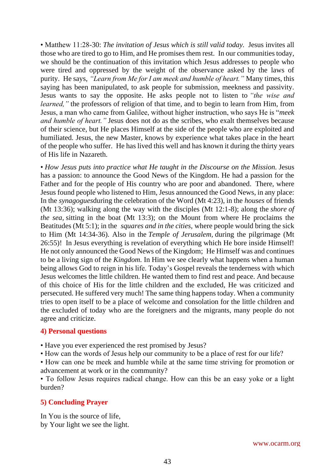• Matthew 11:28-30: *The invitation of Jesus which is still valid today.* Jesus invites all those who are tired to go to Him, and He promises them rest. In our communities today, we should be the continuation of this invitation which Jesus addresses to people who were tired and oppressed by the weight of the observance asked by the laws of purity. He says, *"Learn from Me for I am meek and humble of heart."* Many times, this saying has been manipulated, to ask people for submission, meekness and passivity. Jesus wants to say the opposite. He asks people not to listen to *"the wise and learned,*" the professors of religion of that time, and to begin to learn from Him, from Jesus, a man who came from Galilee, without higher instruction, who says He is "*meek and humble of heart."* Jesus does not do as the scribes, who exalt themselves because of their science, but He places Himself at the side of the people who are exploited and humiliated. Jesus, the new Master, knows by experience what takes place in the heart of the people who suffer. He has lived this well and has known it during the thirty years of His life in Nazareth.

• *How Jesus puts into practice what He taught in the Discourse on the Mission.* Jesus has a passion: to announce the Good News of the Kingdom. He had a passion for the Father and for the people of His country who are poor and abandoned. There, where Jesus found people who listened to Him, Jesus announced the Good News, in any place: In the *synagogues*during the celebration of the Word (Mt 4:23), in the *houses* of friends (Mt 13:36); walking along the way with the disciples (Mt 12:1-8); along the *shore of the sea,* sitting in the boat (Mt 13:3); on the Mount from where He proclaims the Beatitudes (Mt 5:1); in the *squares and in the cities,* where people would bring the sick to Him (Mt 14:34-36). Also in the *Temple of Jerusalem,* during the pilgrimage (Mt 26:55)! In Jesus everything is revelation of everything which He bore inside Himself! He not only announced the Good News of the Kingdom; He Himself was and continues to be a living sign of the *Kingdom.* In Him we see clearly what happens when a human being allows God to reign in his life. Today's Gospel reveals the tenderness with which Jesus welcomes the little children. He wanted them to find rest and peace. And because of this choice of His for the little children and the excluded, He was criticized and persecuted. He suffered very much! The same thing happens today. When a community tries to open itself to be a place of welcome and consolation for the little children and the excluded of today who are the foreigners and the migrants, many people do not agree and criticize.

## **4) Personal questions**

- Have you ever experienced the rest promised by Jesus?
- How can the words of Jesus help our community to be a place of rest for our life?

• How can one be meek and humble while at the same time striving for promotion or advancement at work or in the community?

• To follow Jesus requires radical change. How can this be an easy yoke or a light burden?

# **5) Concluding Prayer**

In You is the source of life, by Your light we see the light.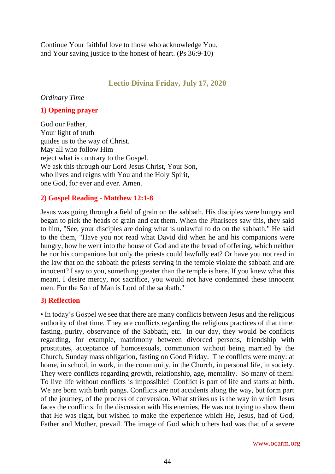Continue Your faithful love to those who acknowledge You, and Your saving justice to the honest of heart. (Ps 36:9-10)

## **Lectio Divina Friday, July 17, 2020**

*Ordinary Time*

#### **1) Opening prayer**

God our Father, Your light of truth guides us to the way of Christ. May all who follow Him reject what is contrary to the Gospel. We ask this through our Lord Jesus Christ, Your Son, who lives and reigns with You and the Holy Spirit, one God, for ever and ever. Amen.

## **2) Gospel Reading - Matthew 12:1-8**

Jesus was going through a field of grain on the sabbath. His disciples were hungry and began to pick the heads of grain and eat them. When the Pharisees saw this, they said to him, "See, your disciples are doing what is unlawful to do on the sabbath." He said to the them, "Have you not read what David did when he and his companions were hungry, how he went into the house of God and ate the bread of offering, which neither he nor his companions but only the priests could lawfully eat? Or have you not read in the law that on the sabbath the priests serving in the temple violate the sabbath and are innocent? I say to you, something greater than the temple is here. If you knew what this meant, I desire mercy, not sacrifice, you would not have condemned these innocent men. For the Son of Man is Lord of the sabbath."

#### **3) Reflection**

• In today's Gospel we see that there are many conflicts between Jesus and the religious authority of that time. They are conflicts regarding the religious practices of that time: fasting, purity, observance of the Sabbath, etc. In our day, they would be conflicts regarding, for example, matrimony between divorced persons, friendship with prostitutes, acceptance of homosexuals, communion without being married by the Church, Sunday mass obligation, fasting on Good Friday. The conflicts were many: at home, in school, in work, in the community, in the Church, in personal life, in society. They were conflicts regarding growth, relationship, age, mentality. So many of them! To live life without conflicts is impossible! Conflict is part of life and starts at birth. We are born with birth pangs. Conflicts are not accidents along the way, but form part of the journey, of the process of conversion. What strikes us is the way in which Jesus faces the conflicts. In the discussion with His enemies, He was not trying to show them that He was right, but wished to make the experience which He, Jesus, had of God, Father and Mother, prevail. The image of God which others had was that of a severe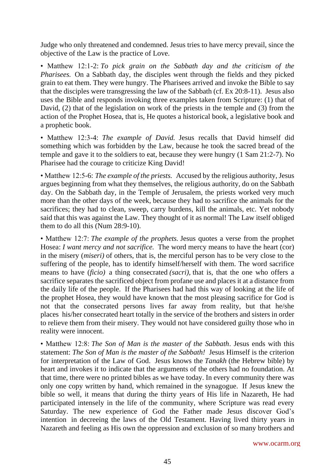Judge who only threatened and condemned. Jesus tries to have mercy prevail, since the objective of the Law is the practice of Love.

• Matthew 12:1-2: *To pick grain on the Sabbath day and the criticism of the Pharisees.* On a Sabbath day, the disciples went through the fields and they picked grain to eat them. They were hungry. The Pharisees arrived and invoke the Bible to say that the disciples were transgressing the law of the Sabbath (cf. Ex 20:8-11). Jesus also uses the Bible and responds invoking three examples taken from Scripture: (1) that of David, (2) that of the legislation on work of the priests in the temple and (3) from the action of the Prophet Hosea, that is, He quotes a historical book, a legislative book and a prophetic book.

• Matthew 12:3-4: *The example of David*. Jesus recalls that David himself did something which was forbidden by the Law, because he took the sacred bread of the temple and gave it to the soldiers to eat, because they were hungry (1 Sam 21:2-7). No Pharisee had the courage to criticize King David!

• Matthew 12:5-6: *The example of the priests.* Accused by the religious authority, Jesus argues beginning from what they themselves, the religious authority, do on the Sabbath day. On the Sabbath day, in the Temple of Jerusalem, the priests worked very much more than the other days of the week, because they had to sacrifice the animals for the sacrifices; they had to clean, sweep, carry burdens, kill the animals, etc. Yet nobody said that this was against the Law. They thought of it as normal! The Law itself obliged them to do all this (Num 28:9-10).

• Matthew 12:7: *The example of the prophets.* Jesus quotes a verse from the prophet Hosea: *I want mercy and not sacrifice.* The word mercy means to have the heart (cor) in the misery (*miseri)* of others, that is, the merciful person has to be very close to the suffering of the people, has to identify himself/herself with them. The word sacrifice means to have (*ficio)* a thing consecrated *(sacri),* that is, that the one who offers a sacrifice separates the sacrificed object from profane use and places it at a distance from the daily life of the people. If the Pharisees had had this way of looking at the life of the prophet Hosea, they would have known that the most pleasing sacrifice for God is not that the consecrated persons lives far away from reality, but that he/she places his/her consecrated heart totally in the service of the brothers and sisters in order to relieve them from their misery. They would not have considered guilty those who in reality were innocent.

• Matthew 12:8: *The Son of Man is the master of the Sabbath*. Jesus ends with this statement: *The Son of Man is the master of the Sabbath!* Jesus Himself is the criterion for interpretation of the Law of God. Jesus knows the *Tanakh* (the Hebrew bible) by heart and invokes it to indicate that the arguments of the others had no foundation. At that time, there were no printed bibles as we have today. In every community there was only one copy written by hand, which remained in the synagogue. If Jesus knew the bible so well, it means that during the thirty years of His life in Nazareth, He had participated intensely in the life of the community, where Scripture was read every Saturday. The new experience of God the Father made Jesus discover God's intention in decreeing the laws of the Old Testament. Having lived thirty years in Nazareth and feeling as His own the oppression and exclusion of so many brothers and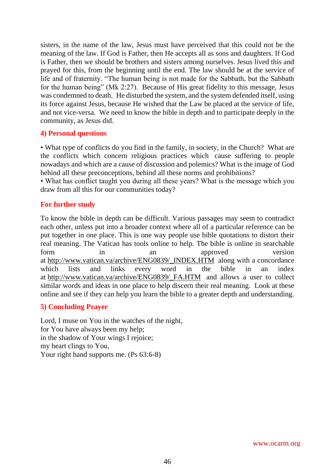sisters, in the name of the law, Jesus must have perceived that this could not be the meaning of the law. If God is Father, then He accepts all as sons and daughters. If God is Father, then we should be brothers and sisters among ourselves. Jesus lived this and prayed for this, from the beginning until the end. The law should be at the service of life and of fraternity. "The human being is not made for the Sabbath, but the Sabbath for the human being" (Mk 2:27). Because of His great fidelity to this message, Jesus was condemned to death. He disturbed the system, and the system defended itself, using its force against Jesus, because He wished that the Law be placed at the service of life, and not vice-versa. We need to know the bible in depth and to participate deeply in the community, as Jesus did.

#### **4) Personal questions**

• What type of conflicts do you find in the family, in society, in the Church? What are the conflicts which concern religious practices which cause suffering to people nowadays and which are a cause of discussion and polemics? What is the image of God behind all these preconceptions, behind all these norms and prohibitions?

• What has conflict taught you during all these years? What is the message which you draw from all this for our communities today?

## **For further study**

To know the bible in depth can be difficult. Various passages may seem to contradict each other, unless put into a broader context where all of a particular reference can be put together in one place. This is one way people use bible quotations to distort their real meaning. The Vatican has tools online to help. The bible is online in searchable form in an approved version at [http://www.vatican.va/archive/ENG0839/\\_INDEX.HTM](http://www.vatican.va/archive/ENG0839/_INDEX.HTM) along with a concordance which lists and links every word in the bible in an index at [http://www.vatican.va/archive/ENG0839/\\_FA.HTM](http://www.vatican.va/archive/ENG0839/_FA.HTM) and allows a user to collect similar words and ideas in one place to help discern their real meaning. Look at these online and see if they can help you learn the bible to a greater depth and understanding.

## **5) Concluding Prayer**

Lord, I muse on You in the watches of the night, for You have always been my help; in the shadow of Your wings I rejoice; my heart clings to You, Your right hand supports me. (Ps 63:6-8)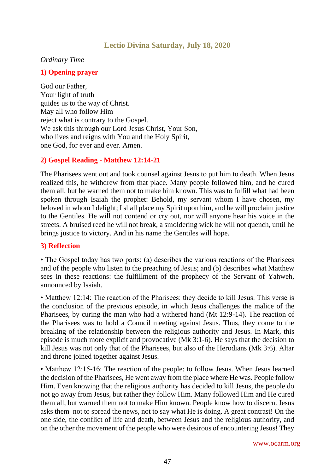# **Lectio Divina Saturday, July 18, 2020**

#### *Ordinary Time*

#### **1) Opening prayer**

God our Father, Your light of truth guides us to the way of Christ. May all who follow Him reject what is contrary to the Gospel. We ask this through our Lord Jesus Christ, Your Son, who lives and reigns with You and the Holy Spirit, one God, for ever and ever. Amen.

#### **2) Gospel Reading - Matthew 12:14-21**

The Pharisees went out and took counsel against Jesus to put him to death. When Jesus realized this, he withdrew from that place. Many people followed him, and he cured them all, but he warned them not to make him known. This was to fulfill what had been spoken through Isaiah the prophet: Behold, my servant whom I have chosen, my beloved in whom I delight; I shall place my Spirit upon him, and he will proclaim justice to the Gentiles. He will not contend or cry out, nor will anyone hear his voice in the streets. A bruised reed he will not break, a smoldering wick he will not quench, until he brings justice to victory. And in his name the Gentiles will hope.

#### **3) Reflection**

• The Gospel today has two parts: (a) describes the various reactions of the Pharisees and of the people who listen to the preaching of Jesus; and (b) describes what Matthew sees in these reactions: the fulfillment of the prophecy of the Servant of Yahweh, announced by Isaiah.

• Matthew 12:14: The reaction of the Pharisees: they decide to kill Jesus. This verse is the conclusion of the previous episode, in which Jesus challenges the malice of the Pharisees, by curing the man who had a withered hand (Mt 12:9-14). The reaction of the Pharisees was to hold a Council meeting against Jesus. Thus, they come to the breaking of the relationship between the religious authority and Jesus. In Mark, this episode is much more explicit and provocative (Mk 3:1-6). He says that the decision to kill Jesus was not only that of the Pharisees, but also of the Herodians (Mk 3:6). Altar and throne joined together against Jesus.

• Matthew 12:15-16: The reaction of the people: to follow Jesus. When Jesus learned the decision of the Pharisees, He went away from the place where He was. People follow Him. Even knowing that the religious authority has decided to kill Jesus, the people do not go away from Jesus, but rather they follow Him. Many followed Him and He cured them all, but warned them not to make Him known. People know how to discern. Jesus asks them not to spread the news, not to say what He is doing. A great contrast! On the one side, the conflict of life and death, between Jesus and the religious authority, and on the other the movement of the people who were desirous of encountering Jesus! They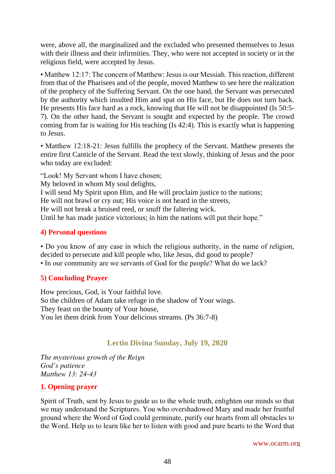were, above all, the marginalized and the excluded who presented themselves to Jesus with their illness and their infirmities. They, who were not accepted in society or in the religious field, were accepted by Jesus.

• Matthew 12:17: The concern of Matthew: Jesus is our Messiah. This reaction, different from that of the Pharisees and of the people, moved Matthew to see here the realization of the prophecy of the Suffering Servant. On the one hand, the Servant was persecuted by the authority which insulted Him and spat on His face, but He does not turn back. He presents His face hard as a rock, knowing that He will not be disappointed (Is 50:5- 7). On the other hand, the Servant is sought and expected by the people. The crowd coming from far is waiting for His teaching (Is 42:4). This is exactly what is happening to Jesus.

• Matthew 12:18-21: Jesus fulfills the prophecy of the Servant. Matthew presents the entire first Canticle of the Servant. Read the text slowly, thinking of Jesus and the poor who today are excluded:

"Look! My Servant whom I have chosen;

My beloved in whom My soul delights,

I will send My Spirit upon Him, and He will proclaim justice to the nations;

He will not brawl or cry out; His voice is not heard in the streets,

He will not break a bruised reed, or snuff the faltering wick.

Until he has made justice victorious; in him the nations will put their hope."

## **4) Personal questions**

• Do you know of any case in which the religious authority, in the name of religion, decided to persecute and kill people who, like Jesus, did good to people?

• In our community are we servants of God for the people? What do we lack?

## **5) Concluding Prayer**

How precious, God, is Your faithful love. So the children of Adam take refuge in the shadow of Your wings. They feast on the bounty of Your house, You let them drink from Your delicious streams. (Ps 36:7-8)

# **Lectio Divina Sunday, July 19, 2020**

*The mysterious growth of the Reign God's patience Matthew 13: 24-43*

# **1. Opening prayer**

Spirit of Truth, sent by Jesus to guide us to the whole truth, enlighten our minds so that we may understand the Scriptures. You who overshadowed Mary and made her fruitful ground where the Word of God could germinate, purify our hearts from all obstacles to the Word. Help us to learn like her to listen with good and pure hearts to the Word that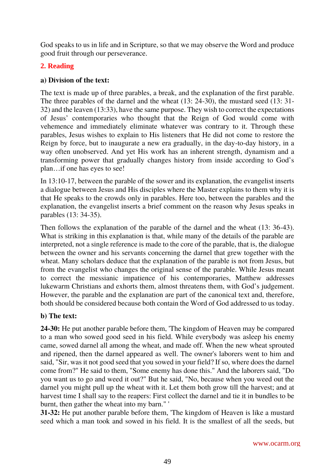God speaks to us in life and in Scripture, so that we may observe the Word and produce good fruit through our perseverance.

# **2. Reading**

#### **a) Division of the text:**

The text is made up of three parables, a break, and the explanation of the first parable. The three parables of the darnel and the wheat (13: 24-30), the mustard seed (13: 31- 32) and the leaven (13:33), have the same purpose. They wish to correct the expectations of Jesus' contemporaries who thought that the Reign of God would come with vehemence and immediately eliminate whatever was contrary to it. Through these parables, Jesus wishes to explain to His listeners that He did not come to restore the Reign by force, but to inaugurate a new era gradually, in the day-to-day history, in a way often unobserved. And yet His work has an inherent strength, dynamism and a transforming power that gradually changes history from inside according to God's plan…if one has eyes to see!

In 13:10-17, between the parable of the sower and its explanation, the evangelist inserts a dialogue between Jesus and His disciples where the Master explains to them why it is that He speaks to the crowds only in parables. Here too, between the parables and the explanation, the evangelist inserts a brief comment on the reason why Jesus speaks in parables (13: 34-35).

Then follows the explanation of the parable of the darnel and the wheat (13: 36-43). What is striking in this explanation is that, while many of the details of the parable are interpreted, not a single reference is made to the core of the parable, that is, the dialogue between the owner and his servants concerning the darnel that grew together with the wheat. Many scholars deduce that the explanation of the parable is not from Jesus, but from the evangelist who changes the original sense of the parable. While Jesus meant to correct the messianic impatience of his contemporaries, Matthew addresses lukewarm Christians and exhorts them, almost threatens them, with God's judgement. However, the parable and the explanation are part of the canonical text and, therefore, both should be considered because both contain the Word of God addressed to us today.

## **b) The text:**

**24-30:** He put another parable before them, 'The kingdom of Heaven may be compared to a man who sowed good seed in his field. While everybody was asleep his enemy came, sowed darnel all among the wheat, and made off. When the new wheat sprouted and ripened, then the darnel appeared as well. The owner's laborers went to him and said, "Sir, was it not good seed that you sowed in your field? If so, where does the darnel come from?" He said to them, "Some enemy has done this." And the laborers said, "Do you want us to go and weed it out?" But he said, "No, because when you weed out the darnel you might pull up the wheat with it. Let them both grow till the harvest; and at harvest time I shall say to the reapers: First collect the darnel and tie it in bundles to be burnt, then gather the wheat into my barn." '

**31-32:** He put another parable before them, 'The kingdom of Heaven is like a mustard seed which a man took and sowed in his field. It is the smallest of all the seeds, but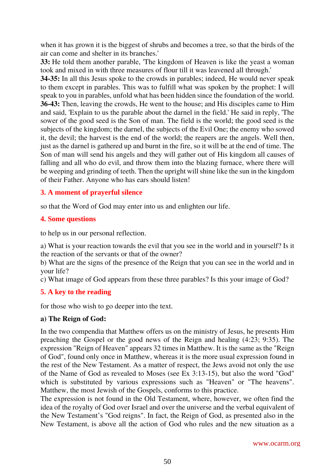when it has grown it is the biggest of shrubs and becomes a tree, so that the birds of the air can come and shelter in its branches.'

**33:** He told them another parable, 'The kingdom of Heaven is like the yeast a woman took and mixed in with three measures of flour till it was leavened all through.'

**34-35:** In all this Jesus spoke to the crowds in parables; indeed, He would never speak to them except in parables. This was to fulfill what was spoken by the prophet: I will speak to you in parables, unfold what has been hidden since the foundation of the world. **36-43:** Then, leaving the crowds, He went to the house; and His disciples came to Him and said, 'Explain to us the parable about the darnel in the field.' He said in reply, 'The sower of the good seed is the Son of man. The field is the world; the good seed is the subjects of the kingdom; the darnel, the subjects of the Evil One; the enemy who sowed it, the devil; the harvest is the end of the world; the reapers are the angels. Well then, just as the darnel is gathered up and burnt in the fire, so it will be at the end of time. The Son of man will send his angels and they will gather out of His kingdom all causes of falling and all who do evil, and throw them into the blazing furnace, where there will be weeping and grinding of teeth. Then the upright will shine like the sun in the kingdom of their Father. Anyone who has ears should listen!

## **3. A moment of prayerful silence**

so that the Word of God may enter into us and enlighten our life.

#### **4. Some questions**

to help us in our personal reflection.

a) What is your reaction towards the evil that you see in the world and in yourself? Is it the reaction of the servants or that of the owner?

b) What are the signs of the presence of the Reign that you can see in the world and in your life?

c) What image of God appears from these three parables? Is this your image of God?

## **5. A key to the reading**

for those who wish to go deeper into the text.

## **a) The Reign of God:**

In the two compendia that Matthew offers us on the ministry of Jesus, he presents Him preaching the Gospel or the good news of the Reign and healing (4:23; 9:35). The expression "Reign of Heaven" appears 32 times in Matthew. It is the same as the "Reign of God", found only once in Matthew, whereas it is the more usual expression found in the rest of the New Testament. As a matter of respect, the Jews avoid not only the use of the Name of God as revealed to Moses (see Ex 3:13-15), but also the word "God" which is substituted by various expressions such as "Heaven" or "The heavens". Matthew, the most Jewish of the Gospels, conforms to this practice.

The expression is not found in the Old Testament, where, however, we often find the idea of the royalty of God over Israel and over the universe and the verbal equivalent of the New Testament's "God reigns". In fact, the Reign of God, as presented also in the New Testament, is above all the action of God who rules and the new situation as a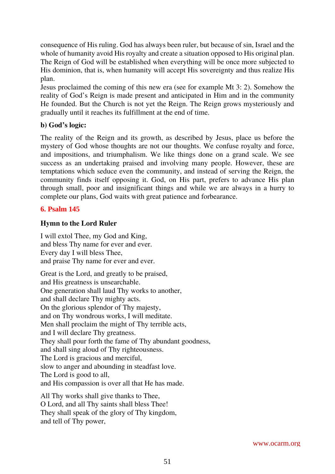consequence of His ruling. God has always been ruler, but because of sin, Israel and the whole of humanity avoid His royalty and create a situation opposed to His original plan. The Reign of God will be established when everything will be once more subjected to His dominion, that is, when humanity will accept His sovereignty and thus realize His plan.

Jesus proclaimed the coming of this new era (see for example Mt 3: 2). Somehow the reality of God's Reign is made present and anticipated in Him and in the community He founded. But the Church is not yet the Reign. The Reign grows mysteriously and gradually until it reaches its fulfillment at the end of time.

## **b) God's logic:**

The reality of the Reign and its growth, as described by Jesus, place us before the mystery of God whose thoughts are not our thoughts. We confuse royalty and force, and impositions, and triumphalism. We like things done on a grand scale. We see success as an undertaking praised and involving many people. However, these are temptations which seduce even the community, and instead of serving the Reign, the community finds itself opposing it. God, on His part, prefers to advance His plan through small, poor and insignificant things and while we are always in a hurry to complete our plans, God waits with great patience and forbearance.

## **6. Psalm 145**

## **Hymn to the Lord Ruler**

I will extol Thee, my God and King, and bless Thy name for ever and ever. Every day I will bless Thee, and praise Thy name for ever and ever.

Great is the Lord, and greatly to be praised, and His greatness is unsearchable. One generation shall laud Thy works to another, and shall declare Thy mighty acts. On the glorious splendor of Thy majesty, and on Thy wondrous works, I will meditate. Men shall proclaim the might of Thy terrible acts, and I will declare Thy greatness. They shall pour forth the fame of Thy abundant goodness, and shall sing aloud of Thy righteousness. The Lord is gracious and merciful, slow to anger and abounding in steadfast love. The Lord is good to all, and His compassion is over all that He has made.

All Thy works shall give thanks to Thee, O Lord, and all Thy saints shall bless Thee! They shall speak of the glory of Thy kingdom, and tell of Thy power,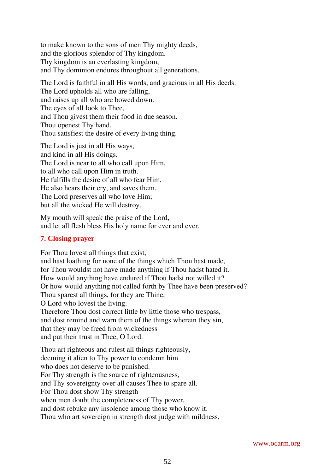to make known to the sons of men Thy mighty deeds, and the glorious splendor of Thy kingdom. Thy kingdom is an everlasting kingdom, and Thy dominion endures throughout all generations.

The Lord is faithful in all His words, and gracious in all His deeds. The Lord upholds all who are falling, and raises up all who are bowed down. The eyes of all look to Thee, and Thou givest them their food in due season. Thou openest Thy hand, Thou satisfiest the desire of every living thing.

The Lord is just in all His ways, and kind in all His doings. The Lord is near to all who call upon Him, to all who call upon Him in truth. He fulfills the desire of all who fear Him, He also hears their cry, and saves them. The Lord preserves all who love Him; but all the wicked He will destroy.

My mouth will speak the praise of the Lord, and let all flesh bless His holy name for ever and ever.

## **7. Closing prayer**

For Thou lovest all things that exist, and hast loathing for none of the things which Thou hast made, for Thou wouldst not have made anything if Thou hadst hated it. How would anything have endured if Thou hadst not willed it? Or how would anything not called forth by Thee have been preserved? Thou sparest all things, for they are Thine, O Lord who lovest the living. Therefore Thou dost correct little by little those who trespass, and dost remind and warn them of the things wherein they sin, that they may be freed from wickedness and put their trust in Thee, O Lord.

Thou art righteous and rulest all things righteously, deeming it alien to Thy power to condemn him who does not deserve to be punished. For Thy strength is the source of righteousness, and Thy sovereignty over all causes Thee to spare all. For Thou dost show Thy strength when men doubt the completeness of Thy power, and dost rebuke any insolence among those who know it. Thou who art sovereign in strength dost judge with mildness,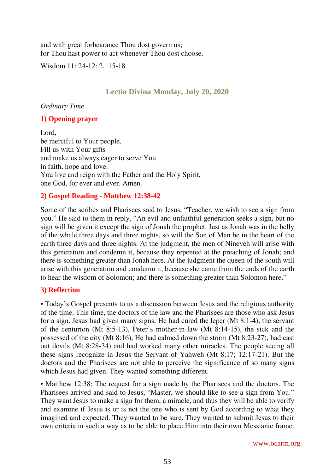and with great forbearance Thou dost govern us; for Thou hast power to act whenever Thou dost choose.

Wisdom 11: 24-12: 2, 15-18

# **Lectio Divina Monday, July 20, 2020**

#### *Ordinary Time*

## **1) Opening prayer**

Lord, be merciful to Your people. Fill us with Your gifts and make us always eager to serve You in faith, hope and love. You live and reign with the Father and the Holy Spirit, one God, for ever and ever. Amen.

## **2) Gospel Reading - Matthew 12:38-42**

Some of the scribes and Pharisees said to Jesus, "Teacher, we wish to see a sign from you." He said to them in reply, "An evil and unfaithful generation seeks a sign, but no sign will be given it except the sign of Jonah the prophet. Just as Jonah was in the belly of the whale three days and three nights, so will the Son of Man be in the heart of the earth three days and three nights. At the judgment, the men of Nineveh will arise with this generation and condemn it, because they repented at the preaching of Jonah; and there is something greater than Jonah here. At the judgment the queen of the south will arise with this generation and condemn it, because she came from the ends of the earth to hear the wisdom of Solomon; and there is something greater than Solomon here."

## **3) Reflection**

• Today's Gospel presents to us a discussion between Jesus and the religious authority of the time. This time, the doctors of the law and the Pharisees are those who ask Jesus for a sign. Jesus had given many signs: He had cured the leper (Mt 8:1-4), the servant of the centurion (Mt 8:5-13), Peter's mother-in-law (Mt 8:14-15), the sick and the possessed of the city (Mt 8:16), He had calmed down the storm (Mt 8:23-27), had cast out devils (Mt 8:28-34) and had worked many other miracles. The people seeing all these signs recognize in Jesus the Servant of Yahweh (Mt 8:17; 12:17-21). But the doctors and the Pharisees are not able to perceive the significance of so many signs which Jesus had given. They wanted something different.

• Matthew 12:38: The request for a sign made by the Pharisees and the doctors. The Pharisees arrived and said to Jesus, "Master, we should like to see a sign from You." They want Jesus to make a sign for them, a miracle, and thus they will be able to verify and examine if Jesus is or is not the one who is sent by God according to what they imagined and expected. They wanted to be sure. They wanted to submit Jesus to their own criteria in such a way as to be able to place Him into their own Messianic frame.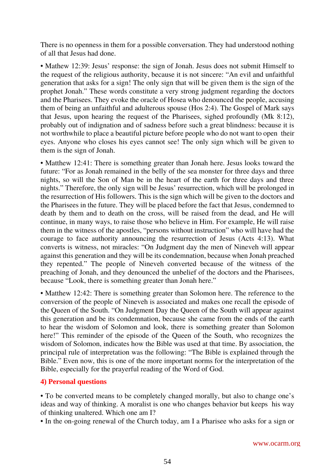There is no openness in them for a possible conversation. They had understood nothing of all that Jesus had done.

• Mathew 12:39: Jesus' response: the sign of Jonah. Jesus does not submit Himself to the request of the religious authority, because it is not sincere: "An evil and unfaithful generation that asks for a sign! The only sign that will be given them is the sign of the prophet Jonah." These words constitute a very strong judgment regarding the doctors and the Pharisees. They evoke the oracle of Hosea who denounced the people, accusing them of being an unfaithful and adulterous spouse (Hos 2:4). The Gospel of Mark says that Jesus, upon hearing the request of the Pharisees, sighed profoundly (Mk 8:12), probably out of indignation and of sadness before such a great blindness: because it is not worthwhile to place a beautiful picture before people who do not want to open their eyes. Anyone who closes his eyes cannot see! The only sign which will be given to them is the sign of Jonah.

• Matthew 12:41: There is something greater than Jonah here. Jesus looks toward the future: "For as Jonah remained in the belly of the sea monster for three days and three nights, so will the Son of Man be in the heart of the earth for three days and three nights." Therefore, the only sign will be Jesus' resurrection, which will be prolonged in the resurrection of His followers. This is the sign which will be given to the doctors and the Pharisees in the future. They will be placed before the fact that Jesus, condemned to death by them and to death on the cross, will be raised from the dead, and He will continue, in many ways, to raise those who believe in Him. For example, He will raise them in the witness of the apostles, "persons without instruction" who will have had the courage to face authority announcing the resurrection of Jesus (Acts 4:13). What converts is witness, not miracles: "On Judgment day the men of Nineveh will appear against this generation and they will be its condemnation, because when Jonah preached they repented." The people of Nineveh converted because of the witness of the preaching of Jonah, and they denounced the unbelief of the doctors and the Pharisees, because "Look, there is something greater than Jonah here."

• Matthew 12:42: There is something greater than Solomon here. The reference to the conversion of the people of Nineveh is associated and makes one recall the episode of the Queen of the South. "On Judgment Day the Queen of the South will appear against this generation and be its condemnation, because she came from the ends of the earth to hear the wisdom of Solomon and look, there is something greater than Solomon here!" This reminder of the episode of the Queen of the South, who recognizes the wisdom of Solomon, indicates how the Bible was used at that time. By association, the principal rule of interpretation was the following: "The Bible is explained through the Bible." Even now, this is one of the more important norms for the interpretation of the Bible, especially for the prayerful reading of the Word of God.

## **4) Personal questions**

• To be converted means to be completely changed morally, but also to change one's ideas and way of thinking. A moralist is one who changes behavior but keeps his way of thinking unaltered. Which one am I?

• In the on-going renewal of the Church today, am I a Pharisee who asks for a sign or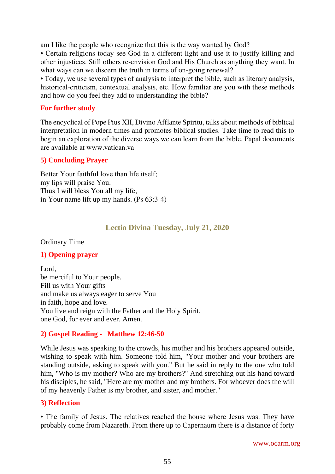am I like the people who recognize that this is the way wanted by God?

• Certain religions today see God in a different light and use it to justify killing and other injustices. Still others re-envision God and His Church as anything they want. In what ways can we discern the truth in terms of on-going renewal?

• Today, we use several types of analysis to interpret the bible, such as literary analysis, historical-criticism, contextual analysis, etc. How familiar are you with these methods and how do you feel they add to understanding the bible?

#### **For further study**

The encyclical of Pope Pius XII, Divino Afflante Spiritu, talks about methods of biblical interpretation in modern times and promotes biblical studies. Take time to read this to begin an exploration of the diverse ways we can learn from the bible. Papal documents are available at [www.vatican.va](http://www.vatican.va/)

#### **5) Concluding Prayer**

Better Your faithful love than life itself; my lips will praise You. Thus I will bless You all my life, in Your name lift up my hands. (Ps 63:3-4)

## **Lectio Divina Tuesday, July 21, 2020**

Ordinary Time

#### **1) Opening prayer**

Lord. be merciful to Your people. Fill us with Your gifts and make us always eager to serve You in faith, hope and love. You live and reign with the Father and the Holy Spirit, one God, for ever and ever. Amen.

## **2) Gospel Reading - Matthew 12:46-50**

While Jesus was speaking to the crowds, his mother and his brothers appeared outside, wishing to speak with him. Someone told him, "Your mother and your brothers are standing outside, asking to speak with you." But he said in reply to the one who told him, "Who is my mother? Who are my brothers?" And stretching out his hand toward his disciples, he said, "Here are my mother and my brothers. For whoever does the will of my heavenly Father is my brother, and sister, and mother."

#### **3) Reflection**

• The family of Jesus. The relatives reached the house where Jesus was. They have probably come from Nazareth. From there up to Capernaum there is a distance of forty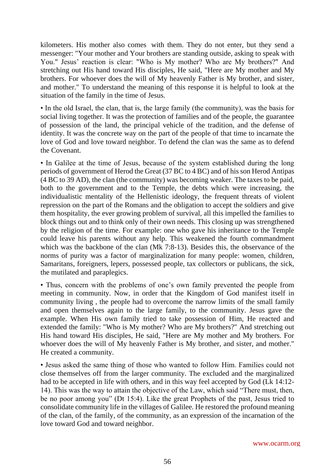kilometers. His mother also comes with them. They do not enter, but they send a messenger: "Your mother and Your brothers are standing outside, asking to speak with You." Jesus' reaction is clear: "Who is My mother? Who are My brothers?" And stretching out His hand toward His disciples, He said, "Here are My mother and My brothers. For whoever does the will of My heavenly Father is My brother, and sister, and mother." To understand the meaning of this response it is helpful to look at the situation of the family in the time of Jesus.

• In the old Israel, the clan, that is, the large family (the community), was the basis for social living together. It was the protection of families and of the people, the guarantee of possession of the land, the principal vehicle of the tradition, and the defense of identity. It was the concrete way on the part of the people of that time to incarnate the love of God and love toward neighbor. To defend the clan was the same as to defend the Covenant.

• In Galilee at the time of Jesus, because of the system established during the long periods of government of Herod the Great (37 BC to 4 BC) and of his son Herod Antipas (4 BC to 39 AD), the clan (the community) was becoming weaker. The taxes to be paid, both to the government and to the Temple, the debts which were increasing, the individualistic mentality of the Hellenistic ideology, the frequent threats of violent repression on the part of the Romans and the obligation to accept the soldiers and give them hospitality, the ever growing problem of survival, all this impelled the families to block things out and to think only of their own needs. This closing up was strengthened by the religion of the time. For example: one who gave his inheritance to the Temple could leave his parents without any help. This weakened the fourth commandment which was the backbone of the clan (Mk 7:8-13). Besides this, the observance of the norms of purity was a factor of marginalization for many people: women, children, Samaritans, foreigners, lepers, possessed people, tax collectors or publicans, the sick, the mutilated and paraplegics.

• Thus, concern with the problems of one's own family prevented the people from meeting in community. Now, in order that the Kingdom of God manifest itself in community living , the people had to overcome the narrow limits of the small family and open themselves again to the large family, to the community. Jesus gave the example. When His own family tried to take possession of Him, He reacted and extended the family: "Who is My mother? Who are My brothers?" And stretching out His hand toward His disciples, He said, "Here are My mother and My brothers. For whoever does the will of My heavenly Father is My brother, and sister, and mother." He created a community.

• Jesus asked the same thing of those who wanted to follow Him. Families could not close themselves off from the larger community. The excluded and the marginalized had to be accepted in life with others, and in this way feel accepted by God (Lk 14:12- 14). This was the way to attain the objective of the Law, which said "There must, then, be no poor among you" (Dt 15:4). Like the great Prophets of the past, Jesus tried to consolidate community life in the villages of Galilee. He restored the profound meaning of the clan, of the family, of the community, as an expression of the incarnation of the love toward God and toward neighbor.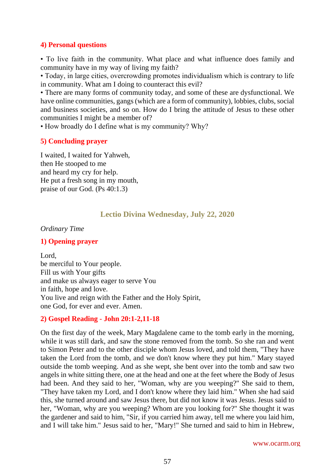## **4) Personal questions**

• To live faith in the community. What place and what influence does family and community have in my way of living my faith?

• Today, in large cities, overcrowding promotes individualism which is contrary to life in community. What am I doing to counteract this evil?

• There are many forms of community today, and some of these are dysfunctional. We have online communities, gangs (which are a form of community), lobbies, clubs, social and business societies, and so on. How do I bring the attitude of Jesus to these other communities I might be a member of?

• How broadly do I define what is my community? Why?

## **5) Concluding prayer**

I waited, I waited for Yahweh, then He stooped to me and heard my cry for help. He put a fresh song in my mouth, praise of our God. (Ps 40:1.3)

# **Lectio Divina Wednesday, July 22, 2020**

#### *Ordinary Time*

## **1) Opening prayer**

Lord, be merciful to Your people. Fill us with Your gifts and make us always eager to serve You in faith, hope and love. You live and reign with the Father and the Holy Spirit, one God, for ever and ever. Amen.

## **2) Gospel Reading - John 20:1-2,11-18**

On the first day of the week, Mary Magdalene came to the tomb early in the morning, while it was still dark, and saw the stone removed from the tomb. So she ran and went to Simon Peter and to the other disciple whom Jesus loved, and told them, "They have taken the Lord from the tomb, and we don't know where they put him." Mary stayed outside the tomb weeping. And as she wept, she bent over into the tomb and saw two angels in white sitting there, one at the head and one at the feet where the Body of Jesus had been. And they said to her, "Woman, why are you weeping?" She said to them, "They have taken my Lord, and I don't know where they laid him." When she had said this, she turned around and saw Jesus there, but did not know it was Jesus. Jesus said to her, "Woman, why are you weeping? Whom are you looking for?" She thought it was the gardener and said to him, "Sir, if you carried him away, tell me where you laid him, and I will take him." Jesus said to her, "Mary!" She turned and said to him in Hebrew,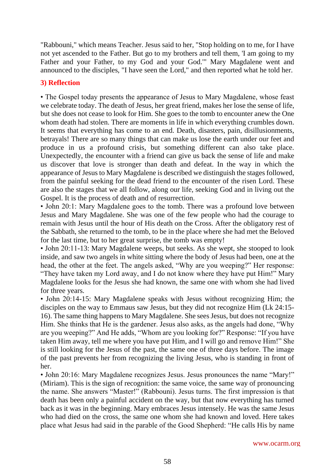"Rabbouni," which means Teacher. Jesus said to her, "Stop holding on to me, for I have not yet ascended to the Father. But go to my brothers and tell them, 'I am going to my Father and your Father, to my God and your God.'" Mary Magdalene went and announced to the disciples, "I have seen the Lord," and then reported what he told her.

## **3) Reflection**

• The Gospel today presents the appearance of Jesus to Mary Magdalene, whose feast we celebrate today. The death of Jesus, her great friend, makes her lose the sense of life, but she does not cease to look for Him. She goes to the tomb to encounter anew the One whom death had stolen. There are moments in life in which everything crumbles down. It seems that everything has come to an end. Death, disasters, pain, disillusionments, betrayals! There are so many things that can make us lose the earth under our feet and produce in us a profound crisis, but something different can also take place. Unexpectedly, the encounter with a friend can give us back the sense of life and make us discover that love is stronger than death and defeat. In the way in which the appearance of Jesus to Mary Magdalene is described we distinguish the stages followed, from the painful seeking for the dead friend to the encounter of the risen Lord. These are also the stages that we all follow, along our life, seeking God and in living out the Gospel. It is the process of death and of resurrection.

• John 20:1: Mary Magdalene goes to the tomb. There was a profound love between Jesus and Mary Magdalene. She was one of the few people who had the courage to remain with Jesus until the hour of His death on the Cross. After the obligatory rest of the Sabbath, she returned to the tomb, to be in the place where she had met the Beloved for the last time, but to her great surprise, the tomb was empty!

• John 20:11-13: Mary Magdalene weeps, but seeks. As she wept, she stooped to look inside, and saw two angels in white sitting where the body of Jesus had been, one at the head, the other at the feet. The angels asked, "Why are you weeping?" Her response: "They have taken my Lord away, and I do not know where they have put Him!" Mary Magdalene looks for the Jesus she had known, the same one with whom she had lived for three years.

• John 20:14-15: Mary Magdalene speaks with Jesus without recognizing Him; the disciples on the way to Emmaus saw Jesus, but they did not recognize Him (Lk 24:15- 16). The same thing happens to Mary Magdalene. She sees Jesus, but does not recognize Him. She thinks that He is the gardener. Jesus also asks, as the angels had done, "Why are you weeping?" And He adds, "Whom are you looking for?" Response: "If you have taken Him away, tell me where you have put Him, and I will go and remove Him!" She is still looking for the Jesus of the past, the same one of three days before. The image of the past prevents her from recognizing the living Jesus, who is standing in front of her.

• John 20:16: Mary Magdalene recognizes Jesus. Jesus pronounces the name "Mary!" (Miriam). This is the sign of recognition: the same voice, the same way of pronouncing the name. She answers "Master!" (Rabbouni). Jesus turns. The first impression is that death has been only a painful accident on the way, but that now everything has turned back as it was in the beginning. Mary embraces Jesus intensely. He was the same Jesus who had died on the cross, the same one whom she had known and loved. Here takes place what Jesus had said in the parable of the Good Shepherd: "He calls His by name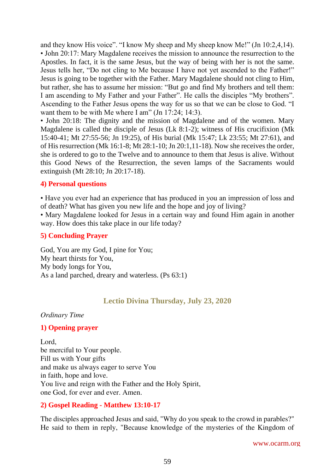and they know His voice". "I know My sheep and My sheep know Me!" (Jn 10:2,4,14). • John 20:17: Mary Magdalene receives the mission to announce the resurrection to the Apostles. In fact, it is the same Jesus, but the way of being with her is not the same. Jesus tells her, "Do not cling to Me because I have not yet ascended to the Father!" Jesus is going to be together with the Father. Mary Magdalene should not cling to Him, but rather, she has to assume her mission: "But go and find My brothers and tell them: I am ascending to My Father and your Father". He calls the disciples "My brothers". Ascending to the Father Jesus opens the way for us so that we can be close to God. "I want them to be with Me where I am" (Jn 17:24; 14:3).

• John 20:18: The dignity and the mission of Magdalene and of the women. Mary Magdalene is called the disciple of Jesus (Lk 8:1-2); witness of His crucifixion (Mk 15:40-41; Mt 27:55-56; Jn 19:25), of His burial (Mk 15:47; Lk 23:55; Mt 27:61), and of His resurrection (Mk 16:1-8; Mt 28:1-10; Jn 20:1,11-18). Now she receives the order, she is ordered to go to the Twelve and to announce to them that Jesus is alive. Without this Good News of the Resurrection, the seven lamps of the Sacraments would extinguish (Mt 28:10; Jn 20:17-18).

#### **4) Personal questions**

• Have you ever had an experience that has produced in you an impression of loss and of death? What has given you new life and the hope and joy of living?

• Mary Magdalene looked for Jesus in a certain way and found Him again in another way. How does this take place in our life today?

#### **5) Concluding Prayer**

God, You are my God, I pine for You; My heart thirsts for You, My body longs for You, As a land parched, dreary and waterless. (Ps 63:1)

## **Lectio Divina Thursday, July 23, 2020**

#### *Ordinary Time*

## **1) Opening prayer**

Lord, be merciful to Your people. Fill us with Your gifts and make us always eager to serve You in faith, hope and love. You live and reign with the Father and the Holy Spirit, one God, for ever and ever. Amen.

## **2) Gospel Reading - Matthew 13:10-17**

The disciples approached Jesus and said, "Why do you speak to the crowd in parables?" He said to them in reply, "Because knowledge of the mysteries of the Kingdom of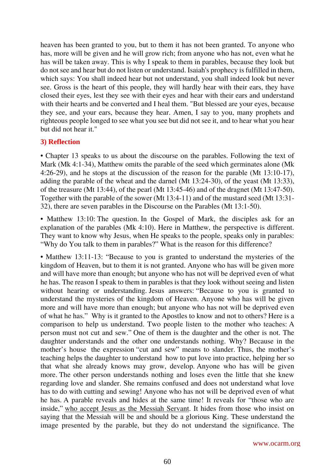heaven has been granted to you, but to them it has not been granted. To anyone who has, more will be given and he will grow rich; from anyone who has not, even what he has will be taken away. This is why I speak to them in parables, because they look but do not see and hear but do not listen or understand. Isaiah's prophecy is fulfilled in them, which says: You shall indeed hear but not understand, you shall indeed look but never see. Gross is the heart of this people, they will hardly hear with their ears, they have closed their eyes, lest they see with their eyes and hear with their ears and understand with their hearts and be converted and I heal them. "But blessed are your eyes, because they see, and your ears, because they hear. Amen, I say to you, many prophets and righteous people longed to see what you see but did not see it, and to hear what you hear but did not hear it."

#### **3) Reflection**

• Chapter 13 speaks to us about the discourse on the parables. Following the text of Mark (Mk 4:1-34), Matthew omits the parable of the seed which germinates alone (Mk 4:26-29), and he stops at the discussion of the reason for the parable (Mt 13:10-17), adding the parable of the wheat and the darnel (Mt 13:24-30), of the yeast (Mt 13:33), of the treasure (Mt 13:44), of the pearl (Mt 13:45-46) and of the dragnet (Mt 13:47-50). Together with the parable of the sower (Mt 13:4-11) and of the mustard seed (Mt 13:31- 32), there are seven parables in the Discourse on the Parables (Mt 13:1-50).

• Matthew 13:10: The question. In the Gospel of Mark, the disciples ask for an explanation of the parables (Mk 4:10). Here in Matthew, the perspective is different. They want to know why Jesus, when He speaks to the people, speaks only in parables: "Why do You talk to them in parables?" What is the reason for this difference?

• Matthew 13:11-13: "Because to you is granted to understand the mysteries of the kingdom of Heaven, but to them it is not granted. Anyone who has will be given more and will have more than enough; but anyone who has not will be deprived even of what he has. The reason I speak to them in parables is that they look without seeing and listen without hearing or understanding. Jesus answers: "Because to you is granted to understand the mysteries of the kingdom of Heaven. Anyone who has will be given more and will have more than enough; but anyone who has not will be deprived even of what he has." Why is it granted to the Apostles to know and not to others? Here is a comparison to help us understand. Two people listen to the mother who teaches: A person must not cut and sew." One of them is the daughter and the other is not. The daughter understands and the other one understands nothing. Why? Because in the mother's house the expression "cut and sew" means to slander. Thus, the mother's teaching helps the daughter to understand how to put love into practice, helping her so that what she already knows may grow, develop. Anyone who has will be given more. The other person understands nothing and loses even the little that she knew regarding love and slander. She remains confused and does not understand what love has to do with cutting and sewing! Anyone who has not will be deprived even of what he has. A parable reveals and hides at the same time! It reveals for "those who are inside," who accept Jesus as the Messiah Servant. It hides from those who insist on saying that the Messiah will be and should be a glorious King. These understand the image presented by the parable, but they do not understand the significance. The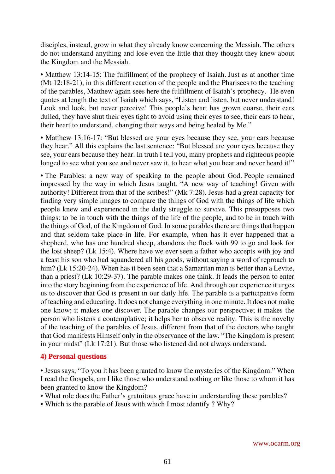disciples, instead, grow in what they already know concerning the Messiah. The others do not understand anything and lose even the little that they thought they knew about the Kingdom and the Messiah.

• Matthew 13:14-15: The fulfillment of the prophecy of Isaiah. Just as at another time (Mt 12:18-21), in this different reaction of the people and the Pharisees to the teaching of the parables, Matthew again sees here the fulfillment of Isaiah's prophecy. He even quotes at length the text of Isaiah which says, "Listen and listen, but never understand! Look and look, but never perceive! This people's heart has grown coarse, their ears dulled, they have shut their eyes tight to avoid using their eyes to see, their ears to hear, their heart to understand, changing their ways and being healed by Me."

• Matthew 13:16-17: "But blessed are your eyes because they see, your ears because they hear." All this explains the last sentence: "But blessed are your eyes because they see, your ears because they hear. In truth I tell you, many prophets and righteous people longed to see what you see and never saw it, to hear what you hear and never heard it!"

• The Parables: a new way of speaking to the people about God. People remained impressed by the way in which Jesus taught. "A new way of teaching! Given with authority! Different from that of the scribes!" (Mk 7:28). Jesus had a great capacity for finding very simple images to compare the things of God with the things of life which people knew and experienced in the daily struggle to survive. This presupposes two things: to be in touch with the things of the life of the people, and to be in touch with the things of God, of the Kingdom of God. In some parables there are things that happen and that seldom take place in life. For example, when has it ever happened that a shepherd, who has one hundred sheep, abandons the flock with 99 to go and look for the lost sheep? (Lk 15:4). Where have we ever seen a father who accepts with joy and a feast his son who had squandered all his goods, without saying a word of reproach to him? (Lk 15:20-24). When has it been seen that a Samaritan man is better than a Levite, than a priest? (Lk 10:29-37). The parable makes one think. It leads the person to enter into the story beginning from the experience of life. And through our experience it urges us to discover that God is present in our daily life. The parable is a participative form of teaching and educating. It does not change everything in one minute. It does not make one know; it makes one discover. The parable changes our perspective; it makes the person who listens a contemplative; it helps her to observe reality. This is the novelty of the teaching of the parables of Jesus, different from that of the doctors who taught that God manifests Himself only in the observance of the law. "The Kingdom is present in your midst" (Lk 17:21). But those who listened did not always understand.

## **4) Personal questions**

• Jesus says, "To you it has been granted to know the mysteries of the Kingdom." When I read the Gospels, am I like those who understand nothing or like those to whom it has been granted to know the Kingdom?

- What role does the Father's gratuitous grace have in understanding these parables?
- Which is the parable of Jesus with which I most identify ? Why?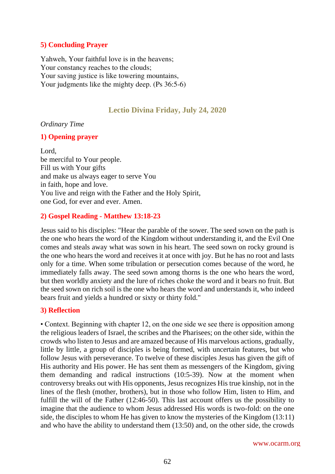## **5) Concluding Prayer**

Yahweh, Your faithful love is in the heavens; Your constancy reaches to the clouds; Your saving justice is like towering mountains, Your judgments like the mighty deep. (Ps 36:5-6)

## **Lectio Divina Friday, July 24, 2020**

#### *Ordinary Time*

#### **1) Opening prayer**

Lord, be merciful to Your people. Fill us with Your gifts and make us always eager to serve You in faith, hope and love. You live and reign with the Father and the Holy Spirit, one God, for ever and ever. Amen.

#### **2) Gospel Reading - Matthew 13:18-23**

Jesus said to his disciples: "Hear the parable of the sower. The seed sown on the path is the one who hears the word of the Kingdom without understanding it, and the Evil One comes and steals away what was sown in his heart. The seed sown on rocky ground is the one who hears the word and receives it at once with joy. But he has no root and lasts only for a time. When some tribulation or persecution comes because of the word, he immediately falls away. The seed sown among thorns is the one who hears the word, but then worldly anxiety and the lure of riches choke the word and it bears no fruit. But the seed sown on rich soil is the one who hears the word and understands it, who indeed bears fruit and yields a hundred or sixty or thirty fold."

## **3) Reflection**

• Context. Beginning with chapter 12, on the one side we see there is opposition among the religious leaders of Israel, the scribes and the Pharisees; on the other side, within the crowds who listen to Jesus and are amazed because of His marvelous actions, gradually, little by little, a group of disciples is being formed, with uncertain features, but who follow Jesus with perseverance. To twelve of these disciples Jesus has given the gift of His authority and His power. He has sent them as messengers of the Kingdom, giving them demanding and radical instructions (10:5-39). Now at the moment when controversy breaks out with His opponents, Jesus recognizes His true kinship, not in the lines of the flesh (mother, brothers), but in those who follow Him, listen to Him, and fulfill the will of the Father (12:46-50). This last account offers us the possibility to imagine that the audience to whom Jesus addressed His words is two-fold: on the one side, the disciples to whom He has given to know the mysteries of the Kingdom (13:11) and who have the ability to understand them (13:50) and, on the other side, the crowds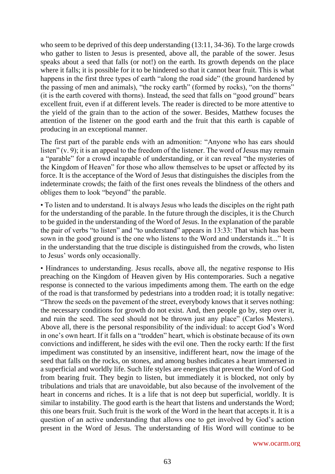who seem to be deprived of this deep understanding (13:11, 34-36). To the large crowds who gather to listen to Jesus is presented, above all, the parable of the sower. Jesus speaks about a seed that falls (or not!) on the earth. Its growth depends on the place where it falls; it is possible for it to be hindered so that it cannot bear fruit. This is what happens in the first three types of earth "along the road side" (the ground hardened by the passing of men and animals), "the rocky earth" (formed by rocks), "on the thorns" (it is the earth covered with thorns). Instead, the seed that falls on "good ground" bears excellent fruit, even if at different levels. The reader is directed to be more attentive to the yield of the grain than to the action of the sower. Besides, Matthew focuses the attention of the listener on the good earth and the fruit that this earth is capable of producing in an exceptional manner.

The first part of the parable ends with an admonition: "Anyone who has ears should listen" (v. 9); it is an appeal to the freedom of the listener. The word of Jesus may remain a "parable" for a crowd incapable of understanding, or it can reveal "the mysteries of the Kingdom of Heaven" for those who allow themselves to be upset or affected by its force. It is the acceptance of the Word of Jesus that distinguishes the disciples from the indeterminate crowds; the faith of the first ones reveals the blindness of the others and obliges them to look "beyond" the parable.

• To listen and to understand. It is always Jesus who leads the disciples on the right path for the understanding of the parable. In the future through the disciples, it is the Church to be guided in the understanding of the Word of Jesus. In the explanation of the parable the pair of verbs "to listen" and "to understand" appears in 13:33: That which has been sown in the good ground is the one who listens to the Word and understands it..." It is in the understanding that the true disciple is distinguished from the crowds, who listen to Jesus' words only occasionally.

• Hindrances to understanding. Jesus recalls, above all, the negative response to His preaching on the Kingdom of Heaven given by His contemporaries. Such a negative response is connected to the various impediments among them. The earth on the edge of the road is that transformed by pedestrians into a trodden road; it is totally negative: "Throw the seeds on the pavement of the street, everybody knows that it serves nothing: the necessary conditions for growth do not exist. And, then people go by, step over it, and ruin the seed. The seed should not be thrown just any place" (Carlos Mesters). Above all, there is the personal responsibility of the individual: to accept God's Word in one's own heart. If it falls on a "trodden" heart, which is obstinate because of its own convictions and indifferent, he sides with the evil one. Then the rocky earth: If the first impediment was constituted by an insensitive, indifferent heart, now the image of the seed that falls on the rocks, on stones, and among bushes indicates a heart immersed in a superficial and worldly life. Such life styles are energies that prevent the Word of God from bearing fruit. They begin to listen, but immediately it is blocked, not only by tribulations and trials that are unavoidable, but also because of the involvement of the heart in concerns and riches. It is a life that is not deep but superficial, worldly. It is similar to instability. The good earth is the heart that listens and understands the Word; this one bears fruit. Such fruit is the work of the Word in the heart that accepts it. It is a question of an active understanding that allows one to get involved by God's action present in the Word of Jesus. The understanding of His Word will continue to be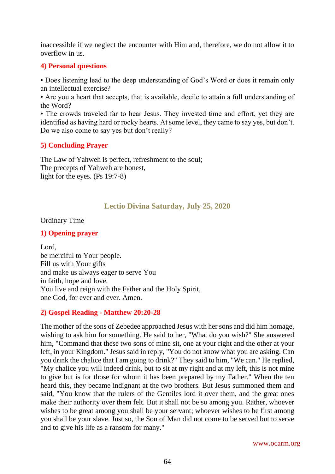inaccessible if we neglect the encounter with Him and, therefore, we do not allow it to overflow in us.

#### **4) Personal questions**

• Does listening lead to the deep understanding of God's Word or does it remain only an intellectual exercise?

• Are you a heart that accepts, that is available, docile to attain a full understanding of the Word?

• The crowds traveled far to hear Jesus. They invested time and effort, yet they are identified as having hard or rocky hearts. At some level, they came to say yes, but don't. Do we also come to say yes but don't really?

## **5) Concluding Prayer**

The Law of Yahweh is perfect, refreshment to the soul; The precepts of Yahweh are honest, light for the eyes. (Ps 19:7-8)

# **Lectio Divina Saturday, July 25, 2020**

Ordinary Time

#### **1) Opening prayer**

Lord, be merciful to Your people. Fill us with Your gifts and make us always eager to serve You in faith, hope and love. You live and reign with the Father and the Holy Spirit, one God, for ever and ever. Amen.

## **2) Gospel Reading - Matthew 20:20-28**

The mother of the sons of Zebedee approached Jesus with her sons and did him homage, wishing to ask him for something. He said to her, "What do you wish?" She answered him, "Command that these two sons of mine sit, one at your right and the other at your left, in your Kingdom." Jesus said in reply, "You do not know what you are asking. Can you drink the chalice that I am going to drink?" They said to him, "We can." He replied, "My chalice you will indeed drink, but to sit at my right and at my left, this is not mine to give but is for those for whom it has been prepared by my Father." When the ten heard this, they became indignant at the two brothers. But Jesus summoned them and said, "You know that the rulers of the Gentiles lord it over them, and the great ones make their authority over them felt. But it shall not be so among you. Rather, whoever wishes to be great among you shall be your servant; whoever wishes to be first among you shall be your slave. Just so, the Son of Man did not come to be served but to serve and to give his life as a ransom for many."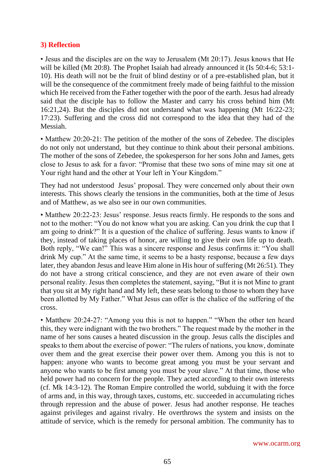## **3) Reflection**

• Jesus and the disciples are on the way to Jerusalem (Mt 20:17). Jesus knows that He will be killed (Mt 20:8). The Prophet Isaiah had already announced it (Is 50:4-6; 53:1-10). His death will not be the fruit of blind destiny or of a pre-established plan, but it will be the consequence of the commitment freely made of being faithful to the mission which He received from the Father together with the poor of the earth. Jesus had already said that the disciple has to follow the Master and carry his cross behind him (Mt 16:21,24). But the disciples did not understand what was happening (Mt 16:22-23; 17:23). Suffering and the cross did not correspond to the idea that they had of the Messiah.

• Matthew 20:20-21: The petition of the mother of the sons of Zebedee. The disciples do not only not understand, but they continue to think about their personal ambitions. The mother of the sons of Zebedee, the spokesperson for her sons John and James, gets close to Jesus to ask for a favor: "Promise that these two sons of mine may sit one at Your right hand and the other at Your left in Your Kingdom."

They had not understood Jesus' proposal. They were concerned only about their own interests. This shows clearly the tensions in the communities, both at the time of Jesus and of Matthew, as we also see in our own communities.

• Matthew 20:22-23: Jesus' response. Jesus reacts firmly. He responds to the sons and not to the mother: "You do not know what you are asking. Can you drink the cup that I am going to drink?" It is a question of the chalice of suffering. Jesus wants to know if they, instead of taking places of honor, are willing to give their own life up to death. Both reply, "We can!" This was a sincere response and Jesus confirms it: "You shall drink My cup." At the same time, it seems to be a hasty response, because a few days later, they abandon Jesus and leave Him alone in His hour of suffering (Mt 26:51). They do not have a strong critical conscience, and they are not even aware of their own personal reality. Jesus then completes the statement, saying, "But it is not Mine to grant that you sit at My right hand and My left, these seats belong to those to whom they have been allotted by My Father." What Jesus can offer is the chalice of the suffering of the cross.

• Matthew 20:24-27: "Among you this is not to happen." "When the other ten heard this, they were indignant with the two brothers." The request made by the mother in the name of her sons causes a heated discussion in the group. Jesus calls the disciples and speaks to them about the exercise of power: "The rulers of nations, you know, dominate over them and the great exercise their power over them. Among you this is not to happen: anyone who wants to become great among you must be your servant and anyone who wants to be first among you must be your slave." At that time, those who held power had no concern for the people. They acted according to their own interests (cf. Mk 14:3-12). The Roman Empire controlled the world, subduing it with the force of arms and, in this way, through taxes, customs, etc. succeeded in accumulating riches through repression and the abuse of power. Jesus had another response. He teaches against privileges and against rivalry. He overthrows the system and insists on the attitude of service, which is the remedy for personal ambition. The community has to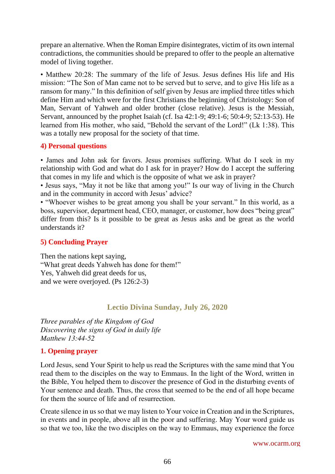prepare an alternative. When the Roman Empire disintegrates, victim of its own internal contradictions, the communities should be prepared to offer to the people an alternative model of living together.

• Matthew 20:28: The summary of the life of Jesus. Jesus defines His life and His mission: "The Son of Man came not to be served but to serve, and to give His life as a ransom for many." In this definition of self given by Jesus are implied three titles which define Him and which were for the first Christians the beginning of Christology: Son of Man, Servant of Yahweh and older brother (close relative). Jesus is the Messiah, Servant, announced by the prophet Isaiah (cf. Isa 42:1-9; 49:1-6; 50:4-9; 52:13-53). He learned from His mother, who said, "Behold the servant of the Lord!" (Lk 1:38). This was a totally new proposal for the society of that time.

## **4) Personal questions**

• James and John ask for favors. Jesus promises suffering. What do I seek in my relationship with God and what do I ask for in prayer? How do I accept the suffering that comes in my life and which is the opposite of what we ask in prayer?

• Jesus says, "May it not be like that among you!" Is our way of living in the Church and in the community in accord with Jesus' advice?

• "Whoever wishes to be great among you shall be your servant." In this world, as a boss, supervisor, department head, CEO, manager, or customer, how does "being great" differ from this? Is it possible to be great as Jesus asks and be great as the world understands it?

## **5) Concluding Prayer**

Then the nations kept saying, "What great deeds Yahweh has done for them!" Yes, Yahweh did great deeds for us, and we were overjoyed. (Ps 126:2-3)

# **Lectio Divina Sunday, July 26, 2020**

*Three parables of the Kingdom of God Discovering the signs of God in daily life Matthew 13:44-52*

## **1. Opening prayer**

Lord Jesus, send Your Spirit to help us read the Scriptures with the same mind that You read them to the disciples on the way to Emmaus. In the light of the Word, written in the Bible, You helped them to discover the presence of God in the disturbing events of Your sentence and death. Thus, the cross that seemed to be the end of all hope became for them the source of life and of resurrection.

Create silence in us so that we may listen to Your voice in Creation and in the Scriptures, in events and in people, above all in the poor and suffering. May Your word guide us so that we too, like the two disciples on the way to Emmaus, may experience the force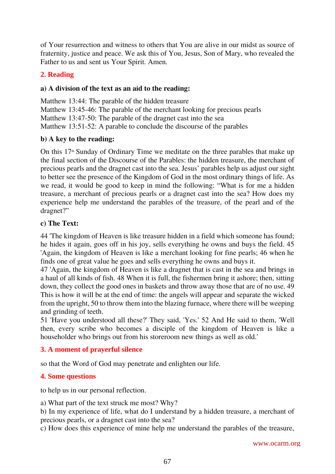of Your resurrection and witness to others that You are alive in our midst as source of fraternity, justice and peace. We ask this of You, Jesus, Son of Mary, who revealed the Father to us and sent us Your Spirit. Amen.

# **2. Reading**

## **a) A division of the text as an aid to the reading:**

Matthew 13:44: The parable of the hidden treasure Matthew 13:45-46: The parable of the merchant looking for precious pearls

Matthew 13:47-50: The parable of the dragnet cast into the sea

Matthew 13:51-52: A parable to conclude the discourse of the parables

## **b) A key to the reading:**

On this  $17<sup>th</sup>$  Sunday of Ordinary Time we meditate on the three parables that make up the final section of the Discourse of the Parables: the hidden treasure, the merchant of precious pearls and the dragnet cast into the sea. Jesus' parables help us adjust our sight to better see the presence of the Kingdom of God in the most ordinary things of life. As we read, it would be good to keep in mind the following: "What is for me a hidden treasure, a merchant of precious pearls or a dragnet cast into the sea? How does my experience help me understand the parables of the treasure, of the pearl and of the dragnet?"

## **c) The Text:**

44 'The kingdom of Heaven is like treasure hidden in a field which someone has found; he hides it again, goes off in his joy, sells everything he owns and buys the field. 45 'Again, the kingdom of Heaven is like a merchant looking for fine pearls; 46 when he finds one of great value he goes and sells everything he owns and buys it.

47 'Again, the kingdom of Heaven is like a dragnet that is cast in the sea and brings in a haul of all kinds of fish. 48 When it is full, the fishermen bring it ashore; then, sitting down, they collect the good ones in baskets and throw away those that are of no use. 49 This is how it will be at the end of time: the angels will appear and separate the wicked from the upright, 50 to throw them into the blazing furnace, where there will be weeping and grinding of teeth.

51 'Have you understood all these?' They said, 'Yes.' 52 And He said to them, 'Well then, every scribe who becomes a disciple of the kingdom of Heaven is like a householder who brings out from his storeroom new things as well as old.'

# **3. A moment of prayerful silence**

so that the Word of God may penetrate and enlighten our life.

# **4. Some questions**

to help us in our personal reflection.

a) What part of the text struck me most? Why?

b) In my experience of life, what do I understand by a hidden treasure, a merchant of precious pearls, or a dragnet cast into the sea?

c) How does this experience of mine help me understand the parables of the treasure,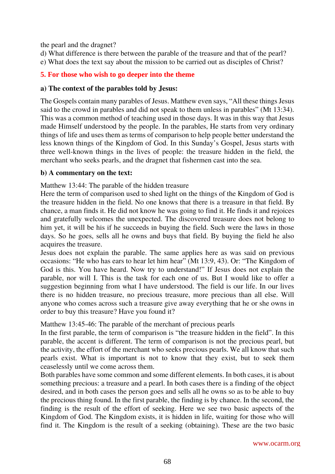the pearl and the dragnet?

d) What difference is there between the parable of the treasure and that of the pearl? e) What does the text say about the mission to be carried out as disciples of Christ?

## **5. For those who wish to go deeper into the theme**

#### **a) The context of the parables told by Jesus:**

The Gospels contain many parables of Jesus. Matthew even says, "All these things Jesus said to the crowd in parables and did not speak to them unless in parables" (Mt 13:34). This was a common method of teaching used in those days. It was in this way that Jesus made Himself understood by the people. In the parables, He starts from very ordinary things of life and uses them as terms of comparison to help people better understand the less known things of the Kingdom of God. In this Sunday's Gospel, Jesus starts with three well-known things in the lives of people: the treasure hidden in the field, the merchant who seeks pearls, and the dragnet that fishermen cast into the sea.

#### **b) A commentary on the text:**

Matthew 13:44: The parable of the hidden treasure

Here the term of comparison used to shed light on the things of the Kingdom of God is the treasure hidden in the field. No one knows that there is a treasure in that field. By chance, a man finds it. He did not know he was going to find it. He finds it and rejoices and gratefully welcomes the unexpected. The discovered treasure does not belong to him yet, it will be his if he succeeds in buying the field. Such were the laws in those days. So he goes, sells all he owns and buys that field. By buying the field he also acquires the treasure.

Jesus does not explain the parable. The same applies here as was said on previous occasions: "He who has ears to hear let him hear" (Mt 13:9, 43). Or: "The Kingdom of God is this. You have heard. Now try to understand!" If Jesus does not explain the parable, nor will I. This is the task for each one of us. But I would like to offer a suggestion beginning from what I have understood. The field is our life. In our lives there is no hidden treasure, no precious treasure, more precious than all else. Will anyone who comes across such a treasure give away everything that he or she owns in order to buy this treasure? Have you found it?

Matthew 13:45-46: The parable of the merchant of precious pearls

In the first parable, the term of comparison is "the treasure hidden in the field". In this parable, the accent is different. The term of comparison is not the precious pearl, but the activity, the effort of the merchant who seeks precious pearls. We all know that such pearls exist. What is important is not to know that they exist, but to seek them ceaselessly until we come across them.

Both parables have some common and some different elements. In both cases, it is about something precious: a treasure and a pearl. In both cases there is a finding of the object desired, and in both cases the person goes and sells all he owns so as to be able to buy the precious thing found. In the first parable, the finding is by chance. In the second, the finding is the result of the effort of seeking. Here we see two basic aspects of the Kingdom of God. The Kingdom exists, it is hidden in life, waiting for those who will find it. The Kingdom is the result of a seeking (obtaining). These are the two basic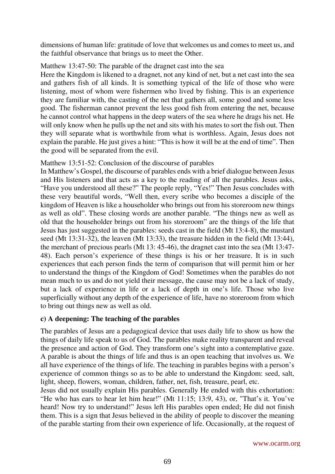dimensions of human life: gratitude of love that welcomes us and comes to meet us, and the faithful observance that brings us to meet the Other.

#### Matthew 13:47-50: The parable of the dragnet cast into the sea

Here the Kingdom is likened to a dragnet, not any kind of net, but a net cast into the sea and gathers fish of all kinds. It is something typical of the life of those who were listening, most of whom were fishermen who lived by fishing. This is an experience they are familiar with, the casting of the net that gathers all, some good and some less good. The fisherman cannot prevent the less good fish from entering the net, because he cannot control what happens in the deep waters of the sea where he drags his net. He will only know when he pulls up the net and sits with his mates to sort the fish out. Then they will separate what is worthwhile from what is worthless. Again, Jesus does not explain the parable. He just gives a hint: "This is how it will be at the end of time". Then the good will be separated from the evil.

#### Matthew 13:51-52: Conclusion of the discourse of parables

In Matthew's Gospel, the discourse of parables ends with a brief dialogue between Jesus and His listeners and that acts as a key to the reading of all the parables. Jesus asks, "Have you understood all these?" The people reply, "Yes!" Then Jesus concludes with these very beautiful words, "Well then, every scribe who becomes a disciple of the kingdom of Heaven is like a householder who brings out from his storeroom new things as well as old". These closing words are another parable. "The things new as well as old that the householder brings out from his storeroom" are the things of the life that Jesus has just suggested in the parables: seeds cast in the field (Mt 13:4-8), the mustard seed (Mt 13:31-32), the leaven (Mt 13:33), the treasure hidden in the field (Mt 13:44), the merchant of precious pearls (Mt 13: 45-46), the dragnet cast into the sea (Mt 13:47- 48). Each person's experience of these things is his or her treasure. It is in such experiences that each person finds the term of comparison that will permit him or her to understand the things of the Kingdom of God! Sometimes when the parables do not mean much to us and do not yield their message, the cause may not be a lack of study, but a lack of experience in life or a lack of depth in one's life. Those who live superficially without any depth of the experience of life, have no storeroom from which to bring out things new as well as old.

## **c) A deepening: The teaching of the parables**

The parables of Jesus are a pedagogical device that uses daily life to show us how the things of daily life speak to us of God. The parables make reality transparent and reveal the presence and action of God. They transform one's sight into a contemplative gaze. A parable is about the things of life and thus is an open teaching that involves us. We all have experience of the things of life. The teaching in parables begins with a person's experience of common things so as to be able to understand the Kingdom: seed, salt, light, sheep, flowers, woman, children, father, net, fish, treasure, pearl, etc.

Jesus did not usually explain His parables. Generally He ended with this exhortation: "He who has ears to hear let him hear!" (Mt 11:15; 13:9, 43), or, "That's it. You've heard! Now try to understand!" Jesus left His parables open ended; He did not finish them. This is a sign that Jesus believed in the ability of people to discover the meaning of the parable starting from their own experience of life. Occasionally, at the request of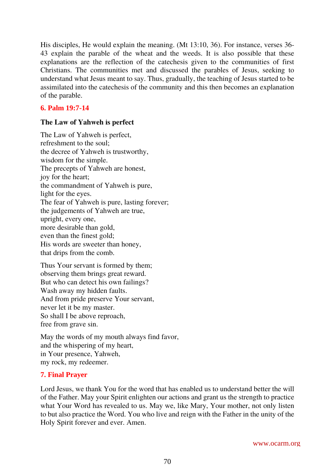His disciples, He would explain the meaning. (Mt 13:10, 36). For instance, verses 36- 43 explain the parable of the wheat and the weeds. It is also possible that these explanations are the reflection of the catechesis given to the communities of first Christians. The communities met and discussed the parables of Jesus, seeking to understand what Jesus meant to say. Thus, gradually, the teaching of Jesus started to be assimilated into the catechesis of the community and this then becomes an explanation of the parable.

## **6. Palm 19:7-14**

## **The Law of Yahweh is perfect**

The Law of Yahweh is perfect, refreshment to the soul; the decree of Yahweh is trustworthy, wisdom for the simple. The precepts of Yahweh are honest, joy for the heart; the commandment of Yahweh is pure, light for the eyes. The fear of Yahweh is pure, lasting forever; the judgements of Yahweh are true, upright, every one, more desirable than gold, even than the finest gold; His words are sweeter than honey, that drips from the comb.

Thus Your servant is formed by them; observing them brings great reward. But who can detect his own failings? Wash away my hidden faults. And from pride preserve Your servant, never let it be my master. So shall I be above reproach, free from grave sin.

May the words of my mouth always find favor, and the whispering of my heart, in Your presence, Yahweh, my rock, my redeemer.

## **7. Final Prayer**

Lord Jesus, we thank You for the word that has enabled us to understand better the will of the Father. May your Spirit enlighten our actions and grant us the strength to practice what Your Word has revealed to us. May we, like Mary, Your mother, not only listen to but also practice the Word. You who live and reign with the Father in the unity of the Holy Spirit forever and ever. Amen.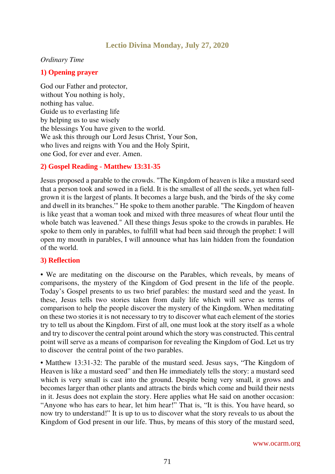# **Lectio Divina Monday, July 27, 2020**

#### *Ordinary Time*

#### **1) Opening prayer**

God our Father and protector, without You nothing is holy, nothing has value. Guide us to everlasting life by helping us to use wisely the blessings You have given to the world. We ask this through our Lord Jesus Christ, Your Son, who lives and reigns with You and the Holy Spirit, one God, for ever and ever. Amen.

#### **2) Gospel Reading - Matthew 13:31-35**

Jesus proposed a parable to the crowds. "The Kingdom of heaven is like a mustard seed that a person took and sowed in a field. It is the smallest of all the seeds, yet when fullgrown it is the largest of plants. It becomes a large bush, and the 'birds of the sky come and dwell in its branches.'" He spoke to them another parable. "The Kingdom of heaven is like yeast that a woman took and mixed with three measures of wheat flour until the whole batch was leavened." All these things Jesus spoke to the crowds in parables. He spoke to them only in parables, to fulfill what had been said through the prophet: I will open my mouth in parables, I will announce what has lain hidden from the foundation of the world.

#### **3) Reflection**

• We are meditating on the discourse on the Parables, which reveals, by means of comparisons, the mystery of the Kingdom of God present in the life of the people. Today's Gospel presents to us two brief parables: the mustard seed and the yeast. In these, Jesus tells two stories taken from daily life which will serve as terms of comparison to help the people discover the mystery of the Kingdom. When meditating on these two stories it is not necessary to try to discover what each element of the stories try to tell us about the Kingdom. First of all, one must look at the story itself as a whole and try to discover the central point around which the story was constructed. This central point will serve as a means of comparison for revealing the Kingdom of God. Let us try to discover the central point of the two parables.

• Matthew 13:31-32: The parable of the mustard seed. Jesus says, "The Kingdom of Heaven is like a mustard seed" and then He immediately tells the story: a mustard seed which is very small is cast into the ground. Despite being very small, it grows and becomes larger than other plants and attracts the birds which come and build their nests in it. Jesus does not explain the story. Here applies what He said on another occasion: "Anyone who has ears to hear, let him hear!" That is, "It is this. You have heard, so now try to understand!" It is up to us to discover what the story reveals to us about the Kingdom of God present in our life. Thus, by means of this story of the mustard seed,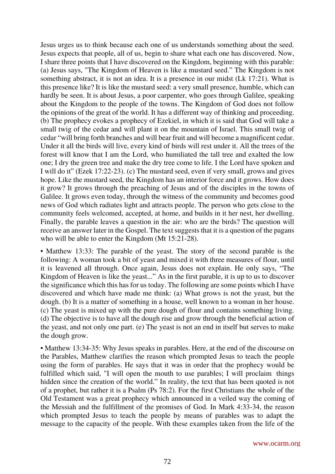Jesus urges us to think because each one of us understands something about the seed. Jesus expects that people, all of us, begin to share what each one has discovered. Now, I share three points that I have discovered on the Kingdom, beginning with this parable: (a) Jesus says, "The Kingdom of Heaven is like a mustard seed." The Kingdom is not something abstract, it is not an idea. It is a presence in our midst (Lk 17:21). What is this presence like? It is like the mustard seed: a very small presence, humble, which can hardly be seen. It is about Jesus, a poor carpenter, who goes through Galilee, speaking about the Kingdom to the people of the towns. The Kingdom of God does not follow the opinions of the great of the world. It has a different way of thinking and proceeding. (b) The prophecy evokes a prophecy of Ezekiel, in which it is said that God will take a small twig of the cedar and will plant it on the mountain of Israel. This small twig of cedar "will bring forth branches and will bear fruit and will become a magnificent cedar. Under it all the birds will live, every kind of birds will rest under it. All the trees of the forest will know that I am the Lord, who humiliated the tall tree and exalted the low one; I dry the green tree and make the dry tree come to life. I the Lord have spoken and I will do it" (Ezek 17:22-23). (c) The mustard seed, even if very small, grows and gives hope. Like the mustard seed, the Kingdom has an interior force and it grows. How does it grow? It grows through the preaching of Jesus and of the disciples in the towns of Galilee. It grows even today, through the witness of the community and becomes good news of God which radiates light and attracts people. The person who gets close to the community feels welcomed, accepted, at home, and builds in it her nest, her dwelling. Finally, the parable leaves a question in the air: who are the birds? The question will receive an answer later in the Gospel. The text suggests that it is a question of the pagans who will be able to enter the Kingdom (Mt 15:21-28).

• Matthew 13:33: The parable of the yeast. The story of the second parable is the following: A woman took a bit of yeast and mixed it with three measures of flour, until it is leavened all through. Once again, Jesus does not explain. He only says, "The Kingdom of Heaven is like the yeast..." As in the first parable, it is up to us to discover the significance which this has for us today. The following are some points which I have discovered and which have made me think: (a) What grows is not the yeast, but the dough. (b) It is a matter of something in a house, well known to a woman in her house. (c) The yeast is mixed up with the pure dough of flour and contains something living. (d) The objective is to have all the dough rise and grow through the beneficial action of the yeast, and not only one part. (e) The yeast is not an end in itself but serves to make the dough grow.

• Matthew 13:34-35: Why Jesus speaks in parables. Here, at the end of the discourse on the Parables, Matthew clarifies the reason which prompted Jesus to teach the people using the form of parables. He says that it was in order that the prophecy would be fulfilled which said, "I will open the mouth to use parables; I will proclaim things hidden since the creation of the world." In reality, the text that has been quoted is not of a prophet, but rather it is a Psalm (Ps 78:2). For the first Christians the whole of the Old Testament was a great prophecy which announced in a veiled way the coming of the Messiah and the fulfillment of the promises of God. In Mark 4:33-34, the reason which prompted Jesus to teach the people by means of parables was to adapt the message to the capacity of the people. With these examples taken from the life of the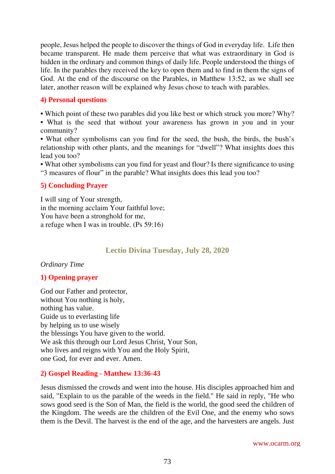people, Jesus helped the people to discover the things of God in everyday life. Life then became transparent. He made them perceive that what was extraordinary in God is hidden in the ordinary and common things of daily life. People understood the things of life. In the parables they received the key to open them and to find in them the signs of God. At the end of the discourse on the Parables, in Matthew 13:52, as we shall see later, another reason will be explained why Jesus chose to teach with parables.

#### **4) Personal questions**

• Which point of these two parables did you like best or which struck you more? Why?

• What is the seed that without your awareness has grown in you and in your community?

• What other symbolisms can you find for the seed, the bush, the birds, the bush's relationship with other plants, and the meanings for "dwell"? What insights does this lead you too?

• What other symbolisms can you find for yeast and flour? Is there significance to using "3 measures of flour" in the parable? What insights does this lead you too?

#### **5) Concluding Prayer**

I will sing of Your strength, in the morning acclaim Your faithful love; You have been a stronghold for me, a refuge when I was in trouble. (Ps 59:16)

### **Lectio Divina Tuesday, July 28, 2020**

#### *Ordinary Time*

#### **1) Opening prayer**

God our Father and protector, without You nothing is holy, nothing has value. Guide us to everlasting life by helping us to use wisely the blessings You have given to the world. We ask this through our Lord Jesus Christ, Your Son, who lives and reigns with You and the Holy Spirit, one God, for ever and ever. Amen.

### **2) Gospel Reading - Matthew 13:36-43**

Jesus dismissed the crowds and went into the house. His disciples approached him and said, "Explain to us the parable of the weeds in the field." He said in reply, "He who sows good seed is the Son of Man, the field is the world, the good seed the children of the Kingdom. The weeds are the children of the Evil One, and the enemy who sows them is the Devil. The harvest is the end of the age, and the harvesters are angels. Just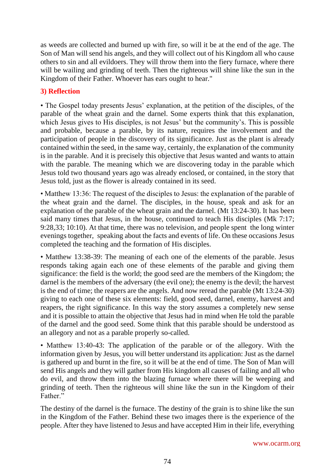as weeds are collected and burned up with fire, so will it be at the end of the age. The Son of Man will send his angels, and they will collect out of his Kingdom all who cause others to sin and all evildoers. They will throw them into the fiery furnace, where there will be wailing and grinding of teeth. Then the righteous will shine like the sun in the Kingdom of their Father. Whoever has ears ought to hear."

# **3) Reflection**

• The Gospel today presents Jesus' explanation, at the petition of the disciples, of the parable of the wheat grain and the darnel. Some experts think that this explanation, which Jesus gives to His disciples, is not Jesus' but the community's. This is possible and probable, because a parable, by its nature, requires the involvement and the participation of people in the discovery of its significance. Just as the plant is already contained within the seed, in the same way, certainly, the explanation of the community is in the parable. And it is precisely this objective that Jesus wanted and wants to attain with the parable. The meaning which we are discovering today in the parable which Jesus told two thousand years ago was already enclosed, or contained, in the story that Jesus told, just as the flower is already contained in its seed.

• Matthew 13:36: The request of the disciples to Jesus: the explanation of the parable of the wheat grain and the darnel. The disciples, in the house, speak and ask for an explanation of the parable of the wheat grain and the darnel. (Mt 13:24-30). It has been said many times that Jesus, in the house, continued to teach His disciples (Mk 7:17; 9:28,33; 10:10). At that time, there was no television, and people spent the long winter evenings together, speaking about the facts and events of life. On these occasions Jesus completed the teaching and the formation of His disciples.

• Matthew 13:38-39: The meaning of each one of the elements of the parable. Jesus responds taking again each one of these elements of the parable and giving them significance: the field is the world; the good seed are the members of the Kingdom; the darnel is the members of the adversary (the evil one); the enemy is the devil; the harvest is the end of time; the reapers are the angels. And now reread the parable (Mt 13:24-30) giving to each one of these six elements: field, good seed, darnel, enemy, harvest and reapers, the right significance. In this way the story assumes a completely new sense and it is possible to attain the objective that Jesus had in mind when He told the parable of the darnel and the good seed. Some think that this parable should be understood as an allegory and not as a parable properly so-called.

• Matthew 13:40-43: The application of the parable or of the allegory. With the information given by Jesus, you will better understand its application: Just as the darnel is gathered up and burnt in the fire, so it will be at the end of time. The Son of Man will send His angels and they will gather from His kingdom all causes of failing and all who do evil, and throw them into the blazing furnace where there will be weeping and grinding of teeth. Then the righteous will shine like the sun in the Kingdom of their Father."

The destiny of the darnel is the furnace. The destiny of the grain is to shine like the sun in the Kingdom of the Father. Behind these two images there is the experience of the people. After they have listened to Jesus and have accepted Him in their life, everything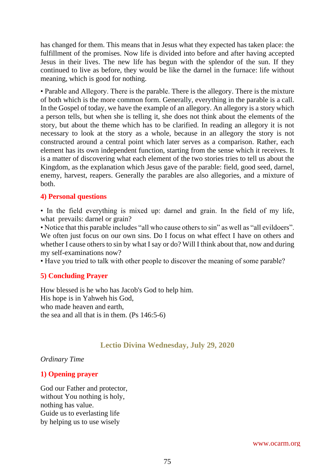has changed for them. This means that in Jesus what they expected has taken place: the fulfillment of the promises. Now life is divided into before and after having accepted Jesus in their lives. The new life has begun with the splendor of the sun. If they continued to live as before, they would be like the darnel in the furnace: life without meaning, which is good for nothing.

• Parable and Allegory. There is the parable. There is the allegory. There is the mixture of both which is the more common form. Generally, everything in the parable is a call. In the Gospel of today, we have the example of an allegory. An allegory is a story which a person tells, but when she is telling it, she does not think about the elements of the story, but about the theme which has to be clarified. In reading an allegory it is not necessary to look at the story as a whole, because in an allegory the story is not constructed around a central point which later serves as a comparison. Rather, each element has its own independent function, starting from the sense which it receives. It is a matter of discovering what each element of the two stories tries to tell us about the Kingdom, as the explanation which Jesus gave of the parable: field, good seed, darnel, enemy, harvest, reapers. Generally the parables are also allegories, and a mixture of both.

#### **4) Personal questions**

• In the field everything is mixed up: darnel and grain. In the field of my life, what prevails: darnel or grain?

• Notice that this parable includes "all who cause others to sin" as well as "all evildoers". We often just focus on our own sins. Do I focus on what effect I have on others and whether I cause others to sin by what I say or do? Will I think about that, now and during my self-examinations now?

• Have you tried to talk with other people to discover the meaning of some parable?

### **5) Concluding Prayer**

How blessed is he who has Jacob's God to help him. His hope is in Yahweh his God, who made heaven and earth, the sea and all that is in them. (Ps 146:5-6)

# **Lectio Divina Wednesday, July 29, 2020**

#### *Ordinary Time*

### **1) Opening prayer**

God our Father and protector, without You nothing is holy, nothing has value. Guide us to everlasting life by helping us to use wisely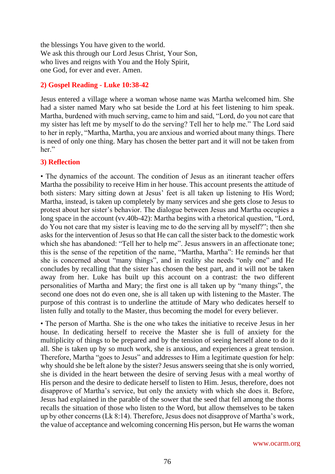the blessings You have given to the world. We ask this through our Lord Jesus Christ, Your Son, who lives and reigns with You and the Holy Spirit, one God, for ever and ever. Amen.

#### **2) Gospel Reading - Luke 10:38-42**

Jesus entered a village where a woman whose name was Martha welcomed him. She had a sister named Mary who sat beside the Lord at his feet listening to him speak. Martha, burdened with much serving, came to him and said, "Lord, do you not care that my sister has left me by myself to do the serving? Tell her to help me." The Lord said to her in reply, "Martha, Martha, you are anxious and worried about many things. There is need of only one thing. Mary has chosen the better part and it will not be taken from her."

#### **3) Reflection**

• The dynamics of the account. The condition of Jesus as an itinerant teacher offers Martha the possibility to receive Him in her house. This account presents the attitude of both sisters: Mary sitting down at Jesus' feet is all taken up listening to His Word; Martha, instead, is taken up completely by many services and she gets close to Jesus to protest about her sister's behavior. The dialogue between Jesus and Martha occupies a long space in the account (vv.40b-42): Martha begins with a rhetorical question, "Lord, do You not care that my sister is leaving me to do the serving all by myself?"; then she asks for the intervention of Jesus so that He can call the sister back to the domestic work which she has abandoned: "Tell her to help me". Jesus answers in an affectionate tone; this is the sense of the repetition of the name, "Martha, Martha": He reminds her that she is concerned about "many things", and in reality she needs "only one" and He concludes by recalling that the sister has chosen the best part, and it will not be taken away from her. Luke has built up this account on a contrast: the two different personalities of Martha and Mary; the first one is all taken up by "many things", the second one does not do even one, she is all taken up with listening to the Master. The purpose of this contrast is to underline the attitude of Mary who dedicates herself to listen fully and totally to the Master, thus becoming the model for every believer.

• The person of Martha. She is the one who takes the initiative to receive Jesus in her house. In dedicating herself to receive the Master she is full of anxiety for the multiplicity of things to be prepared and by the tension of seeing herself alone to do it all. She is taken up by so much work, she is anxious, and experiences a great tension. Therefore, Martha "goes to Jesus" and addresses to Him a legitimate question for help: why should she be left alone by the sister? Jesus answers seeing that she is only worried, she is divided in the heart between the desire of serving Jesus with a meal worthy of His person and the desire to dedicate herself to listen to Him. Jesus, therefore, does not disapprove of Martha's service, but only the anxiety with which she does it. Before, Jesus had explained in the parable of the sower that the seed that fell among the thorns recalls the situation of those who listen to the Word, but allow themselves to be taken up by other concerns (Lk 8:14). Therefore, Jesus does not disapprove of Martha's work, the value of acceptance and welcoming concerning His person, but He warns the woman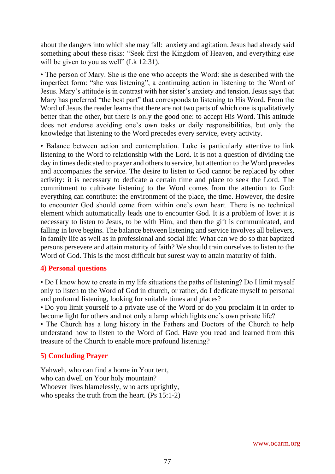about the dangers into which she may fall: anxiety and agitation. Jesus had already said something about these risks: "Seek first the Kingdom of Heaven, and everything else will be given to you as well" (Lk 12:31).

• The person of Mary. She is the one who accepts the Word: she is described with the imperfect form: "she was listening", a continuing action in listening to the Word of Jesus. Mary's attitude is in contrast with her sister's anxiety and tension. Jesus says that Mary has preferred "the best part" that corresponds to listening to His Word. From the Word of Jesus the reader learns that there are not two parts of which one is qualitatively better than the other, but there is only the good one: to accept His Word. This attitude does not endorse avoiding one's own tasks or daily responsibilities, but only the knowledge that listening to the Word precedes every service, every activity.

• Balance between action and contemplation. Luke is particularly attentive to link listening to the Word to relationship with the Lord. It is not a question of dividing the day in times dedicated to prayer and others to service, but attention to the Word precedes and accompanies the service. The desire to listen to God cannot be replaced by other activity: it is necessary to dedicate a certain time and place to seek the Lord. The commitment to cultivate listening to the Word comes from the attention to God: everything can contribute: the environment of the place, the time. However, the desire to encounter God should come from within one's own heart. There is no technical element which automatically leads one to encounter God. It is a problem of love: it is necessary to listen to Jesus, to be with Him, and then the gift is communicated, and falling in love begins. The balance between listening and service involves all believers, in family life as well as in professional and social life: What can we do so that baptized persons persevere and attain maturity of faith? We should train ourselves to listen to the Word of God. This is the most difficult but surest way to attain maturity of faith.

#### **4) Personal questions**

• Do I know how to create in my life situations the paths of listening? Do I limit myself only to listen to the Word of God in church, or rather, do I dedicate myself to personal and profound listening, looking for suitable times and places?

• Do you limit yourself to a private use of the Word or do you proclaim it in order to become light for others and not only a lamp which lights one's own private life?

• The Church has a long history in the Fathers and Doctors of the Church to help understand how to listen to the Word of God. Have you read and learned from this treasure of the Church to enable more profound listening?

### **5) Concluding Prayer**

Yahweh, who can find a home in Your tent, who can dwell on Your holy mountain? Whoever lives blamelessly, who acts uprightly, who speaks the truth from the heart. (Ps 15:1-2)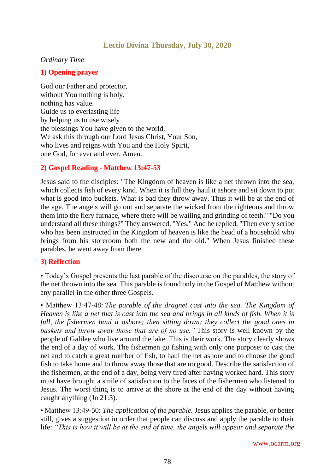# **Lectio Divina Thursday, July 30, 2020**

#### *Ordinary Time*

### **1) Opening prayer**

God our Father and protector, without You nothing is holy, nothing has value. Guide us to everlasting life by helping us to use wisely the blessings You have given to the world. We ask this through our Lord Jesus Christ, Your Son, who lives and reigns with You and the Holy Spirit, one God, for ever and ever. Amen.

### **2) Gospel Reading - Matthew 13:47-53**

Jesus said to the disciples: "The Kingdom of heaven is like a net thrown into the sea, which collects fish of every kind. When it is full they haul it ashore and sit down to put what is good into buckets. What is bad they throw away. Thus it will be at the end of the age. The angels will go out and separate the wicked from the righteous and throw them into the fiery furnace, where there will be wailing and grinding of teeth." "Do you understand all these things?" They answered, "Yes." And he replied, "Then every scribe who has been instructed in the Kingdom of heaven is like the head of a household who brings from his storeroom both the new and the old." When Jesus finished these parables, he went away from there.

### **3) Reflection**

• Today's Gospel presents the last parable of the discourse on the parables, the story of the net thrown into the sea. This parable is found only in the Gospel of Matthew without any parallel in the other three Gospels.

• Matthew 13:47-48: *The parable of the dragnet cast into the sea. The Kingdom of Heaven is like a net that is cast into the sea and brings in all kinds of fish. When it is*  full, the fishermen haul it ashore; then sitting down; they collect the good ones in *baskets and throw away those that are of no use."* This story is well known by the people of Galilee who live around the lake. This is their work. The story clearly shows the end of a day of work. The fishermen go fishing with only one purpose: to cast the net and to catch a great number of fish, to haul the net ashore and to choose the good fish to take home and to throw away those that are no good. Describe the satisfaction of the fishermen, at the end of a day, being very tired after having worked hard. This story must have brought a smile of satisfaction to the faces of the fishermen who listened to Jesus. The worst thing is to arrive at the shore at the end of the day without having caught anything (Jn 21:3).

• Matthew 13:49-50: *The application of the parable.* Jesus applies the parable, or better still, gives a suggestion in order that people can discuss and apply the parable to their life: *"This is how it will be at the end of time, the angels will appear and separate the*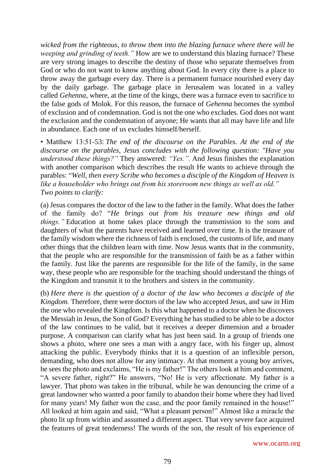*wicked from the righteous, to throw them into the blazing furnace where there will be weeping and grinding of teeth."* How are we to understand this blazing furnace? These are very strong images to describe the destiny of those who separate themselves from God or who do not want to know anything about God. In every city there is a place to throw away the garbage every day. There is a permanent furnace nourished every day by the daily garbage. The garbage place in Jerusalem was located in a valley called *Gehenna*, where, at the time of the kings, there was a furnace even to sacrifice to the false gods of Molok. For this reason, the furnace of *Gehenna* becomes the symbol of exclusion and of condemnation. God is not the one who excludes. God does not want the exclusion and the condemnation of anyone; He wants that all may have life and life in abundance. Each one of us excludes himself/herself.

• Matthew 13:51-53: *The end of the discourse on the Parables. At the end of the discourse on the parables, Jesus concludes with the following question: "Have you understood these things?"* They answered: *"Yes.".* And Jesus finishes the explanation with another comparison which describes the result He wants to achieve through the parables: "*Well, then every Scribe who becomes a disciple of the Kingdom of Heaven is like a householder who brings out from his storeroom new things as well as old." Two points to clarify:*

(a) Jesus compares the doctor of the law to the father in the family. What does the father of the family do? "*He brings out from his treasure new things and old things."* Education at home takes place through the transmission to the sons and daughters of what the parents have received and learned over time. It is the treasure of the family wisdom where the richness of faith is enclosed, the customs of life, and many other things that the children learn with time. Now Jesus wants that in the community, that the people who are responsible for the transmission of faith be as a father within the family. Just like the parents are responsible for the life of the family, in the same way, these people who are responsible for the teaching should understand the things of the Kingdom and transmit it to the brothers and sisters in the community.

(b) *Here there is the question of a doctor of the law who becomes a disciple of the Kingdom.* Therefore, there were doctors of the law who accepted Jesus, and saw in Him the one who revealed the Kingdom. Is this what happened to a doctor when he discovers the Messiah in Jesus, the Son of God? Everything he has studied to be able to be a doctor of the law continues to be valid, but it receives a deeper dimension and a broader purpose. A comparison can clarify what has just been said. In a group of friends one shows a photo, where one sees a man with a angry face, with his finger up, almost attacking the public. Everybody thinks that it is a question of an inflexible person, demanding, who does not allow for any intimacy. At that moment a young boy arrives, he sees the photo and exclaims, "He is my father!" The others look at him and comment, "A severe father, right?" He answers, "No! He is very affectionate. My father is a lawyer. That photo was taken in the tribunal, while he was denouncing the crime of a great landowner who wanted a poor family to abandon their home where they had lived for many years! My father won the case, and the poor family remained in the house!" All looked at him again and said, "What a pleasant person!" Almost like a miracle the photo lit up from within and assumed a different aspect. That very severe face acquired the features of great tenderness! The words of the son, the result of his experience of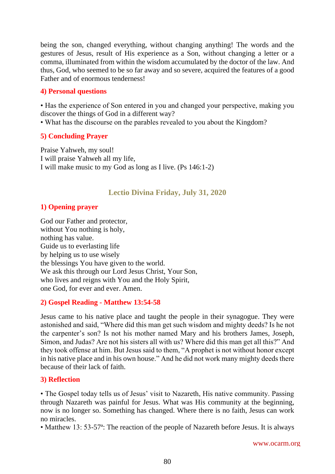being the son, changed everything, without changing anything! The words and the gestures of Jesus, result of His experience as a Son, without changing a letter or a comma, illuminated from within the wisdom accumulated by the doctor of the law. And thus, God, who seemed to be so far away and so severe, acquired the features of a good Father and of enormous tenderness!

## **4) Personal questions**

• Has the experience of Son entered in you and changed your perspective, making you discover the things of God in a different way?

• What has the discourse on the parables revealed to you about the Kingdom?

### **5) Concluding Prayer**

Praise Yahweh, my soul! I will praise Yahweh all my life, I will make music to my God as long as I live. (Ps 146:1-2)

# **Lectio Divina Friday, July 31, 2020**

## **1) Opening prayer**

God our Father and protector, without You nothing is holy, nothing has value. Guide us to everlasting life by helping us to use wisely the blessings You have given to the world. We ask this through our Lord Jesus Christ, Your Son, who lives and reigns with You and the Holy Spirit, one God, for ever and ever. Amen.

# **2) Gospel Reading - Matthew 13:54-58**

Jesus came to his native place and taught the people in their synagogue. They were astonished and said, "Where did this man get such wisdom and mighty deeds? Is he not the carpenter's son? Is not his mother named Mary and his brothers James, Joseph, Simon, and Judas? Are not his sisters all with us? Where did this man get all this?" And they took offense at him. But Jesus said to them, "A prophet is not without honor except in his native place and in his own house." And he did not work many mighty deeds there because of their lack of faith.

### **3) Reflection**

• The Gospel today tells us of Jesus' visit to Nazareth, His native community. Passing through Nazareth was painful for Jesus. What was His community at the beginning, now is no longer so. Something has changed. Where there is no faith, Jesus can work no miracles.

• Matthew 13: 53-57<sup>a</sup>: The reaction of the people of Nazareth before Jesus. It is always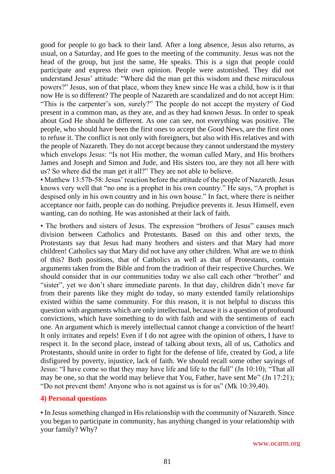good for people to go back to their land. After a long absence, Jesus also returns, as usual, on a Saturday, and He goes to the meeting of the community. Jesus was not the head of the group, but just the same, He speaks. This is a sign that people could participate and express their own opinion. People were astonished. They did not understand Jesus' attitude: "Where did the man get this wisdom and these miraculous powers?" Jesus, son of that place, whom they knew since He was a child, how is it that now He is so different? The people of Nazareth are scandalized and do not accept Him: "This is the carpenter's son, surely?" The people do not accept the mystery of God present in a common man, as they are, and as they had known Jesus. In order to speak about God He should be different. As one can see, not everything was positive. The people, who should have been the first ones to accept the Good News, are the first ones to refuse it. The conflict is not only with foreigners, but also with His relatives and with the people of Nazareth. They do not accept because they cannot understand the mystery which envelops Jesus: "Is not His mother, the woman called Mary, and His brothers James and Joseph and Simon and Jude, and His sisters too, are they not all here with us? So where did the man get it all?" They are not able to believe.

• Matthew 13:57b-58: Jesus' reaction before the attitude of the people of Nazareth. Jesus knows very well that "no one is a prophet in his own country." He says, "A prophet is despised only in his own country and in his own house." In fact, where there is neither acceptance nor faith, people can do nothing. Prejudice prevents it. Jesus Himself, even wanting, can do nothing. He was astonished at their lack of faith.

• The brothers and sisters of Jesus. The expression "brothers of Jesus" causes much division between Catholics and Protestants. Based on this and other texts, the Protestants say that Jesus had many brothers and sisters and that Mary had more children! Catholics say that Mary did not have any other children. What are we to think of this? Both positions, that of Catholics as well as that of Protestants, contain arguments taken from the Bible and from the tradition of their respective Churches. We should consider that in our communities today we also call each other "brother" and "sister", yet we don't share immediate parents. In that day, children didn't move far from their parents like they might do today, so many extended family relationships existed within the same community. For this reason, it is not helpful to discuss this question with arguments which are only intellectual, because it is a question of profound convictions, which have something to do with faith and with the sentiments of each one. An argument which is merely intellectual cannot change a conviction of the heart! It only irritates and repels! Even if I do not agree with the opinion of others, I have to respect it. In the second place, instead of talking about texts, all of us, Catholics and Protestants, should unite in order to fight for the defense of life, created by God, a life disfigured by poverty, injustice, lack of faith. We should recall some other sayings of Jesus: "I have come so that they may have life and life to the full" (Jn 10:10); "That all may be one, so that the world may believe that You, Father, have sent Me" (Jn 17:21); "Do not prevent them! Anyone who is not against us is for us" (Mk 10:39,40).

#### **4) Personal questions**

• In Jesus something changed in His relationship with the community of Nazareth. Since you began to participate in community, has anything changed in your relationship with your family? Why?